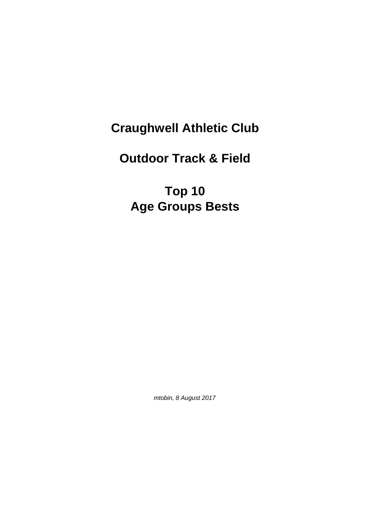## **Craughwell Athletic Club**

## **Outdoor Track & Field**

## **Top 10 Age Groups Bests**

mtobin, 8 August 2017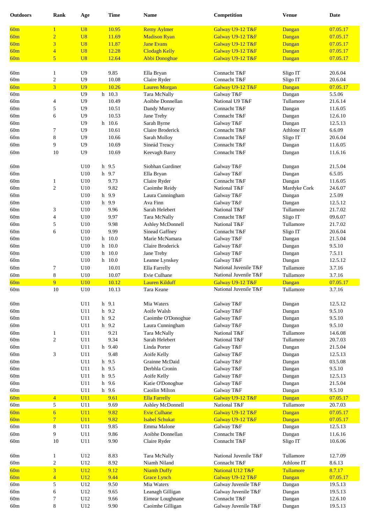| <b>Outdoors</b> | Rank                    | Age            | <b>Time</b> | <b>Name</b>           | Competition           | <b>Venue</b> | <b>Date</b> |
|-----------------|-------------------------|----------------|-------------|-----------------------|-----------------------|--------------|-------------|
| 60m             | $\mathbf{1}$            | U8             | 10.95       | <b>Remy Aylmer</b>    | Galway U9-12 T&F      | Dangan       | 07.05.17    |
| 60m             | $\overline{2}$          | U8             | 11.69       | <b>Madison Ryan</b>   | Galway U9-12 T&F      | Dangan       | 07.05.17    |
|                 | 3                       | U8             | 11.87       | <b>Jane Evans</b>     | Galway U9-12 T&F      |              |             |
| 60m             |                         |                |             |                       |                       | Dangan       | 07.05.17    |
| 60m             | $\overline{\mathbf{4}}$ | U8             | 12.28       | <b>Clodagh Kelly</b>  | Galway U9-12 T&F      | Dangan       | 07.05.17    |
| 60m             | $\overline{5}$          | U8             | 12.64       | <b>Abbi Donoghue</b>  | Galway U9-12 T&F      | Dangan       | 07.05.17    |
| 60m             | $\mathbf{1}$            | U <sub>9</sub> | 9.85        | Ella Bryan            | Connacht T&F          | Sligo IT     | 20.6.04     |
| 60m             | $\overline{\mathbf{c}}$ | U <sub>9</sub> | 10.08       | Claire Ryder          | Connacht T&F          | Sligo IT     | 20.6.04     |
| 60m             | $\overline{\mathbf{3}}$ | U <sub>9</sub> | 10.26       | <b>Lauren Morgan</b>  | Galway U9-12 T&F      | Dangan       | 07.05.17    |
| 60m             |                         | U <sub>9</sub> | h 10.3      | Tara McNally          | Galway T&F            | Dangan       | 5.5.06      |
| 60m             |                         | U <sub>9</sub> | 10.49       | Aoibhe Donnellan      | National U9 T&F       | Tullamore    | 21.6.14     |
|                 | 4                       |                |             |                       |                       |              |             |
| 60m             | 5                       | U <sub>9</sub> | 10.51       | Dandy Murray          | Connacht T&F          | Dangan       | 11.6.05     |
| 60m             | 6                       | U <sub>9</sub> | 10.53       | Jane Trehy            | Connacht T&F          | Dangan       | 12.6.10     |
| 60m             |                         | U <sub>9</sub> | h 10.6      | Sarah Byrne           | Galway T&F            | Dangan       | 12.5.13     |
| 60m             | 7                       | U <sub>9</sub> | 10.61       | Claire Broderick      | Connacht T&F          | Athlone IT   | 6.6.09      |
| 60m             | 8                       | U <sub>9</sub> | 10.66       | Sarah Molloy          | Connacht T&F          | Sligo IT     | 20.6.04     |
| 60m             | 9                       | U <sub>9</sub> | 10.69       | Sineád Treacy         | Connacht T&F          | Dangan       | 11.6.05     |
| 60m             | 10                      | U <sub>9</sub> | 10.69       | Keevagh Barry         | Connacht T&F          | Dangan       | 11.6.16     |
| 60m             |                         | U10            | h 9.5       | Siobhan Gardiner      |                       |              | 21.5.04     |
|                 |                         |                |             |                       | Galway T&F            | Dangan       |             |
| 60m             |                         | U10            | h 9.7       | Ella Bryan            | Galway T&F            | Dangan       | 6.5.05      |
| 60m             | 1                       | U10            | 9.73        | Claire Ryder          | Connacht T&F          | Dangan       | 11.6.05     |
| 60m             | $\boldsymbol{2}$        | U10            | 9.82        | Caoimhe Reidy         | National T&F          | Mardyke Cork | 24.6.07     |
| 60m             |                         | U10            | h 9.9       | Laura Cunningham      | Galway T&F            | Dangan       | 2.5.09      |
| 60m             |                         | U10            | h 9.9       | Ava Finn              | Galway T&F            | Dangan       | 12.5.12     |
| 60m             | 3                       | U10            | 9.96        | Sarah Helebert        | National T&F          | Tullamore    | 21.7.02     |
| 60m             | $\overline{\mathbf{4}}$ | U10            | 9.97        | Tara McNally          | Connacht T&F          | Sligo IT     | 09.6.07     |
| 60m             | 5                       | U10            | 9.98        | Ashley McDonnell      | National T&F          | Tullamore    | 21.7.02     |
| 60m             | 6                       | U10            | 9.99        | Sinead Gaffney        | Connacht T&F          | Sligo IT     | 20.6.04     |
| 60m             |                         | U10            | 10.0<br>h   | Marie McNamara        | Galway T&F            | Dangan       | 21.5.04     |
| 60m             |                         | U10            | 10.0<br>h   | Claire Broderick      | Galway T&F            | Dangan       | 9.5.10      |
| 60m             |                         | U10            | 10.0<br>h   | Jane Trehy            | Galway T&F            | Dangan       | 7.5.11      |
| 60m             |                         | U10            | $h$ 10.0    | Leanne Lynskey        | Galway T&F            | Dangan       | 12.5.12     |
| 60m             | 7                       | U10            | 10.01       | Ella Farrelly         | National Juvenile T&F | Tullamore    | 3.7.16      |
| 60m             | 8                       | U10            | 10.07       | Evie Culhane          | National Juvenile T&F | Tullamore    | 3.7.16      |
| 60m             | 9                       | U10            | 10.12       | <b>Lauren Kilduff</b> | Galway U9-12 T&F      | Dangan       | 07.05.17    |
| 60m             | 10                      | U10            | 10.13       | Tara Keane            | National Juvenile T&F | Tullamore    | 3.7.16      |
|                 |                         |                |             |                       |                       |              |             |
| 60m             |                         | U11            | h 9.1       | Mia Waters            | Galway T&F            | Dangan       | 12.5.12     |
| 60m             |                         | U11            | h 9.2       | Aoife Walsh           | Galway T&F            | Dangan       | 9.5.10      |
| 60m             |                         | U11            | h 9.2       | Caoimhe O'Donoghue    | Galway T&F            | Dangan       | 9.5.10      |
| 60m             |                         | U11            | h 9.2       | Laura Cunningham      | Galway T&F            | Dangan       | 9.5.10      |
| 60m             | $\mathbf{1}$            | U11            | 9.21        | Tara McNally          | National T&F          | Tullamore    | 14.6.08     |
| 60m             | $\boldsymbol{2}$        | U11            | 9.34        | Sarah Helebert        | National T&F          | Tullamore    | 20.7.03     |
| 60m             |                         | U11            | h 9.40      | Linda Porter          | Galway T&F            | Dangan       | 21.5.04     |
| 60m             | 3                       | U11            | 9.48        | Aoife Kelly           | Galway T&F            |              | 12.5.13     |
|                 |                         | U11            |             | Grainne McDaid        |                       | Dangan       |             |
| 60m             |                         |                | h 9.5       |                       | Galway T&F            | Dangan       | 03.5.08     |
| 60m             |                         | U11            | h 9.5       | Derbhla Cronin        | Galway T&F            | Dangan       | 9.5.10      |
| 60m             |                         | U11            | h 9.5       | Aoife Kelly           | Galway T&F            | Dangan       | 12.5.13     |
| 60m             |                         | U11            | 9.6<br>h    | Katie O'Donoghue      | Galway T&F            | Dangan       | 21.5.04     |
| 60m             |                         | U11            | h 9.6       | Caoilin Milton        | Galway T&F            | Dangan       | 9.5.10      |
| 60m             | $\overline{4}$          | U11            | 9.61        | <b>Ella Farrelly</b>  | Galway U9-12 T&F      | Dangan       | 07.05.17    |
| 60m             | 5                       | U11            | 9.69        | Ashley McDonnell      | National T&F          | Tullamore    | 20.7.03     |
| 60m             | $\overline{6}$          | U11            | 9.82        | <b>Evie Culhane</b>   | Galway U9-12 T&F      | Dangan       | 07.05.17    |
| 60m             | $\overline{7}$          | U11            | 9.82        | <b>Isabel Schukat</b> | Galway U9-12 T&F      | Dangan       | 07.05.17    |
| $60\mathrm{m}$  | 8                       | U11            | 9.85        | Emma Malone           | Galway T&F            | Dangan       | 12.5.13     |
| 60m             | 9                       | U11            | 9.86        | Aoibhe Donnellan      | Connacht T&F          | Dangan       | 11.6.16     |
| 60m             | 10                      | U11            | 9.90        | Claire Ryder          | Connacht T&F          | Sligo IT     | 10.6.06     |
|                 |                         |                |             |                       |                       |              |             |
| 60m             | 1                       | U12            | 8.83        | Tara McNally          | National Juvenile T&F | Tullamore    | 12.7.09     |
| $60\mathrm{m}$  | $\boldsymbol{2}$        | U12            | 8.92        | Niamh Niland          | Connacht T&F          | Athlone IT   | 8.6.13      |
| 60m             | $\overline{3}$          | U12            | 9.12        | <b>Niamh Duffy</b>    | National U12 T&F      | Tullamore    | 8.7.17      |
| 60m             | $\overline{4}$          | U12            | 9.44        | <b>Grace Lynch</b>    | Galway U9-12 T&F      | Dangan       | 07.05.17    |
| 60m             | 5                       | U12            | 9.50        | Mia Waters            | Galway Juvenile T&F   | Dangan       | 19.5.13     |
| 60m             | 6                       | U12            | 9.65        | Leanagh Gilligan      | Galway Juvenile T&F   | Dangan       | 19.5.13     |
| 60m             | 7                       | U12            | 9.66        | Eimear Loughnane      | Connacht T&F          | Dangan       | 12.6.10     |
|                 |                         |                | 9.90        | Caoimhe Gilligan      | Galway Juvenile T&F   | Dangan       | 19.5.13     |
| 60m             | 8                       | U12            |             |                       |                       |              |             |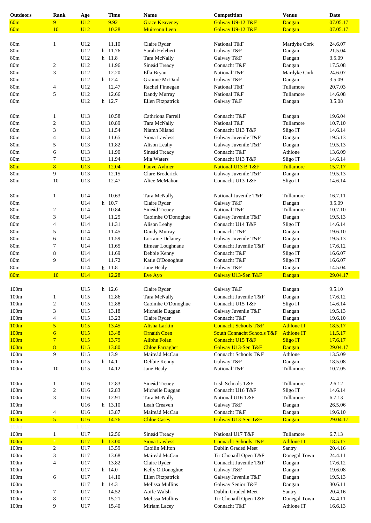| <b>Outdoors</b> | Rank                     | Age        | <b>Time</b>    | <b>Name</b>                     | Competition                           | <b>Venue</b>               | <b>Date</b>        |
|-----------------|--------------------------|------------|----------------|---------------------------------|---------------------------------------|----------------------------|--------------------|
| 60m             | 9                        | U12        | 9.92           | <b>Grace Keaveney</b>           | Galway U9-12 T&F                      | Dangan                     | 07.05.17           |
| 60m             | 10                       | U12        | 10.28          | <b>Muireann Leen</b>            | Galway U9-12 T&F                      | Dangan                     | 07.05.17           |
|                 |                          |            |                |                                 |                                       |                            |                    |
| 80 <sub>m</sub> | $\mathbf{1}$             | U12        | 11.10          | Claire Ryder                    | National T&F                          | Mardyke Cork               | 24.6.07            |
| 80m             |                          | U12        | h 11.76        | Sarah Helebert                  | Galway T&F                            |                            | 21.5.04            |
|                 |                          |            |                |                                 |                                       | Dangan                     |                    |
| 80m             |                          | U12        | h 11.8         | Tara McNally                    | Galway T&F                            | Dangan                     | 3.5.09             |
| 80m             | $\overline{\mathbf{c}}$  | U12        | 11.96          | Sineád Treacy                   | Connacht T&F                          | Dangan                     | 17.5.08            |
| 80m             | 3                        | U12        | 12.20          | Ella Bryan                      | National T&F                          | Mardyke Cork               | 24.6.07            |
| 80m             |                          | U12        | h 12.4         | Grainne McDaid                  | Galway T&F                            | Dangan                     | 3.5.09             |
| 80m             | 4                        | U12        | 12.47          | Rachel Finnegan                 | National T&F                          | Tullamore                  | 20.7.03            |
| 80 <sub>m</sub> | 5                        | U12        | 12.66          | Dandy Murray                    | National T&F                          | Tullamore                  | 14.6.08            |
| 80 <sub>m</sub> |                          | U12        | h 12.7         | Ellen Fitzpatrick               | Galway T&F                            | Dangan                     | 3.5.08             |
|                 |                          |            |                |                                 |                                       |                            |                    |
| 80 <sub>m</sub> | $\mathbf{1}$             | U13        | 10.58          | Cathriona Farrell               | Connacht T&F                          | Dangan                     | 19.6.04            |
| 80m             |                          | U13        | 10.89          |                                 | National T&F                          | Tullamore                  | 10.7.10            |
|                 | $\boldsymbol{2}$         |            |                | Tara McNally                    |                                       |                            |                    |
| 80 <sub>m</sub> | 3                        | U13        | 11.54          | Niamh Niland                    | Connacht U13 T&F                      | Sligo IT                   | 14.6.14            |
| 80 <sub>m</sub> | 4                        | U13        | 11.65          | Siona Lawless                   | Galway Juvenile T&F                   | Dangan                     | 19.5.13            |
| 80 <sub>m</sub> | 5                        | U13        | 11.82          | Alison Leahy                    | Galway Juvenile T&F                   | Dangan                     | 19.5.13            |
| 80 <sub>m</sub> | 6                        | U13        | 11.90          | Sineád Treacy                   | Connacht T&F                          | Athlone                    | 13.6.09            |
| 80 <sub>m</sub> | 7                        | U13        | 11.94          | Mia Waters                      | Connacht U13 T&F                      | Sligo IT                   | 14.6.14            |
| 80 <sub>m</sub> | 8                        | U13        | 12.04          | <b>Fauve Aylmer</b>             | National U13 B T&F                    | Tullamore                  | 15.7.17            |
| $80\mathrm{m}$  | 9                        | U13        | 12.15          | Clare Broderick                 | Galway Juvenile T&F                   | Dangan                     | 19.5.13            |
| 80m             | 10                       | U13        | 12.47          | Alice McMahon                   | Connacht U13 T&F                      | Sligo IT                   | 14.6.14            |
|                 |                          |            |                |                                 |                                       |                            |                    |
|                 |                          |            |                |                                 |                                       |                            |                    |
| 80m             | $\mathbf{1}$             | U14        | 10.63          | Tara McNally                    | National Juvenile T&F                 | Tullamore                  | 16.7.11            |
| 80m             |                          | U14        | h 10.7         | Claire Ryder                    | Galway T&F                            | Dangan                     | 3.5.09             |
| 80m             | $\overline{c}$           | U14        | 10.84          | Sineád Treacy                   | National T&F                          | Tullamore                  | 10.7.10            |
| 80 <sub>m</sub> | 3                        | U14        | 11.25          | Caoimhe O'Donoghue              | Galway Juvenile T&F                   | Dangan                     | 19.5.13            |
| 80 <sub>m</sub> | 4                        | U14        | 11.31          | Alison Leahy                    | Connacht U14 T&F                      | Sligo IT                   | 14.6.14            |
| 80 <sub>m</sub> | 5                        | U14        | 11.45          | Dandy Murray                    | Connacht T&F                          | Dangan                     | 19.6.10            |
| 80m             | 6                        | U14        | 11.59          | Lorraine Delaney                | Galway Juvenile T&F                   | Dangan                     | 19.5.13            |
| 80m             | 7                        | U14        | 11.65          | Eimear Loughnane                | Connacht Juvenile T&F                 | Dangan                     | 17.6.12            |
| 80m             | 8                        | U14        | 11.69          | Debbie Kenny                    | Connacht T&F                          | Sligo IT                   | 16.6.07            |
|                 | 9                        |            | 11.72          |                                 |                                       |                            |                    |
| 80m             |                          | U14        |                | Katie O'Donoghue                | Connacht T&F                          | Sligo IT                   | 16.6.07            |
| 80 <sub>m</sub> |                          | U14        | h 11.8         | Jane Healy                      | Galway T&F                            | Dangan                     | 14.5.04            |
| 80 <sub>m</sub> | 10                       | U14        | 12.28          | <b>Eve Ayo</b>                  | Galway U13-Sen T&F                    | Dangan                     | 29.04.17           |
|                 |                          |            |                |                                 |                                       |                            |                    |
| 100m            |                          | U15        | h 12.6         | Claire Ryder                    | Galway T&F                            | $\mathbf{D}angan$          | 9.5.10             |
| 100m            | 1                        | U15        | 12.86          | Tara McNally                    | Connacht Juvenile T&F                 | Dangan                     | 17.6.12            |
| 100m            | $\boldsymbol{2}$         | U15        | 12.88          | Caoimhe O'Donoghue              | Connacht U15 T&F                      | Sligo IT                   | 14.6.14            |
| 100m            | 3                        | U15        | 13.18          | Michelle Duggan                 | Galway Juvenile T&F                   | Dangan                     | 19.5.13            |
| 100m            | $\overline{\mathcal{L}}$ | U15        | 13.23          | Claire Ryder                    | Connacht T&F                          | Dangan                     | 19.6.10            |
| 100m            | $\overline{5}$           | U15        | 13.45          | Alisha Larkin                   | <b>Connacht Schools T&amp;F</b>       | <b>Athlone IT</b>          | 18.5.17            |
| 100m            | $\overline{6}$           | U15        | 13.48          | <b>Ornaith Coen</b>             | <b>South Connacht Schools T&amp;F</b> | <b>Athlone IT</b>          | 11.5.17            |
|                 |                          |            |                |                                 |                                       |                            |                    |
| 100m            | $\overline{7}$           | U15        | 13.79          | <b>Ailbhe Folan</b>             | Connacht U15 T&F                      | <b>Sligo IT</b>            | 17.6.17            |
| 100m            | 8                        | U15        | 13.80          | <b>Chloe Farragher</b>          | Galway U13-Sen T&F                    | Dangan                     | 29.04.17           |
| 100m            | 9                        | U15        | 13.9           | Maireád McCan                   | Connacht Schools T&F                  | Athlone                    | 13.5.09            |
| 100m            |                          | U15        | h 14.1         | Debbie Kenny                    | Galway T&F                            | Dangan                     | 18.5.08            |
| 100m            | 10                       | U15        | 14.12          | Jane Healy                      | National T&F                          | Tullamore                  | 10.7.05            |
|                 |                          |            |                |                                 |                                       |                            |                    |
| 100m            | $\mathbf{1}$             | U16        | 12.83          | Sineád Treacy                   | Irish Schools T&F                     | Tullamore                  | 2.6.12             |
| 100m            | $\boldsymbol{2}$         | U16        | 12.83          | Michelle Duggan                 | Connacht U16 T&F                      | Sligo IT                   | 14.6.14            |
| 100m            | 3                        | U16        | 12.91          | Tara McNally                    | National U16 T&F                      | Tullamore                  | 6.7.13             |
| $100\mathrm{m}$ |                          | U16        | h 13.10        | Leah Creaven                    | Galway T&F                            | Dangan                     | 26.5.06            |
| $100\mathrm{m}$ | $\overline{\mathcal{A}}$ | U16        | 13.87          | Maireád McCan                   | Connacht T&F                          |                            | 19.6.10            |
|                 |                          |            |                |                                 |                                       | Dangan                     |                    |
| 100m            | $\overline{5}$           | U16        | 14.76          | <b>Chloe Casey</b>              | Galway U13-Sen T&F                    | Dangan                     | 29.04.17           |
| l 00m           |                          |            |                |                                 |                                       |                            |                    |
| 100m            | $\mathbf{1}$             | U17        | 12.56          | Sineád Treacy                   | National U17 T&F                      | Tullamore                  | 6.7.13             |
| 100m            |                          | <b>U17</b> | h 13.00        | <b>Siona Lawless</b>            | <b>Connacht Schools T&amp;F</b>       | <b>Athlone IT</b>          | 18.5.17            |
| 100m            | 2                        | U17        | 13.59          | Caoilin Milton                  | Dublin Graded Meet                    | Santry                     | 20.4.16            |
| 100m            | 3                        | U17        | 13.68          | Maireád McCan                   | Tir Chonaill Open T&F                 | Donegal Town               | 24.4.11            |
| 100m            | 4                        | U17        | 13.82          | Claire Ryder                    | Connacht Juvenile T&F                 | Dangan                     | 17.6.12            |
|                 |                          | U17        | h 14.0         | Kelly O'Donoghue                | Galway T&F                            | Dangan                     | 19.6.08            |
|                 |                          |            |                |                                 |                                       |                            |                    |
| 100m            |                          |            |                |                                 |                                       |                            |                    |
| 100m            | 6                        | U17        | 14.10          | Ellen Fitzpatrick               | Galway Juvenile T&F                   | Dangan                     | 19.5.13            |
| 100m            |                          | U17        | h 14.3         | Melissa Mullins                 | Galway Senior T&F                     | Dangan                     | 30.6.11            |
| 100m            | 7                        | U17        | 14.52          | Aoife Walsh                     | Dublin Graded Meet                    | Santry                     | 20.4.16            |
| 100m<br>100m    | 8<br>9                   | U17<br>U17 | 15.21<br>15.40 | Melissa Mullins<br>Miriam Lacey | Tir Chonaill Open T&F<br>Connacht T&F | Donegal Town<br>Athlone IT | 24.4.11<br>16.6.13 |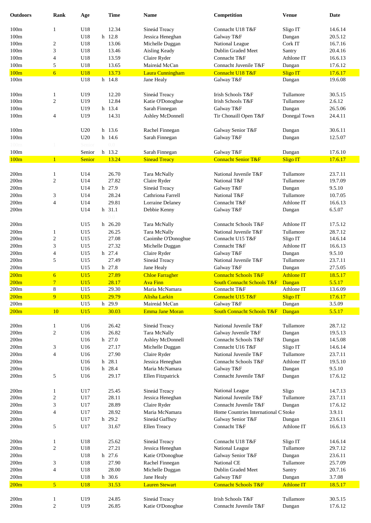| <b>Outdoors</b> | <b>Rank</b>         | Age        |   | <b>Time</b>             | <b>Name</b>                    | Competition                           | <b>Venue</b>              | <b>Date</b>       |
|-----------------|---------------------|------------|---|-------------------------|--------------------------------|---------------------------------------|---------------------------|-------------------|
| 100m            | $\mathbf{1}$        | U18        |   | 12.34                   | Sineád Treacy                  | Connacht U18 T&F                      | Sligo IT                  | 14.6.14           |
| 100m            |                     | U18        |   | h 12.8                  | Jessica Heneghan               | Galway T&F                            | Dangan                    | 20.5.12           |
| 100m            | 2                   | U18        |   | 13.06                   | Michelle Duggan                | National League                       | Cork IT                   | 16.7.16           |
| 100m            | 3                   | U18        |   | 13.46                   | Aisling Keady                  | Dublin Graded Meet                    | Santry                    | 20.4.16           |
| 100m            | 4                   | U18        |   | 13.59                   | Claire Ryder                   | Connacht T&F                          | Athlone IT                | 16.6.13           |
| 100m            | 5                   | U18        |   | 13.65                   | Maireád McCan                  | Connacht Juvenile T&F                 | Dangan                    | 17.6.12           |
| 100m            | $\overline{6}$      | <b>U18</b> |   | 13.73                   | Laura Cunningham               | Connacht U18 T&F                      | <b>Sligo IT</b>           | 17.6.17           |
| 100m            |                     | U18        |   | h 14.8                  | Jane Healy                     | Galway T&F                            | Dangan                    | 19.6.08           |
|                 |                     |            |   |                         |                                |                                       |                           |                   |
| 100m            | $\mathbf{1}$        | U19        |   | 12.20                   | Sineád Treacy                  | Irish Schools T&F                     | Tullamore                 | 30.5.15           |
| 100m            | $\overline{c}$      | U19        |   | 12.84                   | Katie O'Donoghue               | Irish Schools T&F                     | Tullamore                 | 2.6.12            |
| 100m            |                     | U19        |   | h 13.4                  | Sarah Finnegan                 | Galway T&F                            | Dangan                    | 26.5.06           |
| 100m            | 4                   | U19        |   | 14.31                   | Ashley McDonnell               | Tir Chonaill Open T&F                 | Donegal Town              | 24.4.11           |
| 100m            |                     | U20        |   | h 13.6                  | Rachel Finnegan                | Galway Senior T&F                     | Dangan                    | 30.6.11           |
| 100m            |                     | U20        |   | h 14.6                  | Sarah Finnegan                 | Galway T&F                            | Dangan                    | 12.5.07           |
| l 00m           |                     | Senior     |   | $0.0^{\circ}$           |                                |                                       |                           |                   |
| 100m            |                     | Senior     |   | h 13.2                  | Sarah Finnegan                 | Galway T&F                            | Dangan                    | 17.6.10           |
| 100m            | $\mathbf{1}$        | Senior     |   | 13.24                   | <b>Sinead Treacy</b>           | <b>Connacht Senior T&amp;F</b>        | <b>Sligo IT</b>           | 17.6.17           |
|                 |                     |            |   |                         |                                |                                       |                           |                   |
| 200m            | 1                   | U14        |   | 26.70                   | Tara McNally                   | National Juvenile T&F                 | Tullamore                 | 23.7.11           |
| 200m            | $\overline{c}$      | U14        |   | 27.82                   | Claire Ryder                   | National T&F                          | Tullamore                 | 19.7.09           |
| 200m            |                     | U14        |   | h 27.9                  | Sineád Treacy                  | Galway T&F                            | Dangan                    | 9.5.10            |
| 200m            | 3                   | U14        |   | 28.24                   | Cathriona Farrell              | National T&F                          | Tullamore                 | 10.7.05           |
| 200m            | 4                   | U14        |   | 29.81                   | Lorraine Delaney               | Connacht T&F                          | Athlone IT                | 16.6.13           |
| 200m            |                     | U14        |   | h 31.1<br>$0.0^{\circ}$ | Debbie Kenny                   | Galway T&F                            | Dangan                    | 6.5.07            |
| 200m            |                     | U15        |   | h 26.20                 | Tara McNally                   | Connacht Schools T&F                  | Athlone IT                | 17.5.12           |
| 200m            | 1                   | U15        |   | 26.25                   | Tara McNally                   | National Juvenile T&F                 | Tullamore                 | 28.7.12           |
| 200m            | 2                   | U15        |   | 27.08                   | Caoimhe O'Donoghue             | Connacht U15 T&F                      | Sligo IT                  | 14.6.14           |
| 200m            | 3                   | U15        |   | 27.32                   | Michelle Duggan                | Connacht T&F                          | Athlone IT                | 16.6.13           |
| 200m            | 4                   | U15        |   | h 27.4                  | Claire Ryder                   | Galway T&F                            | Dangan                    | 9.5.10            |
| 200m            | 5                   | U15        |   | 27.49                   | Sineád Treacy                  | National Juvenile T&F                 | Tullamore                 | 23.7.11           |
| 200m            |                     | U15        |   | h 27.8                  | Jane Healy                     | Galway T&F                            | Dangan                    | 27.5.05           |
| 200m            | $\overline{6}$      | U15        |   | 27.89                   | <b>Chloe Farragher</b>         | <b>Connacht Schools T&amp;F</b>       | <b>Athlone IT</b>         | 18.5.17           |
| 200m            | $\overline{7}$<br>8 | U15        |   | 28.17                   | <b>Ava Finn</b>                | <b>South Connacht Schools T&amp;F</b> | Dangan                    | 5.5.17            |
| $200\mathrm{m}$ |                     | U15        |   | 29.30                   | Maria McNamara                 | Connacht T&F                          | Athlone IT                | 13.6.09           |
| 200m<br>200m    | 9                   | U15<br>U15 |   | 29.79<br>h 29.9         | Alisha Larkin<br>Maireád McCan | Connacht U15 T&F<br>Galway T&F        | <b>Sligo IT</b><br>Dangan | 17.6.17<br>3.5.09 |
| 200m            | 10                  | U15        |   | 30.03                   | Emma Jane Moran                | <b>South Connacht Schools T&amp;F</b> | Dangan                    | 5.5.17            |
|                 |                     |            |   |                         |                                |                                       |                           |                   |
| 200m            | $\mathbf{1}$        | U16        |   | 26.42                   | Sineád Treacy                  | National Juvenile T&F                 | Tullamore                 | 28.7.12           |
| 200m            | 2                   | U16        |   | 26.82                   | Tara McNally                   | Galway Juvenile T&F                   | Dangan                    | 19.5.13           |
| 200m            |                     | U16        |   | h 27.0                  | Ashley McDonnell               | Connacht Schools T&F                  | Dangan                    | 14.5.08           |
| 200m            | 3                   | U16        |   | 27.17                   | Michelle Duggan                | Connacht U16 T&F                      | Sligo IT                  | 14.6.14           |
| 200m            | 4                   | U16        |   | 27.90                   | Claire Ryder                   | National Juvenile T&F                 | Tullamore                 | 23.7.11           |
| 200m            |                     | U16        | h | 28.1                    | Jessica Heneghan               | Connacht Schools T&F                  | Athlone IT                | 19.5.10           |
| 200m            |                     | U16        | h | 28.4                    | Maria McNamara                 | Galway T&F                            | Dangan                    | 9.5.10            |
| 200m            | 5                   | U16        |   | 29.17                   | Ellen Fitzpatrick              | Connacht Juvenile T&F                 | Dangan                    | 17.6.12           |
| 200m            | $\mathbf{1}$        | U17        |   | 25.45                   | Sineád Treacy                  | National League                       | Sligo                     | 14.7.13           |
| 200m            | $\overline{c}$      | U17        |   | 28.11                   | Jessica Heneghan               | National Juvenile T&F                 | Tullamore                 | 23.7.11           |
| 200m            | 3                   | U17        |   | 28.89                   | Claire Ryder                   | Connacht Juvenile T&F                 | Dangan                    | 17.6.12           |
| 200m            | 4                   | U17        |   | 28.92                   | Maria McNamara                 | Home Countries International C Stoke  |                           | 3.9.11            |
| 200m            |                     | U17        |   | h 29.2                  | Sineád Gaffney                 | Galway Senior T&F                     | Dangan                    | 23.6.11           |
| 200m            | 5                   | U17        |   | 31.67                   | Ellen Treacy                   | Connacht T&F                          | Athlone IT                | 16.6.13           |
|                 |                     |            |   |                         |                                |                                       |                           |                   |
| 200m            | $\mathbf{1}$        | U18        |   | 25.62                   | Sineád Treacy                  | Connacht U18 T&F                      | Sligo IT                  | 14.6.14           |
| 200m            | 2                   | U18        |   | 27.21                   | Jessica Heneghan               | National League                       | Tullamore                 | 29.7.12           |
| 200m            |                     | U18        |   | h 27.6                  | Katie O'Donoghue               | Galway Senior T&F                     | Dangan                    | 23.6.11           |
| 200m            | 3                   | U18        |   | 27.90                   | Rachel Finnegan                | National CE                           | Tullamore                 | 25.7.09           |
| 200m            | 4                   | U18        |   | 28.00                   | Michelle Duggan                | Dublin Graded Meet                    | Santry                    | 20.7.16           |
| $200\mathrm{m}$ |                     | U18        |   | h 30.6                  | Jane Healy                     | Galway T&F                            | Dangan                    | 3.7.08            |
| 200m            | $\overline{5}$      | <b>U18</b> |   | 31.53                   | <b>Lauren Stewart</b>          | <b>Connacht Schools T&amp;F</b>       | <b>Athlone IT</b>         | 18.5.17           |
| 200m            | 1                   | U19        |   | 24.85                   | Sineád Treacy                  | Irish Schools T&F                     | Tullamore                 | 30.5.15           |
| 200m            | $\overline{c}$      | U19        |   | 26.85                   | Katie O'Donoghue               | Connacht Juvenile T&F                 | Dangan                    | 17.6.12           |
|                 |                     |            |   |                         |                                |                                       |                           |                   |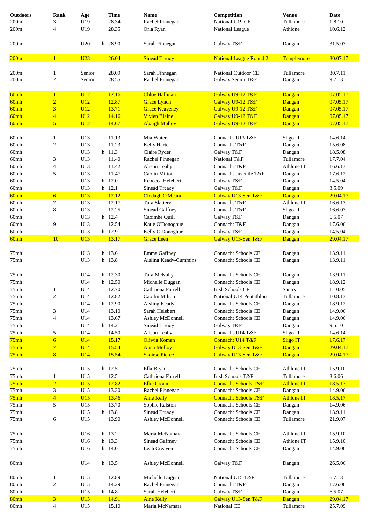| <b>Outdoors</b> | Rank                          | Age             | <b>Time</b>      | <b>Name</b>                     | Competition                                       | <b>Venue</b>            | Date               |
|-----------------|-------------------------------|-----------------|------------------|---------------------------------|---------------------------------------------------|-------------------------|--------------------|
| 200m            | 3                             | U19             | 28.34            | Rachel Finnegan                 | National U19 CE                                   | Tullamore               | 1.8.10             |
| 200m            | 4                             | U19             | 28.35            | Orla Ryan                       | National League                                   | Athlone                 | 10.6.12            |
|                 |                               |                 |                  |                                 |                                                   |                         |                    |
| 200m            |                               | U20             | h 28.90          | Sarah Finnegan                  | Galway T&F                                        | Dangan                  | 31.5.07            |
| 200m            | $\mathbf{1}$                  | U <sub>23</sub> | 26.04            | <b>Sineád Treacy</b>            | <b>National League Round 2</b>                    | Templemore              | 30.07.17           |
| 200m            | $\mathbf{1}$                  | Senior          | 28.09            | Sarah Finnegan                  | National Outdoor CE                               | Tullamore               | 30.7.11            |
| 200m            | $\sqrt{2}$                    | Senior          | 28.55            | Rachel Finnegan                 | Galway Senior T&F                                 | Dangan                  | 9.7.13             |
|                 |                               |                 |                  |                                 |                                                   |                         |                    |
| 60mh            | $\mathbf{1}$                  | U <sub>12</sub> | 12.16            | <b>Chloe Hallinan</b>           | Galway U9-12 T&F                                  | Dangan                  | 07.05.17           |
| 60mh            | $\overline{2}$                | <b>U12</b>      | 12.87            | <b>Grace Lynch</b>              | Galway U9-12 T&F                                  | Dangan                  | 07.05.17           |
| 60mh            | 3                             | <b>U12</b>      | 13.71            | <b>Grace Keaveney</b>           | Galway U9-12 T&F                                  | Dangan                  | 07.05.17           |
| 60mh            | $\overline{4}$                | U12             | 14.16            | <b>Vivien Blaine</b>            | Galway U9-12 T&F                                  | Dangan                  | 07.05.17           |
| 60mh            | $\overline{5}$                | U12             | 14.67            | <b>Abaigh Molloy</b>            | Galway U9-12 T&F                                  | Dangan                  | 07.05.17           |
|                 |                               |                 |                  |                                 |                                                   |                         |                    |
| 60mh            | $\mathbf{1}$                  | U13             | 11.13            | Mia Waters                      | Connacht U13 T&F                                  | Sligo IT                | 14.6.14            |
| 60mh            | $\boldsymbol{2}$              | U13             | 11.23            | Kelly Harte                     | Connacht T&F                                      | Dangan                  | 15.6.08            |
| 60mh            |                               | U13             | h 11.3           | Claire Ryder                    | Galway T&F                                        | Dangan                  | 18.5.08            |
| 60mh            | 3                             | U13             | 11.40            | Rachel Finnegan                 | National T&F                                      | Tullamore<br>Athlone IT | 17.7.04            |
| 60mh            | $\overline{4}$<br>5           | U13             | 11.42            | Alison Leahy<br>Caolin Milton   | Connacht T&F<br>Connacht Juvenile T&F             |                         | 16.6.13<br>17.6.12 |
| 60mh<br>60mh    |                               | U13<br>U13      | 11.47<br>h 12.0  | Rebecca Helebert                | Galway T&F                                        | Dangan<br>Dangan        | 14.5.04            |
| 60mh            |                               | U13             | h 12.1           | Sineád Treacy                   | Galway T&F                                        | Dangan                  | 3.5.09             |
| 60mh            | $\overline{6}$                | U13             | 12.12            | Clodagh O'Meara                 | Galway U13-Sen T&F                                | Dangan                  | 29.04.17           |
| 60mh            | 7                             | U13             | 12.17            | Tara Slattery                   | Connacht T&F                                      | Athlone IT              | 16.6.13            |
| 60mh            | $\,8$                         | U13             | 12.25            | Sinead Gaffney                  | Connacht T&F                                      | Sligo IT                | 16.6.07            |
| 60mh            |                               | U13             | h 12.4           | Caoimhe Quill                   | Galway T&F                                        | Dangan                  | 6.5.07             |
| 60mh            | 9                             | U13             | 12.54            | Katie O'Donoghue                | Connacht T&F                                      | Dangan                  | 17.6.06            |
| 60mh            |                               | U13             | h 12.9           | Kelly O'Donoghue                | Galway T&F                                        | Dangan                  | 14.5.04            |
| 60mh            | 10                            | U13             | 13.17            | <b>Grace Leen</b>               | Galway U13-Sen T&F                                | Dangan                  | 29.04.17           |
|                 |                               |                 |                  |                                 |                                                   |                         |                    |
| 75mh            |                               | U13             | h 13.6           | Emma Gaffney                    | <b>Connacht Schools CE</b>                        | Dangan                  | 13.9.11            |
| 75mh            |                               | U13             | h 13.8           | Aisling Keady-Cummins           | Connacht Schools CE                               | Dangan                  | 13.9.11            |
|                 |                               |                 |                  |                                 |                                                   |                         |                    |
| 75mh            |                               | U14             | h 12.30          | Tara McNally                    | <b>Connacht Schools CE</b>                        | Dangan                  | 13.9.11            |
| 75mh            |                               | U14             | h 12.50          | Michelle Duggan                 | <b>Connacht Schools CE</b>                        | Dangan                  | 18.9.12            |
| 75mh            | 1                             | $\rm U14$       | 12.70            | Cathriona Farrell               | Irish Schools CE                                  | Santry                  | 1.10.05            |
| 75mh            | $\overline{c}$                | U14             | 12.82            | Caoilin Milton                  | National U14 Pentathlon                           | Tullamore               | 10.8.13            |
| 75mh<br>75mh    |                               | U14<br>U14      | h 12.90<br>13.10 | Aisling Keady<br>Sarah Helebert | <b>Connacht Schools CE</b><br>Connacht Schools CE | Dangan                  | 18.9.12<br>14.9.06 |
| 75mh            | 3<br>$\overline{\mathcal{L}}$ | U14             | 13.67            | Ashley McDonnell                | <b>Connacht Schools CE</b>                        | Dangan<br>Dangan        | 14.9.06            |
| 75mh            |                               | U14             | h 14.2           | Sineád Treacy                   | Galway T&F                                        | Dangan                  | 9.5.10             |
| 75mh            | 5                             | U14             | 14.50            | Alison Leahy                    | Connacht U14 T&F                                  | Sligo IT                | 14.6.14            |
| 75mh            | $\overline{6}$                | U14             | 15.17            | Oliwia Koman                    | Connacht U14 T&F                                  | <b>Sligo IT</b>         | 17.6.17            |
| 75mh            | $\overline{7}$                | U14             | 15.54            | <b>Anna Molloy</b>              | Galway U13-Sen T&F                                | Dangan                  | 29.04.17           |
| 75mh            | $\bf{8}$                      | U14             | 15.54            | <b>Saoirse Pierce</b>           | Galway U13-Sen T&F                                | Dangan                  | 29.04.17           |
|                 |                               |                 |                  |                                 |                                                   |                         |                    |
| 75mh            |                               | U15             | h 12.5           | Ella Bryan                      | Connacht Schools CE                               | Athlone IT              | 15.9.10            |
| 75mh            | $\mathbf{1}$                  | U15             | 12.51            | Cathriona Farrell               | Irish Schools T&F                                 | Tullamore               | 3.6.06             |
| 75mh            | $\overline{2}$                | U15             | 12.82            | <b>Ellie Cronin</b>             | <b>Connacht Schools T&amp;F</b>                   | <b>Athlone IT</b>       | 18.5.17            |
| 75mh            | 3                             | U15             | 13.30            | Rachel Finnegan                 | Connacht Schools CE                               | Dangan                  | 14.9.06            |
| 75mh            | $\overline{4}$                | U15             | 13.46            | <b>Aine Kelly</b>               | <b>Connacht Schools T&amp;F</b>                   | <b>Athlone IT</b>       | 18.5.17            |
| 75mh            | 5                             | U15             | 13.70            | Sophie Ralston                  | Connacht Schools CE                               | Dangan                  | 14.9.06            |
| 75mh            |                               | U15             | h 13.8           | Sineád Treacy                   | Connacht Schools CE                               | Dangan                  | 13.9.11            |
| 75mh            | 6                             | U15             | 13.90            | Ashley McDonnell                | <b>Connacht Schools CE</b>                        | Tullamore               | 21.9.07            |
|                 |                               | U16             | h 13.2           | Maria McNamara                  | Connacht Schools CE                               | Athlone IT              | 15.9.10            |
| 75mh<br>75mh    |                               | U16             | h 13.3           | Sinead Gaffney                  | Connacht Schools CE                               | Athlone IT              | 15.9.10            |
| 75mh            |                               | U16             | h 14.0           | Leah Creaven                    | Connacht Schools CE                               |                         | 14.9.06            |
|                 |                               |                 |                  |                                 |                                                   | Dangan                  |                    |
| 80mh            |                               | U14             | h 13.5           | Ashley McDonnell                | Galway T&F                                        | Dangan                  | 26.5.06            |
| 80mh            | $\mathbf{1}$                  | U15             | 12.89            | Michelle Duggan                 | National U15 T&F                                  | Tullamore               | 6.7.13             |
| 80mh            | $\boldsymbol{2}$              | U15             | 14.29            | Rachel Finnegan                 | Connacht T&F                                      | Dangan                  | 17.6.06            |
| 80mh            |                               | U15             | h 14.8           | Sarah Helebert                  | Galway T&F                                        | Dangan                  | 6.5.07             |
| 80mh            | $\overline{3}$                | U15             | 14.91            | <b>Aine Kelly</b>               | Galway U13-Sen T&F                                | Dangan                  | 29.04.17           |
| 80mh            | $\overline{4}$                | U15             | 15.10            | Maria McNamara                  | National CE                                       | Tullamore               | 25.7.09            |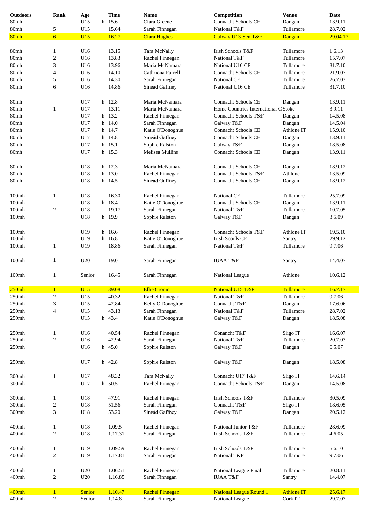| <b>Outdoors</b>                           | Rank                    | Age        | <b>Time</b> | <b>Name</b>            | Competition                          | <b>Venue</b>      | Date     |
|-------------------------------------------|-------------------------|------------|-------------|------------------------|--------------------------------------|-------------------|----------|
| 80mh                                      |                         | U15        | h 15.6      | Ciara Greene           | Connacht Schools CE                  | Dangan            | 13.9.11  |
|                                           |                         |            |             |                        |                                      |                   |          |
| 80mh                                      | 5                       | U15        | 15.64       | Sarah Finnegan         | National T&F                         | Tullamore         | 28.7.02  |
| 80mh                                      | $6 \overline{6}$        | U15        | 16.27       | <b>Ciara Hughes</b>    | Galway U13-Sen T&F                   | Dangan            | 29.04.17 |
|                                           |                         |            |             |                        |                                      |                   |          |
| 80mh                                      | $\mathbf{1}$            | U16        | 13.15       | Tara McNally           | Irish Schools T&F                    | Tullamore         | 1.6.13   |
| 80mh                                      | $\overline{c}$          | U16        | 13.83       | Rachel Finnegan        | National T&F                         | Tullamore         | 15.7.07  |
|                                           |                         |            |             |                        |                                      |                   |          |
| 80mh                                      | 3                       | U16        | 13.96       | Maria McNamara         | National U16 CE                      | Tullamore         | 31.7.10  |
| 80mh                                      | 4                       | U16        | 14.10       | Cathriona Farrell      | Connacht Schools CE                  | Tullamore         | 21.9.07  |
| 80mh                                      | 5                       | U16        | 14.30       | Sarah Finnegan         | National CE                          | Tullamore         | 26.7.03  |
| 80mh                                      | 6                       | U16        | 14.86       | Sinead Gaffney         | National U16 CE                      | Tullamore         | 31.7.10  |
|                                           |                         |            |             |                        |                                      |                   |          |
|                                           |                         |            |             |                        |                                      |                   |          |
| 80mh                                      |                         | U17        | h 12.8      | Maria McNamara         | Connacht Schools CE                  | Dangan            | 13.9.11  |
| 80mh                                      | 1                       | U17        | 13.11       | Maria McNamara         | Home Countries International C Stoke |                   | 3.9.11   |
| 80mh                                      |                         | U17        | h 13.2      | Rachel Finnegan        | Connacht Schools T&F                 | Dangan            | 14.5.08  |
| 80mh                                      |                         | U17        | h 14.0      | Sarah Finnegan         | Galway T&F                           | Dangan            | 14.5.04  |
|                                           |                         |            |             |                        |                                      |                   |          |
| 80mh                                      |                         | U17        | h 14.7      | Katie O'Donoghue       | <b>Connacht Schools CE</b>           | Athlone IT        | 15.9.10  |
| 80mh                                      |                         | U17        | h 14.8      | Sineád Gaffney         | <b>Connacht Schools CE</b>           | Dangan            | 13.9.11  |
| 80mh                                      |                         | U17        | h 15.1      | Sophie Ralston         | Galway T&F                           | Dangan            | 18.5.08  |
| 80mh                                      |                         | U17        | h 15.3      | Melissa Mullins        | <b>Connacht Schools CE</b>           | Dangan            | 13.9.11  |
|                                           |                         |            |             |                        |                                      |                   |          |
|                                           |                         |            |             |                        |                                      |                   |          |
| 80mh                                      |                         | U18        | h 12.3      | Maria McNamara         | Connacht Schools CE                  | Dangan            | 18.9.12  |
| 80mh                                      |                         | U18        | h 13.0      | Rachel Finnegan        | Connacht Schools T&F                 | Athlone           | 13.5.09  |
| 80mh                                      |                         | U18        | h 14.5      | Sineád Gaffney         | Connacht Schools CE                  | Dangan            | 18.9.12  |
|                                           |                         |            |             |                        |                                      |                   |          |
|                                           |                         |            |             |                        |                                      |                   |          |
| $100m$ h                                  | $\mathbf{1}$            | U18        | 16.30       | Rachel Finnegan        | National CE                          | Tullamore         | 25.7.09  |
| $100m$ h                                  |                         | U18        | h 18.4      | Katie O'Donoghue       | <b>Connacht Schools CE</b>           | Dangan            | 13.9.11  |
| $100m$ h                                  | $\overline{c}$          | U18        | 19.17       | Sarah Finnegan         | National T&F                         | Tullamore         | 10.7.05  |
|                                           |                         |            |             |                        |                                      |                   |          |
| 100 <sub>mh</sub>                         |                         | U18        | h 19.9      | Sophie Ralston         | Galway T&F                           | Dangan            | 3.5.09   |
|                                           |                         |            |             |                        |                                      |                   |          |
| $100m$ h                                  |                         | U19        | h 16.6      | Rachel Finnegan        | Connacht Schools T&F                 | Athlone IT        | 19.5.10  |
| $100m$ h                                  |                         | U19        | h 16.8      | Katie O'Donoghue       | Irish Scools CE                      | Santry            | 29.9.12  |
|                                           |                         |            |             |                        |                                      |                   |          |
| $100m$ h                                  | 1                       | U19        | 18.86       | Sarah Finnegan         | National T&F                         | Tullamore         | 9.7.06   |
|                                           |                         |            |             |                        |                                      |                   |          |
| $100m$ h                                  | 1                       | U20        | 19.01       | Sarah Finnegan         | <b>IUAA T&amp;F</b>                  | Santry            | 14.4.07  |
|                                           |                         |            |             |                        |                                      |                   |          |
|                                           |                         |            |             |                        |                                      |                   |          |
| $100m$ h                                  | 1                       | Senior     | 16.45       | Sarah Finnegan         | National League                      | Athlone           | 10.6.12  |
|                                           |                         |            |             |                        |                                      |                   |          |
| 250mh                                     | $\mathbf{1}$            | <b>U15</b> | 39.08       | <b>Ellie Cronin</b>    | National U15 T&F                     | Tullamore         | 16.7.17  |
| 250mh                                     | $\overline{c}$          | U15        | 40.32       | Rachel Finnegan        | National T&F                         | Tullamore         | 9.7.06   |
| 250mh                                     | 3                       | U15        | 42.84       | Kelly O'Donoghue       | Connacht T&F                         | Dangan            | 17.6.06  |
|                                           |                         |            |             |                        |                                      |                   |          |
| 250mh                                     | 4                       | U15        | 43.13       | Sarah Finnegan         | National T&F                         | Tullamore         | 28.7.02  |
| 250mh                                     |                         | U15        | h 43.4      | Katie O'Donoghue       | Galway T&F                           | Dangan            | 18.5.08  |
|                                           |                         |            |             |                        |                                      |                   |          |
|                                           |                         |            |             |                        |                                      |                   |          |
| 250mh                                     | $\mathbf{1}$            | U16        | 40.54       | Rachel Finnegan        | Conancht T&F                         | Sligo IT          | 16.6.07  |
| 250mh                                     | $\overline{\mathbf{c}}$ | U16        | 42.94       | Sarah Finnegan         | National T&F                         | Tullamore         | 20.7.03  |
| 250mh                                     |                         | U16        | h 45.0      | Sophie Ralston         | Galway T&F                           | Dangan            | 6.5.07   |
|                                           |                         |            |             |                        |                                      |                   |          |
|                                           |                         |            |             |                        |                                      |                   |          |
| 250mh                                     |                         | U17        | h 42.8      | Sophie Ralston         | Galway T&F                           | Dangan            | 18.5.08  |
|                                           |                         |            |             |                        |                                      |                   |          |
| 300mh                                     | 1                       | U17        | 48.32       | Tara McNally           | Connacht U17 T&F                     | Sligo IT          | 14.6.14  |
| 300mh                                     |                         | U17        | h 50.5      | Rachel Finnegan        | Connacht Schools T&F                 | Dangan            | 14.5.08  |
|                                           |                         |            |             |                        |                                      |                   |          |
|                                           |                         |            |             |                        |                                      |                   |          |
| 300mh                                     | $\mathbf{1}$            | U18        | 47.91       | Rachel Finnegan        | Irish Schools T&F                    | Tullamore         | 30.5.09  |
| 300mh                                     | $\overline{\mathbf{c}}$ | U18        | 51.56       | Sarah Finnegan         | Connacht T&F                         | Sligo IT          | 18.6.05  |
| 300mh                                     | 3                       | U18        | 53.20       | Sineád Gaffney         | Galway T&F                           | Dangan            | 20.5.12  |
|                                           |                         |            |             |                        |                                      |                   |          |
|                                           |                         |            |             |                        |                                      |                   |          |
|                                           |                         |            | 1.09.5      | Rachel Finnegan        | National Junior T&F                  | Tullamore         | 28.6.09  |
|                                           | 1                       | U18        |             | Sarah Finnegan         | Irish Schools T&F                    | Tullamore         | 4.6.05   |
|                                           | $\overline{c}$          | U18        | 1.17.31     |                        |                                      |                   |          |
|                                           |                         |            |             |                        |                                      |                   |          |
|                                           |                         |            |             |                        |                                      |                   |          |
|                                           | $\mathbf{1}$            | U19        | 1.09.59     | Rachel Finnegan        | Irish Schools T&F                    | Tullamore         | 5.6.10   |
|                                           | 2                       | U19        | 1.17.81     | Sarah Finnegan         | National T&F                         | Tullamore         | 9.7.06   |
|                                           |                         |            |             |                        |                                      |                   |          |
|                                           |                         |            |             |                        |                                      |                   |          |
| 400mh<br>400mh<br>400mh<br>400mh<br>400mh | 1                       | U20        | 1.06.51     | Rachel Finnegan        | National League Final                | Tullamore         | 20.8.11  |
| 400mh                                     | 2                       | U20        | 1.16.85     | Sarah Finnegan         | <b>IUAA T&amp;F</b>                  | Santry            | 14.4.07  |
|                                           |                         |            |             |                        |                                      |                   |          |
| 400mh                                     | $\mathbf{1}$            | Senior     | 1.10.47     | <b>Rachel Finnegan</b> | <b>National League Round 1</b>       | <b>Athlone IT</b> | 25.6.17  |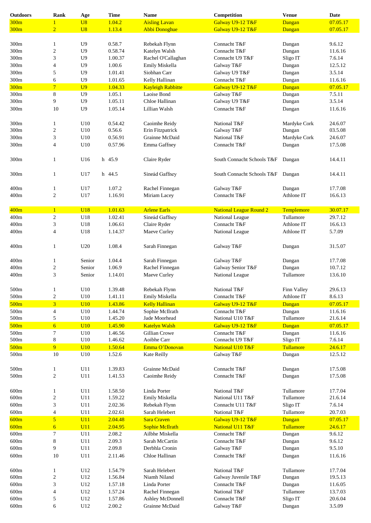| <b>Outdoors</b> | Rank                     | Age            | <b>Time</b> | <b>Name</b>              | Competition                       | <b>Venue</b> | <b>Date</b> |
|-----------------|--------------------------|----------------|-------------|--------------------------|-----------------------------------|--------------|-------------|
| 300m            |                          | U8             | 1.04.2      | <b>Aisling Lavan</b>     | Galway U9-12 T&F                  | Dangan       | 07.05.17    |
| 300m            | $\overline{2}$           | U8             | 1.13.4      | <b>Abbi Donoghue</b>     | Galway U9-12 T&F                  | Dangan       | 07.05.17    |
|                 |                          |                |             |                          |                                   |              |             |
| 300m            | $\mathbf{1}$             | U <sub>9</sub> | 0.58.7      | Rebekah Flynn            | Connacht T&F                      | Dangan       | 9.6.12      |
|                 |                          | U <sub>9</sub> | 0.58.74     | Katelyn Walsh            | Connacht T&F                      |              | 11.6.16     |
| 300m            | $\overline{\mathbf{c}}$  |                |             |                          |                                   | Dangan       |             |
| 300m            | 3                        | U <sub>9</sub> | 1.00.37     | Rachel O'Callaghan       | Connacht U9 T&F                   | Sligo IT     | 7.6.14      |
| 300m            | 4                        | U <sub>9</sub> | 1.00.6      | Emily Miskella           | Galway T&F                        | Dangan       | 12.5.12     |
| 300m            | 5                        | U <sub>9</sub> | 1.01.41     | Siobhan Carr             | Galway U9 T&F                     | Dangan       | 3.5.14      |
| 300m            | 6                        | U <sub>9</sub> | 1.01.65     | Kelly Hallinan           | Connacht T&F                      | Dangan       | 11.6.16     |
| 300m            | $\overline{7}$           | U <sub>9</sub> | 1.04.33     | <b>Kayleigh Rabbitte</b> | Galway U9-12 T&F                  | Dangan       | 07.05.17    |
| 300m            | 8                        | U <sub>9</sub> | 1.05.1      | Laoise Bond              | Galway T&F                        | Dangan       | 7.5.11      |
| 300m            | 9                        | U <sub>9</sub> | 1.05.11     | Chloe Hallinan           | Galway U9 T&F                     | Dangan       | 3.5.14      |
| 300m            | 10                       | U <sub>9</sub> | 1.05.14     | Lillian Walsh            | Connacht T&F                      | Dangan       | 11.6.16     |
|                 |                          |                |             |                          |                                   |              |             |
|                 |                          |                |             |                          |                                   |              |             |
| 300m            | $\mathbf{1}$             | U10            | 0.54.42     | Caoimhe Reidy            | National T&F                      | Mardyke Cork | 24.6.07     |
| 300m            | 2                        | U10            | 0.56.6      | Erin Fitzpatrick         | Galway T&F                        | Dangan       | 03.5.08     |
| 300m            | 3                        | U10            | 0.56.91     | Grainne McDaid           | National T&F                      | Mardyke Cork | 24.6.07     |
| 300m            | $\overline{\mathcal{L}}$ | U10            | 0.57.96     | Emma Gaffney             | Connacht T&F                      | Dangan       | 17.5.08     |
|                 |                          |                |             |                          |                                   |              |             |
| 300m            | $\mathbf{1}$             | U16            | h 45.9      | Claire Ryder             | South Connacht Schools T&F        | Dangan       | 14.4.11     |
| 300m            | $\mathbf{1}$             | U17            | h 44.5      | Sineád Gaffney           | South Connacht Schools T&F Dangan |              | 14.4.11     |
|                 |                          |                |             |                          |                                   |              |             |
| 400m            | $\mathbf{1}$             | U17            | 1.07.2      | Rachel Finnegan          | Galway T&F                        | Dangan       | 17.7.08     |
| 400m            | $\sqrt{2}$               | U17            | 1.16.91     | Miriam Lacey             | Connacht T&F                      | Athlone IT   | 16.6.13     |
|                 |                          |                |             |                          |                                   |              |             |
| 400m            | $\mathbf{1}$             | <b>U18</b>     | 1.01.63     | <b>Arlene Earls</b>      | <b>National League Round 2</b>    | Templemore   | 30.07.17    |
| 400m            | $\boldsymbol{2}$         | U18            | 1.02.41     | Sineád Gaffney           | National League                   | Tullamore    | 29.7.12     |
| 400m            | 3                        | U18            | 1.06.61     | Claire Ryder             | Connacht T&F                      | Athlone IT   | 16.6.13     |
| 400m            | 4                        | U18            | 1.14.37     |                          |                                   | Athlone IT   | 5.7.09      |
|                 |                          |                |             | Maeve Curley             | National League                   |              |             |
| 400m            | $\mathbf{1}$             | U20            | 1.08.4      | Sarah Finnegan           | Galway T&F                        | Dangan       | 31.5.07     |
| 400m            | $\mathbf{1}$             | Senior         | 1.04.4      | Sarah Finnegan           | Galway T&F                        | Dangan       | 17.7.08     |
| 400m            | $\sqrt{2}$               | Senior         | 1.06.9      | Rachel Finnegan          | Galway Senior T&F                 | Dangan       | 10.7.12     |
| 400m            | 3                        | Senior         | 1.14.01     | Maeve Curley             | National League                   | Tullamore    | 13.6.10     |
|                 |                          |                |             |                          |                                   |              |             |
| $500\mathrm{m}$ | 1                        | $\rm U10$      | 1.39.48     | Rebekah Flynn            | National T&F                      | Finn Valley  | 29.6.13     |
| 500m            | $\boldsymbol{2}$         | U10            | 1.41.11     | Emily Miskella           | Connacht T&F                      | Athlone IT   | 8.6.13      |
|                 |                          |                |             |                          |                                   |              |             |
| 500m            | $\overline{\mathbf{3}}$  | <b>U10</b>     | 1.43.86     | <b>Kelly Hallinan</b>    | Galway U9-12 T&F                  | Dangan       | 07.05.17    |
| 500m            | $\overline{\mathcal{A}}$ | U10            | 1.44.74     | Sophie McIlrath          | Connacht T&F                      | Dangan       | 11.6.16     |
| 500m            | 5                        | U10            | 1.45.20     | Jade Moorhead            | National U10 T&F                  | Tullamore    | 21.6.14     |
| 500m            | $\overline{6}$           | <b>U10</b>     | 1.45.90     | <b>Katelyn Walsh</b>     | Galway U9-12 T&F                  | Dangan       | 07.05.17    |
| 500m            | $\tau$                   | U10            | 1.46.56     | Gillian Crowe            | Connacht T&F                      | Dangan       | 11.6.16     |
| 500m            | 8                        | U10            | 1.46.62     | Aoibhe Carr              | Connacht U9 T&F                   | Sligo IT     | 7.6.14      |
| 500m            | 9                        | U10            | 1.50.64     | Emma O'Donovan           | National U10 T&F                  | Tullamore    | 24.6.17     |
| $500\mathrm{m}$ | 10                       | U10            | 1.52.6      | Kate Reilly              | Galway T&F                        | Dangan       | 12.5.12     |
|                 |                          |                |             |                          |                                   |              |             |
|                 |                          |                |             |                          |                                   |              |             |
| $500\mathrm{m}$ | $\mathbf{1}$             | U11            | 1.39.83     | Grainne McDaid           | Connacht T&F                      | Dangan       | 17.5.08     |
| 500m            | $\boldsymbol{2}$         | U11            | 1.41.53     | Caoimhe Reidy            | Connacht T&F                      | Dangan       | 17.5.08     |
|                 |                          |                |             |                          |                                   |              |             |
| 600m            | $\mathbf{1}$             | U11            | 1.58.50     | Linda Porter             | National T&F                      | Tullamore    | 17.7.04     |
| 600m            | $\boldsymbol{2}$         | U11            | 1.59.22     | Emily Miskella           | National U11 T&F                  | Tullamore    | 21.6.14     |
| 600m            | 3                        | U11            | 2.02.36     | Rebekah Flynn            | Connacht U11 T&F                  | Sligo IT     | 7.6.14      |
| 600m            | $\overline{\mathcal{L}}$ | U11            | 2.02.61     | Sarah Helebert           | National T&F                      | Tullamore    | 20.7.03     |
| 600m            | 5                        | U11            | 2.04.48     | <b>Sara Craven</b>       | Galway U9-12 T&F                  | Dangan       | 07.05.17    |
|                 |                          |                |             |                          |                                   |              |             |
| 600m            | $\overline{6}$           | U11            | 2.04.95     | <b>Sophie McIlrath</b>   | National U11 T&F                  | Tullamore    | 24.6.17     |
| $600\mathrm{m}$ | $\overline{7}$           | U11            | 2.08.2      | Ailbhe Miskella          | Connacht T&F                      | Dangan       | 9.6.12      |
| $600\mathrm{m}$ | 8                        | U11            | 2.09.3      | Sarah McCartin           | Connacht T&F                      | Dangan       | 9.6.12      |
| 600m            | 9                        | U11            | 2.09.8      | Derbhla Cronin           | Galway T&F                        | Dangan       | 9.5.10      |
| 600m            | 10                       | U11            | 2.11.46     | Chloe Hallinan           | Connacht T&F                      | Dangan       | 11.6.16     |
|                 |                          |                |             |                          |                                   |              |             |
| 600m            | $\mathbf{1}$             | U12            | 1.54.79     | Sarah Helebert           | National T&F                      | Tullamore    | 17.7.04     |
| 600m            | 2                        | $\rm U12$      | 1.56.84     | Niamh Niland             | Galway Juvenile T&F               | Dangan       | 19.5.13     |
|                 |                          |                |             |                          |                                   |              |             |
| 600m            | 3                        | $\rm U12$      | 1.57.18     | Linda Porter             | Connacht T&F                      | Dangan       | 11.6.05     |
| $600\mathrm{m}$ | 4                        | U12            | 1.57.24     | Rachel Finnegan          | National T&F                      | Tullamore    | 13.7.03     |
| $600\mathrm{m}$ | 5                        | $\rm U12$      | 1.57.86     | Ashley McDonnell         | Connacht T&F                      | Sligo IT     | 20.6.04     |
| $600\mathrm{m}$ | 6                        | $\rm U12$      | 2.00.2      | Grainne McDaid           | Galway T&F                        | Dangan       | 3.5.09      |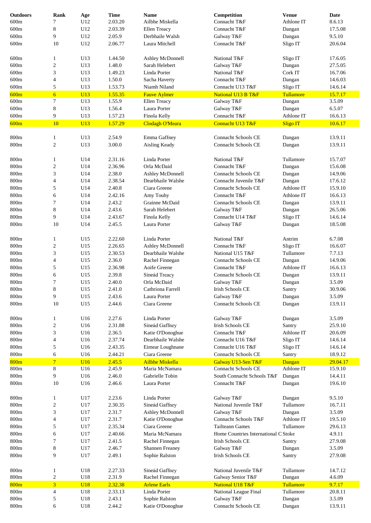| <b>Outdoors</b> | Rank             | Age        | <b>Time</b> | <b>Name</b>            | Competition                          | <b>Venue</b>     | Date     |
|-----------------|------------------|------------|-------------|------------------------|--------------------------------------|------------------|----------|
| 600m            | 7                | U12        | 2.03.20     | Ailbhe Miskella        | Connacht T&F                         | Athlone IT       | 8.6.13   |
|                 |                  |            |             |                        |                                      |                  | 17.5.08  |
| 600m            | $\,8\,$          | U12        | 2.03.39     | Ellen Treacy           | Connacht T&F                         | Dangan           |          |
| 600m            | 9                | U12        | 2.05.9      | Derbhaile Walsh        | Galway T&F                           | Dangan           | 9.5.10   |
| 600m            | 10               | U12        | 2.06.77     | Laura Mitchell         | Connacht T&F                         | Sligo IT         | 20.6.04  |
| 600m            | $\mathbf{1}$     | U13        | 1.44.50     | Ashley McDonnell       | National T&F                         | Sligo IT         | 17.6.05  |
| 600m            | $\sqrt{2}$       | U13        | 1.48.0      | Sarah Helebert         | Galway T&F                           | Dangan           | 27.5.05  |
| 600m            | 3                | U13        | 1.49.23     | Linda Porter           | National T&F                         | Cork IT          | 16.7.06  |
| 600m            | 4                | U13        | 1.50.0      | Sacha Haverty          | Connacht T&F                         | Dangan           | 14.6.03  |
| 600m            | $\sqrt{5}$       | U13        | 1.53.73     | Niamh Niland           | Connacht U13 T&F                     | Sligo IT         | 14.6.14  |
|                 | 6                |            |             |                        |                                      |                  |          |
| 600m            |                  | U13        | 1.55.35     | <b>Fauve Aylmer</b>    | National U13 B T&F                   | Tullamore        | 15.7.17  |
| 600m            | 7                | U13        | 1.55.9      | Ellen Treacy           | Galway T&F                           | Dangan           | 3.5.09   |
| 600m            | $\,8\,$          | U13        | 1.56.4      | Laura Porter           | Galway T&F                           | Dangan           | 6.5.07   |
| 600m            | 9                | U13        | 1.57.23     | Finola Kelly           | Connacht T&F                         | Athlone IT       | 16.6.13  |
| 600m            | 10               | U13        | 1.57.29     | Clodagh O'Meara        | Connacht U13 T&F                     | <b>Sligo IT</b>  | 10.6.17  |
|                 |                  |            |             |                        |                                      |                  |          |
| 800m            | $\mathbf{1}$     | U13        | 2.54.9      | Emma Gaffney           | Connacht Schools CE                  | Dangan           | 13.9.11  |
| 800m            | $\overline{c}$   | U13        | 3.00.0      | Aisling Keady          | Connacht Schools CE                  | Dangan           | 13.9.11  |
| 800m            | $\mathbf{1}$     | U14        | 2.31.16     | Linda Porter           | National T&F                         | Tullamore        | 15.7.07  |
| 800m            | $\boldsymbol{2}$ | U14        | 2.36.96     | Orla McDaid            | Connacht T&F                         | Dangan           | 15.6.08  |
| 800m            | $\mathfrak z$    | U14        | 2.38.0      | Ashley McDonnell       | Connacht Schools CE                  | Dangan           | 14.9.06  |
| 800m            | $\overline{4}$   | U14        | 2.38.54     | Dearbhaile Walshe      | Connacht Juvenile T&F                | Dangan           | 17.6.12  |
| 800m            | $\sqrt{5}$       | U14        | 2.40.8      | Ciara Greene           | <b>Connacht Schools CE</b>           | Athlone IT       | 15.9.10  |
| 800m            | 6                | U14        | 2.42.16     | Amy Touhy              | Connacht T&F                         | Athlone IT       | 16.6.13  |
| 800m            | 7                | U14        | 2.43.2      | Grainne McDaid         | Connacht Schools CE                  |                  | 13.9.11  |
|                 |                  |            |             |                        |                                      | Dangan           |          |
| 800m            | $\,8$            | U14        | 2.43.6      | Sarah Helebert         | Galway T&F                           | Dangan           | 26.5.06  |
| 800m            | 9                | U14        | 2.43.67     | Finola Kelly           | Connacht U14 T&F                     | Sligo IT         | 14.6.14  |
| 800m            | 10               | U14        | 2.45.5      | Laura Porter           | Galway T&F                           | Dangan           | 18.5.08  |
| 800m            | $\mathbf{1}$     | U15        | 2.22.60     | Linda Porter           | National T&F                         | Antrim           | 6.7.08   |
| 800m            | $\overline{c}$   | U15        | 2.26.65     | Ashley McDonnell       | Connacht T&F                         | Sligo IT         | 16.6.07  |
| 800m            | 3                | U15        | 2.30.53     | Dearbhaile Walshe      | National U15 T&F                     | Tullamore        | 7.7.13   |
| 800m            | $\overline{4}$   | U15        | 2.36.0      |                        | Connacht Schools CE                  |                  | 14.9.06  |
|                 |                  |            |             | Rachel Finnegan        |                                      | Dangan           |          |
| 800m            | 5                | U15        | 2.36.98     | Aoife Greene           | Connacht T&F                         | Athlone IT       | 16.6.13  |
| 800m            | 6                | U15        | 2.39.8      | Sineád Treacy          | Connacht Schools CE                  | Dangan           | 13.9.11  |
| 800m            | 7                | U15        | 2.40.0      | Orla McDaid            | Galway T&F                           | Dangan           | 3.5.09   |
| 800m            | 8                | U15        | 2.41.0      | Cathriona Farrell      | Irish Schools CE                     | Santry           | 30.9.06  |
| 800m            | 9                | U15        | 2.43.6      | Laura Porter           | Galway T&F                           | Dangan           | 3.5.09   |
| 800m            | 10               | U15        | 2.44.6      | Ciara Greene           | Connacht Schools CE                  | Dangan           | 13.9.11  |
| 800m            | $\mathbf{1}$     | U16        | 2.27.6      | Linda Porter           | Galway T&F                           | Dangan           | 3.5.09   |
| 800m            | $\sqrt{2}$       | U16        | 2.31.88     | Sineád Gaffney         | Irish Schools CE                     | Santry           | 25.9.10  |
| 800m            | 3                | U16        | 2.36.5      | Katie O'Donoghue       | Connacht T&F                         | Athlone IT       | 20.6.09  |
| 800m            | $\overline{4}$   | U16        | 2.37.74     | Dearbhaile Walshe      | Connacht U16 T&F                     | Sligo IT         | 14.6.14  |
|                 |                  |            |             |                        |                                      |                  |          |
| 800m            | $\sqrt{5}$       | U16        | 2.43.35     | Eimear Loughnane       | Connacht U16 T&F                     | Sligo IT         | 14.6.14  |
| 800m            | 6                | U16        | 2.44.21     | Ciara Greene           | Connacht Schools CE                  | Santry           | 18.9.12  |
| 800m            | $\overline{7}$   | U16        | 2.45.5      | <b>Ailbhe Miskella</b> | Galway U13-Sen T&F                   | Dangan           | 29.04.17 |
| 800m            | $\,8$            | U16        | 2.45.9      | Maria McNamara         | Connacht Schools CE                  | Athlone IT       | 15.9.10  |
| 800m            | 9                | U16        | 2.46.0      | Gabrielle Tobin        | South Connacht Schools T&F           | Dangan           | 14.4.11  |
| 800m            | 10               | U16        | 2.46.6      | Laura Porter           | Connacht T&F                         | Dangan           | 19.6.10  |
| 800m            | $\mathbf{1}$     | U17        | 2.23.6      | Linda Porter           | Galway T&F                           | Dangan           | 9.5.10   |
| 800m            | $\sqrt{2}$       | U17        | 2.30.35     | Sineád Gaffney         | National Juvenile T&F                | Tullamore        | 16.7.11  |
| 800m            | 3                | U17        | 2.31.7      | Ashley McDonnell       | Galway T&F                           | Dangan           | 3.5.09   |
| 800m            | $\overline{4}$   | U17        | 2.31.7      | Katie O'Donoghue       | Connacht Schools T&F                 | Athlone IT       | 19.5.10  |
|                 |                  |            |             |                        | <b>Tailteann Games</b>               | Tullamore        |          |
| 800m            | $\sqrt{5}$       | U17        | 2.35.34     | Ciara Greene           |                                      |                  | 29.6.13  |
| 800m            | 6                | U17        | 2.40.66     | Maria McNamara         | Home Countries International C Stoke |                  | 4.9.11   |
| 800m            | 7                | U17        | 2.41.5      | Rachel Finnegan        | Irish Schools CE                     | Santry           | 27.9.08  |
| 800m            | $\,$ 8 $\,$      | U17        | 2.46.7      | Shannen Freaney        | Galway T&F                           | Dangan           | 3.5.09   |
| 800m            | 9                | U17        | 2.49.1      | Sophie Ralston         | Irish Schools CE                     | Santry           | 27.9.08  |
| 800m            | $\mathbf{1}$     | U18        | 2.27.33     | Sineád Gaffney         | National Juvenile T&F                | Tullamore        | 14.7.12  |
| 800m            | $\sqrt{2}$       | U18        | 2.31.9      | Rachel Finnegan        | Galway Senior T&F                    | Dangan           | 4.6.09   |
| 800m            | $\overline{3}$   | <b>U18</b> | 2.32.38     | <b>Arlene Earls</b>    | National U18 T&F                     | <b>Tullamore</b> | 9.7.17   |
|                 |                  |            |             | Linda Porter           |                                      | Tullamore        |          |
| 800m            | $\overline{4}$   | U18        | 2.33.13     |                        | National League Final                |                  | 20.8.11  |
| 800m            | 5                | U18        | 2.43.1      | Sophie Ralston         | Galway T&F                           | Dangan           | 3.5.09   |
| 800m            | 6                | U18        | 2.44.2      | Katie O'Donoghue       | Connacht Schools CE                  | Dangan           | 13.9.11  |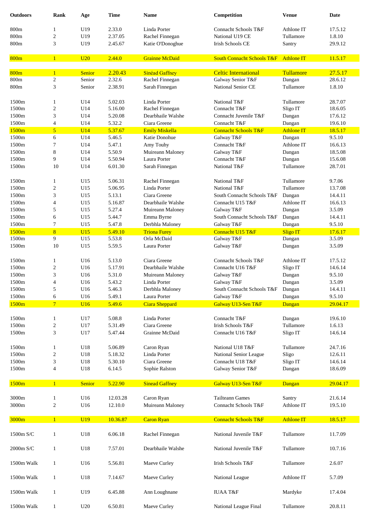| <b>Outdoors</b> | Rank                    | Age             | <b>Time</b> | <b>Name</b>           | Competition                           | <b>Venue</b>      | Date     |
|-----------------|-------------------------|-----------------|-------------|-----------------------|---------------------------------------|-------------------|----------|
| 800m            | 1                       | U19             | 2.33.0      | Linda Porter          | Connacht Schools T&F                  | Athlone IT        | 17.5.12  |
| 800m            | $\overline{\mathbf{c}}$ | U19             | 2.37.05     | Rachel Finnegan       | National U19 CE                       | Tullamore         | 1.8.10   |
| 800m            | 3                       | U19             | 2.45.67     | Katie O'Donoghue      | Irish Schools CE                      | Santry            | 29.9.12  |
| 800m            | $\mathbf{1}$            | U20             | 2.44.0      | <b>Grainne McDaid</b> | <b>South Connacht Schools T&amp;F</b> | <b>Athlone IT</b> | 11.5.17  |
| 800m            | $\mathbf{1}$            | <b>Senior</b>   | 2.20.43     | <b>Sinéad Gaffney</b> | <b>Celtic International</b>           | Tullamore         | 27.5.17  |
| 800m            | $\overline{c}$          | Senior          | 2.32.6      | Rachel Finnegan       | Galway Senior T&F                     | Dangan            | 28.6.12  |
| 800m            | 3                       | Senior          | 2.38.91     | Sarah Finnegan        | National Senior CE                    | Tullamore         | 1.8.10   |
| 1500m           | 1                       | U14             | 5.02.03     | Linda Porter          | National T&F                          | Tullamore         | 28.7.07  |
| 1500m           | 2                       | U14             | 5.16.00     | Rachel Finnegan       | Connacht T&F                          | Sligo IT          | 18.6.05  |
| 1500m           | 3                       | U14             | 5.20.08     | Dearbhaile Walshe     | Connacht Juvenile T&F                 | Dangan            | 17.6.12  |
| 1500m           | 4                       | U14             | 5.32.2      | Ciara Greene          | Connacht T&F                          | Dangan            | 19.6.10  |
| 1500m           | 5                       | <b>U14</b>      | 5.37.67     | <b>Emily Miskella</b> | <b>Connacht Schools T&amp;F</b>       | <b>Athlone IT</b> | 18.5.17  |
| 1500m           | 6                       | U14             | 5.46.5      | Katie Donohue         | Galway T&F                            | Dangan            | 9.5.10   |
| 1500m           | 7                       | U14             | 5.47.1      | Amy Touhy             | Connacht T&F                          | Athlone IT        | 16.6.13  |
| 1500m           | 8                       | U14             | 5.50.9      | Muireann Maloney      | Galway T&F                            | Dangan            | 18.5.08  |
| 1500m           | 9                       | U14             | 5.50.94     | Laura Porter          | Connacht T&F                          | Dangan            | 15.6.08  |
| 1500m           | 10                      | U14             | 6.01.30     | Sarah Finnegan        | National T&F                          | Tullamore         | 28.7.01  |
| 1500m           | 1                       | U15             | 5.06.31     | Rachel Finnegan       | National T&F                          | Tullamore         | 9.7.06   |
| 1500m           | $\overline{\mathbf{c}}$ | U15             | 5.06.95     | Linda Porter          | National T&F                          | Tullamore         | 13.7.08  |
| 1500m           | 3                       | U15             | 5.13.1      | Ciara Greene          | South Connacht Schools T&F            | Dangan            | 14.4.11  |
| 1500m           | 4                       | U15             | 5.16.87     | Dearbhaile Walshe     | Connacht U15 T&F                      | Athlone IT        | 16.6.13  |
|                 |                         |                 |             |                       |                                       |                   |          |
| 1500m           | 5                       | U15             | 5.27.4      | Muireann Maloney      | Galway T&F                            | Dangan            | 3.5.09   |
| 1500m           | 6                       | U15             | 5.44.7      | Emma Byrne            | South Connacht Schools T&F            | Dangan            | 14.4.11  |
| 1500m           | 7                       | U15             | 5.47.8      | Derbhla Maloney       | Galway T&F                            | Dangan            | 9.5.10   |
| 1500m           | 8                       | U15             | 5.49.10     | <b>Triona Furey</b>   | Connacht U15 T&F                      | <b>Sligo IT</b>   | 17.6.17  |
| 1500m           | 9                       | U15             | 5.53.8      | Orla McDaid           | Galway T&F                            | Dangan            | 3.5.09   |
| 1500m           | 10                      | U15             | 5.59.5      | Laura Porter          | Galway T&F                            | Dangan            | 3.5.09   |
| 1500m           | 1                       | U16             | 5.13.0      | Ciara Greene          | Connacht Schools T&F                  | Athlone IT        | 17.5.12  |
| 1500m           | 2                       | U16             | 5.17.91     | Dearbhaile Walshe     | Connacht U16 T&F                      | Sligo IT          | 14.6.14  |
| 1500m           | 3                       | U16             | 5.31.0      | Muireann Maloney      | Galway T&F                            | Dangan            | 9.5.10   |
| 1500m           | 4                       | U16             | 5.43.2      | Linda Porter          | Galway T&F                            | Dangan            | 3.5.09   |
| 1500m           | 5                       | U16             | 5.46.3      | Derbhla Maloney       | South Connacht Schools T&F Dangan     |                   | 14.4.11  |
| 1500m           | 6                       | U16             | 5.49.1      | Laura Porter          | Galway T&F                            | Dangan            | 9.5.10   |
| 1500m           | 7 <sup>1</sup>          | <b>U16</b>      | 5.49.6      | <b>Ciara Sheppard</b> | Galway U13-Sen T&F                    | Dangan            | 29.04.17 |
|                 |                         |                 |             |                       |                                       |                   |          |
| 1500m           | 1                       | U17             | 5.08.8      | Linda Porter          | Connacht T&F                          | Dangan            | 19.6.10  |
| 1500m           | 2                       | U17             | 5.31.49     | Ciara Greene          | Irish Schools T&F                     | Tullamore         | 1.6.13   |
| 1500m           | 3                       | U17             | 5.47.44     | Grainne McDaid        | Connacht U16 T&F                      | Sligo IT          | 14.6.14  |
| 1500m           | 1                       | U18             | 5.06.89     | Caron Ryan            | National U18 T&F                      | Tullamore         | 24.7.16  |
| 1500m           | 2                       | U18             | 5.18.32     | Linda Porter          | National Senior League                | Sligo             | 12.6.11  |
| 1500m           | 3                       | U18             | 5.30.10     | Ciara Greene          | Connacht U18 T&F                      | Sligo IT          | 14.6.14  |
| 1500m           | 4                       | U18             | 6.14.5      | Sophie Ralston        | Galway Senior T&F                     | Dangan            | 18.6.09  |
| 1500m           | $\mathbf{1}$            | Senior          | 5.22.90     | <b>Sinead Gaffney</b> | Galway U13-Sen T&F                    | Dangan            | 29.04.17 |
| 3000m           | $\mathbf{1}$            | U16             | 12.03.28    | Caron Ryan            | <b>Tailteann Games</b>                | Santry            | 21.6.14  |
| 3000m           | 2                       | U16             | 12.10.0     | Muireann Maloney      | Connacht Schools T&F                  | Athlone IT        | 19.5.10  |
|                 |                         |                 |             |                       |                                       |                   |          |
| 3000m           | $\overline{1}$          | U <sub>19</sub> | 10.36.87    | <b>Caron Ryan</b>     | <b>Connacht Schools T&amp;F</b>       | <b>Athlone IT</b> | 18.5.17  |
| 1500m S/C       | $\mathbf{1}$            | U18             | 6.06.18     | Rachel Finnegan       | National Juvenile T&F                 | Tullamore         | 11.7.09  |
| 2000m S/C       | $\mathbf{1}$            | U18             | 7.57.01     | Dearbhaile Walshe     | National Juvenile T&F                 | Tullamore         | 10.7.16  |
| 1500m Walk      | $\mathbf{1}$            | U16             | 5.56.81     | Maeve Curley          | Irish Schools T&F                     | Tullamore         | 2.6.07   |
| 1500m Walk      | $\mathbf{1}$            | U18             | 7.14.67     | Maeve Curley          | National League                       | Athlone IT        | 5.7.09   |
| 1500m Walk      | $\mathbf{1}$            | U19             | 6.45.88     | Ann Loughnane         | <b>IUAA T&amp;F</b>                   | Mardyke           | 17.4.04  |
| 1500m Walk      | $\mathbf{1}$            | U20             | 6.50.81     | Maeve Curley          | National League Final                 | Tullamore         | 20.8.11  |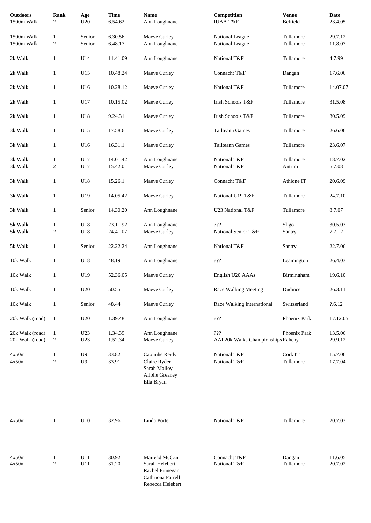| <b>Outdoors</b><br>1500m Walk      | Rank<br>2                        | Age<br>U20                       | <b>Time</b><br>6.54.62 | <b>Name</b><br>Ann Loughnane                                                                | Competition<br><b>IUAA T&amp;F</b>          | <b>Venue</b><br>Belfield | Date<br>23.4.05    |
|------------------------------------|----------------------------------|----------------------------------|------------------------|---------------------------------------------------------------------------------------------|---------------------------------------------|--------------------------|--------------------|
| 1500m Walk<br>1500m Walk           | $\mathbf{1}$<br>$\overline{c}$   | Senior<br>Senior                 | 6.30.56<br>6.48.17     | Maeve Curley<br>Ann Loughnane                                                               | National League<br>National League          | Tullamore<br>Tullamore   | 29.7.12<br>11.8.07 |
| 2k Walk                            | $\mathbf{1}$                     | U14                              | 11.41.09               | Ann Loughnane                                                                               | National T&F                                | Tullamore                | 4.7.99             |
| 2k Walk                            | $\mathbf{1}$                     | U15                              | 10.48.24               | Maeve Curley                                                                                | Connacht T&F                                | Dangan                   | 17.6.06            |
| 2k Walk                            | $\mathbf{1}$                     | U16                              | 10.28.12               | Maeve Curley                                                                                | National T&F                                | Tullamore                | 14.07.07           |
| 2k Walk                            | $\mathbf{1}$                     | U17                              | 10.15.02               | Maeve Curley                                                                                | Irish Schools T&F                           | Tullamore                | 31.5.08            |
| 2k Walk                            | $\mathbf{1}$                     | U18                              | 9.24.31                | Maeve Curley                                                                                | Irish Schools T&F                           | Tullamore                | 30.5.09            |
| 3k Walk                            | $\mathbf{1}$                     | U15                              | 17.58.6                | Maeve Curley                                                                                | <b>Tailteann Games</b>                      | Tullamore                | 26.6.06            |
| 3k Walk                            | $\mathbf{1}$                     | U16                              | 16.31.1                | Maeve Curley                                                                                | <b>Tailteann Games</b>                      | Tullamore                | 23.6.07            |
| 3k Walk<br>3k Walk                 | $\mathbf{1}$<br>$\boldsymbol{2}$ | U17<br>U17                       | 14.01.42<br>15.42.0    | Ann Loughnane<br>Maeve Curley                                                               | National T&F<br>National T&F                | Tullamore<br>Antrim      | 18.7.02<br>5.7.08  |
| 3k Walk                            | $\mathbf{1}$                     | U18                              | 15.26.1                | Maeve Curley                                                                                | Connacht T&F                                | Athlone IT               | 20.6.09            |
| 3k Walk                            | $\mathbf{1}$                     | U19                              | 14.05.42               | Maeve Curley                                                                                | National U19 T&F                            | Tullamore                | 24.7.10            |
| 3k Walk                            | $\mathbf{1}$                     | Senior                           | 14.30.20               | Ann Loughnane                                                                               | U23 National T&F                            | Tullamore                | 8.7.07             |
| 5k Walk<br>5k Walk                 | $\mathbf{1}$<br>$\boldsymbol{2}$ | U18<br>U18                       | 23.11.92<br>24.41.07   | Ann Loughnane<br>Maeve Curley                                                               | $\gamma\gamma\gamma$<br>National Senior T&F | Sligo<br>Santry          | 30.5.03<br>7.7.12  |
| 5k Walk                            | $\mathbf{1}$                     | Senior                           | 22.22.24               | Ann Loughnane                                                                               | National T&F                                | Santry                   | 22.7.06            |
| 10k Walk                           | $\mathbf{1}$                     | U18                              | 48.19                  | Ann Loughnane                                                                               | ???                                         | Leamington               | 26.4.03            |
| 10k Walk                           | $\mathbf{1}$                     | U19                              | 52.36.05               | Maeve Curley                                                                                | English U20 AAAs                            | Birmingham               | 19.6.10            |
| 10k Walk                           | $\mathbf{1}$                     | $\operatorname{U20}$             | 50.55                  | Maeve Curley                                                                                | Race Walking Meeting                        | Dudince                  | 26.3.11            |
| 10k Walk                           | $\mathbf{1}$                     | Senior                           | 48.44                  | Maeve Curley                                                                                | Race Walking International                  | Switzerland              | ?.6.12             |
| 20k Walk (road)                    | $\mathbf{1}$                     | U20                              | 1.39.48                | Ann Loughnane                                                                               | 222                                         | Phoenix Park             | 17.12.05           |
| 20k Walk (road)<br>20k Walk (road) | $\mathbf{1}$<br>$\overline{c}$   | U <sub>23</sub><br>U23           | 1.34.39<br>1.52.34     | Ann Loughnane<br>Maeve Curley                                                               | ???<br>AAI 20k Walks Championships Raheny   | Phoenix Park             | 13.5.06<br>29.9.12 |
| 4x50m<br>4x50m                     | $\mathbf{1}$<br>$\boldsymbol{2}$ | U <sub>9</sub><br>U <sub>9</sub> | 33.82<br>33.91         | Caoimhe Reidy<br>Claire Ryder<br>Sarah Molloy<br>Ailbhe Greaney<br>Ella Bryan               | National T&F<br>National T&F                | Cork IT<br>Tullamore     | 15.7.06<br>17.7.04 |
| 4x50m                              | $\mathbf{1}$                     | U10                              | 32.96                  | Linda Porter                                                                                | National T&F                                | Tullamore                | 20.7.03            |
| 4x50m<br>4x50m                     | $\mathbf{1}$<br>$\overline{c}$   | U11<br>U11                       | 30.92<br>31.20         | Maireád McCan<br>Sarah Helebert<br>Rachel Finnegan<br>Cathriona Farrell<br>Rebecca Helebert | Connacht T&F<br>National T&F                | Dangan<br>Tullamore      | 11.6.05<br>20.7.02 |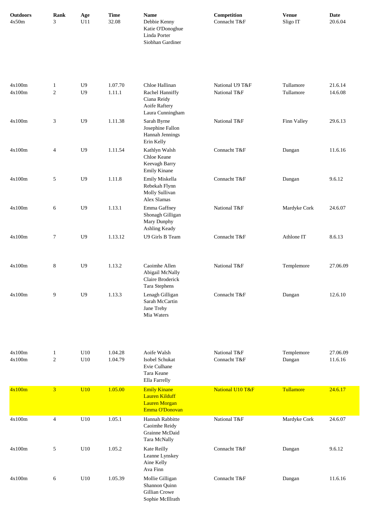| <b>Outdoors</b><br>4x50m | Rank<br>3                  | Age<br>U11                   | <b>Time</b><br>32.08 | <b>Name</b><br>Debbie Kenny<br>Katie O'Donoghue<br>Linda Porter<br>Siobhan Gardiner    | Competition<br>Connacht T&F     | <b>Venue</b><br>Sligo IT | <b>Date</b><br>20.6.04 |
|--------------------------|----------------------------|------------------------------|----------------------|----------------------------------------------------------------------------------------|---------------------------------|--------------------------|------------------------|
| 4x100m<br>4x100m         | $\mathbf{1}$<br>$\sqrt{2}$ | U <sub>9</sub><br>${\rm U}9$ | 1.07.70<br>1.11.1    | Chloe Hallinan<br>Rachel Hanniffy<br>Ciana Reidy<br>Aoife Raftery<br>Laura Cunningham  | National U9 T&F<br>National T&F | Tullamore<br>Tullamore   | 21.6.14<br>14.6.08     |
| 4x100m                   | 3                          | U <sub>9</sub>               | 1.11.38              | Sarah Byrne<br>Josephine Fallon<br>Hannah Jennings<br>Erin Kelly                       | National T&F                    | Finn Valley              | 29.6.13                |
| 4x100m                   | $\overline{4}$             | U <sub>9</sub>               | 1.11.54              | Kathlyn Walsh<br>Chloe Keane<br>Keevagh Barry<br>Emily Kinane                          | Connacht T&F                    | Dangan                   | 11.6.16                |
| 4x100m                   | 5                          | U <sub>9</sub>               | 1.11.8               | Emily Miskella<br>Rebekah Flynn<br>Molly Sullivan<br>Alex Slamas                       | Connacht T&F                    | Dangan                   | 9.6.12                 |
| 4x100m                   | 6                          | U <sub>9</sub>               | 1.13.1               | Emma Gaffney<br>Shonagh Gilligan<br>Mary Dunphy<br>Ashling Keady                       | National T&F                    | Mardyke Cork             | 24.6.07                |
| 4x100m                   | 7                          | U <sub>9</sub>               | 1.13.12              | U9 Girls B Team                                                                        | Connacht T&F                    | Athlone IT               | 8.6.13                 |
| 4x100m                   | $\,8$                      | ${\rm U}9$                   | 1.13.2               | Caoimhe Allen<br>Abigail McNally<br>Claire Broderick<br>Tara Stephens                  | National T&F                    | Templemore               | 27.06.09               |
| 4x100m                   | 9                          | U <sub>9</sub>               | 1.13.3               | Lenagh Gilligan<br>Sarah McCartin<br>Jane Trehy<br>Mia Waters                          | Connacht T&F                    | Dangan                   | 12.6.10                |
| 4x100m<br>4x100m         | $\mathbf{1}$<br>$\sqrt{2}$ | U10<br>U10                   | 1.04.28<br>1.04.79   | Aoife Walsh<br>Isobel Schukat<br>Evie Culhane<br>Tara Keane<br>Ella Farrelly           | National T&F<br>Connacht T&F    | Templemore<br>Dangan     | 27.06.09<br>11.6.16    |
| 4x100m                   | $\overline{\mathbf{3}}$    | <b>U10</b>                   | 1.05.00              | <b>Emily Kinane</b><br><b>Lauren Kilduff</b><br><b>Lauren Morgan</b><br>Emma O'Donovan | National U10 T&F                | Tullamore                | 24.6.17                |
| 4x100m                   | $\overline{4}$             | U10                          | 1.05.1               | Hannah Rabbitte<br>Caoimhe Reidy<br>Grainne McDaid<br>Tara McNally                     | National T&F                    | Mardyke Cork             | 24.6.07                |
| 4x100m                   | 5                          | U10                          | 1.05.2               | Kate Reilly<br>Leanne Lynskey<br>Aine Kelly<br>Ava Finn                                | Connacht T&F                    | Dangan                   | 9.6.12                 |
| 4x100m                   | 6                          | U10                          | 1.05.39              | Mollie Gilligan<br>Shannon Quinn<br>Gillian Crowe<br>Sophie McIllrath                  | Connacht T&F                    | Dangan                   | 11.6.16                |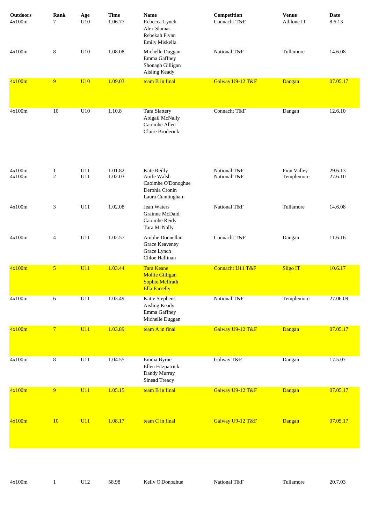| <b>Outdoors</b><br>4x100m | Rank<br>7                      | Age<br>U10 | <b>Time</b><br>1.06.77 | <b>Name</b><br>Rebecca Lynch<br>Alex Slamas<br>Rebekah Flynn<br>Emily Miskella                | Competition<br>Connacht T&F  | <b>Venue</b><br>Athlone IT | Date<br>8.6.13     |
|---------------------------|--------------------------------|------------|------------------------|-----------------------------------------------------------------------------------------------|------------------------------|----------------------------|--------------------|
| 4x100m                    | $\,8\,$                        | U10        | 1.08.08                | Michelle Duggan<br>Emma Gaffney<br>Shonagh Gilligan<br>Aisling Keady                          | National T&F                 | Tullamore                  | 14.6.08            |
| 4x100m                    | 9                              | <b>U10</b> | 1.09.03                | team B in final                                                                               | Galway U9-12 T&F             | Dangan                     | 07.05.17           |
| 4x100m                    | 10                             | U10        | 1.10.8                 | Tara Slattery<br>Abigail McNally<br>Caoimhe Allen<br>Claire Broderick                         | Connacht T&F                 | Dangan                     | 12.6.10            |
| 4x100m<br>4x100m          | $\mathbf{1}$<br>$\overline{2}$ | U11<br>U11 | 1.01.82<br>1.02.03     | Kate Reilly<br>Aoife Walsh<br>Caoimhe O'Donoghue<br>Derbhla Cronin<br>Laura Cunningham        | National T&F<br>National T&F | Finn Valley<br>Templemore  | 29.6.13<br>27.6.10 |
| 4x100m                    | 3                              | U11        | 1.02.08                | Jean Waters<br>Grainne McDaid<br>Caoimhe Reidy<br>Tara McNally                                | National T&F                 | Tullamore                  | 14.6.08            |
| 4x100m                    | $\overline{4}$                 | U11        | 1.02.57                | Aoibhe Donnellan<br>Grace Keaveney<br>Grace Lynch<br>Chloe Hallinan                           | Connacht T&F                 | Dangan                     | 11.6.16            |
| 4x100m                    | 5 <sup>5</sup>                 | U11        | 1.03.44                | <b>Tara Keane</b><br><b>Mollie Gilligan</b><br><b>Sophie McIlrath</b><br><b>Ella Farrelly</b> | Connacht U11 T&F             | Sligo IT                   | 10.6.17            |
| 4x100m                    | 6                              | U11        | 1.03.49                | Katie Stephens<br>Aisling Keady<br>Emma Gaffney<br>Michelle Duggan                            | National T&F                 | Templemore                 | 27.06.09           |
| 4x100m                    | $\overline{7}$                 | U11        | 1.03.89                | team A in final                                                                               | Galway U9-12 T&F             | Dangan                     | 07.05.17           |
| 4x100m                    | $\,8\,$                        | U11        | 1.04.55                | Emma Byrne<br>Ellen Fitzpatrick<br>Dandy Murray<br>Sinead Treacy                              | Galway T&F                   | Dangan                     | 17.5.07            |
| 4x100m                    | 9                              | U11        | 1.05.15                | team B in final                                                                               | Galway U9-12 T&F             | Dangan                     | 07.05.17           |
| 4x100m                    | <b>10</b>                      | U11        | 1.08.17                | team C in final                                                                               | Galway U9-12 T&F             | Dangan                     | 07.05.17           |

4x100m 1 U12 58.98 Kelly O'Donoghue National T&F Tullamore 20.7.03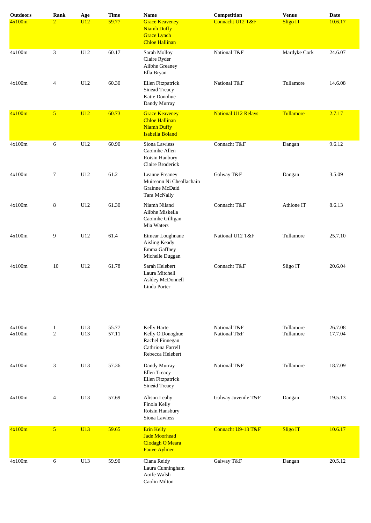| <b>Outdoors</b>  | <b>Rank</b>                    | Age        | <b>Time</b>    | <b>Name</b>                                                                                    | Competition                  | <b>Venue</b>           | <b>Date</b>        |
|------------------|--------------------------------|------------|----------------|------------------------------------------------------------------------------------------------|------------------------------|------------------------|--------------------|
| 4x100m           | $\overline{2}$                 | U12        | 59.77          | <b>Grace Keaveney</b><br><b>Niamh Duffy</b><br><b>Grace Lynch</b><br><b>Chloe Hallinan</b>     | Connacht U12 T&F             | <b>Sligo IT</b>        | 10.6.17            |
| 4x100m           | 3                              | U12        | 60.17          | Sarah Molloy<br>Claire Ryder<br>Ailbhe Greaney<br>Ella Bryan                                   | National T&F                 | Mardyke Cork           | 24.6.07            |
| 4x100m           | 4                              | U12        | 60.30          | Ellen Fitzpatrick<br><b>Sinead Treacy</b><br>Katie Donohue<br>Dandy Murray                     | National T&F                 | Tullamore              | 14.6.08            |
| 4x100m           | 5 <sup>5</sup>                 | U12        | 60.73          | <b>Grace Keaveney</b><br><b>Chloe Hallinan</b><br><b>Niamh Duffy</b><br><b>Isabella Boland</b> | <b>National U12 Relays</b>   | Tullamore              | 2.7.17             |
| 4x100m           | 6                              | U12        | 60.90          | Siona Lawless<br>Caoimhe Allen<br>Roisin Hanbury<br>Claire Broderick                           | Connacht T&F                 | Dangan                 | 9.6.12             |
| 4x100m           | 7                              | U12        | 61.2           | Leanne Freaney<br>Muireann Ni Cheallachain<br>Grainne McDaid<br>Tara McNally                   | Galway T&F                   | Dangan                 | 3.5.09             |
| 4x100m           | 8                              | U12        | 61.30          | Niamh Niland<br>Ailbhe Miskella<br>Caoimhe Gilligan<br>Mia Waters                              | Connacht T&F                 | Athlone IT             | 8.6.13             |
| 4x100m           | 9                              | U12        | 61.4           | Eimear Loughnane<br>Aisling Keady<br>Emma Gaffney<br>Michelle Duggan                           | National U12 T&F             | Tullamore              | 25.7.10            |
| 4x100m           | 10                             | U12        | 61.78          | Sarah Helebert<br>Laura Mitchell<br>Ashley McDonnell<br>Linda Porter                           | Connacht T&F                 | Sligo IT               | 20.6.04            |
| 4x100m<br>4x100m | $\mathbf{1}$<br>$\mathfrak{2}$ | U13<br>U13 | 55.77<br>57.11 | Kelly Harte<br>Kelly O'Donoghue<br>Rachel Finnegan<br>Cathriona Farrell<br>Rebecca Helebert    | National T&F<br>National T&F | Tullamore<br>Tullamore | 26.7.08<br>17.7.04 |
| 4x100m           | 3                              | U13        | 57.36          | Dandy Murray<br>Ellen Treacy<br>Ellen Fitzpatrick<br>Sineád Treacy                             | National T&F                 | Tullamore              | 18.7.09            |
| 4x100m           | $\overline{4}$                 | U13        | 57.69          | Alison Leahy<br>Finola Kelly<br>Roisin Hansbury<br>Siona Lawless                               | Galway Juvenile T&F          | Dangan                 | 19.5.13            |
| 4x100m           | 5 <sup>5</sup>                 | U13        | 59.65          | <b>Erin Kelly</b><br><b>Jade Moorhead</b><br>Clodagh O'Meara<br><b>Fauve Aylmer</b>            | Connacht U9-13 T&F           | <b>Sligo IT</b>        | 10.6.17            |
| 4x100m           | 6                              | U13        | 59.90          | Ciana Reidy<br>Laura Cunningham<br>Aoife Walsh<br>Caolin Milton                                | Galway T&F                   | Dangan                 | 20.5.12            |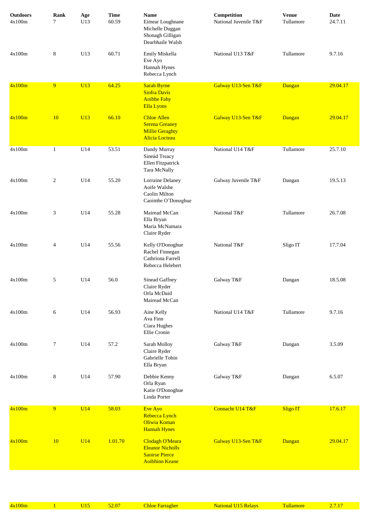| <b>Outdoors</b><br>4x100m | Rank<br>$7\phantom{.0}$ | Age<br>U13 | <b>Time</b><br>60.59 | <b>Name</b><br>Eimear Loughnane<br>Michelle Duggan<br>Shonagh Gilligan<br>Dearbhaile Walsh     | Competition<br>National Juvenile T&F | <b>Venue</b><br>Tullamore | <b>Date</b><br>24.7.11 |
|---------------------------|-------------------------|------------|----------------------|------------------------------------------------------------------------------------------------|--------------------------------------|---------------------------|------------------------|
| 4x100m                    | 8                       | U13        | 60.71                | Emily Miskella<br>Eve Ayo<br>Hannah Hynes<br>Rebecca Lynch                                     | National U13 T&F                     | Tullamore                 | 9.7.16                 |
| 4x100m                    | 9                       | U13        | 64.25                | <b>Sarah Byrne</b><br><b>Siofra Davis</b><br><b>Aoibhe Fahy</b><br><b>Ella Lyons</b>           | Galway U13-Sen T&F                   | Dangan                    | 29.04.17               |
| 4x100m                    | <b>10</b>               | U13        | 66.10                | <b>Chloe Allen</b><br><b>Serena Greaney</b><br><b>Millie Geraghty</b><br><b>Alicia</b> Locteau | Galway U13-Sen T&F                   | Dangan                    | 29.04.17               |
| 4x100m                    | $\mathbf{1}$            | U14        | 53.51                | Dandy Murray<br>Sineád Treacy<br>Ellen Fitzpatrick<br>Tara McNally                             | National U14 T&F                     | Tullamore                 | 25.7.10                |
| 4x100m                    | $\overline{c}$          | U14        | 55.20                | Lorraine Delaney<br>Aoife Walshe<br>Caolin Milton<br>Caoimhe O'Donoghue                        | Galway Juvenile T&F                  | Dangan                    | 19.5.13                |
| 4x100m                    | 3                       | U14        | 55.28                | Mairead McCan<br>Ella Bryan<br>Maria McNamara<br>Claire Ryder                                  | National T&F                         | Tullamore                 | 26.7.08                |
| 4x100m                    | 4                       | U14        | 55.56                | Kelly O'Donoghue<br>Rachel Finnegan<br>Cathriona Farrell<br>Rebecca Helebert                   | National T&F                         | Sligo IT                  | 17.7.04                |
| 4x100m                    | 5                       | U14        | 56.0                 | Sinead Gaffney<br>Claire Ryder<br>Orla McDaid<br>Mairead McCan                                 | Galway T&F                           | Dangan                    | 18.5.08                |
| 4x100m                    | 6                       | U14        | 56.93                | Aine Kelly<br>Ava Finn<br>Ciara Hughes<br>Ellie Cronin                                         | National U14 T&F                     | Tullamore                 | 9.7.16                 |
| 4x100m                    | 7                       | U14        | 57.2                 | Sarah Molloy<br>Claire Ryder<br>Gabrielle Tobin<br>Ella Bryan                                  | Galway T&F                           | Dangan                    | 3.5.09                 |
| 4x100m                    | 8                       | U14        | 57.90                | Debbie Kenny<br>Orla Ryan<br>Katie O'Donoghue<br>Linda Porter                                  | Galway T&F                           | Dangan                    | 6.5.07                 |
| 4x100m                    | 9 <sup>°</sup>          | U14        | 58.03                | Eve Ayo<br>Rebecca Lynch<br>Oliwia Koman<br><b>Hannah Hynes</b>                                | Connacht U14 T&F                     | Sligo IT                  | 17.6.17                |
| 4x100m                    | 10                      | U14        | 1.01.70              | Clodagh O'Meara<br><b>Eleanor Nicholls</b><br><b>Saoirse Pierce</b><br><b>Aoibhinn Keane</b>   | Galway U13-Sen T&F                   | Dangan                    | 29.04.17               |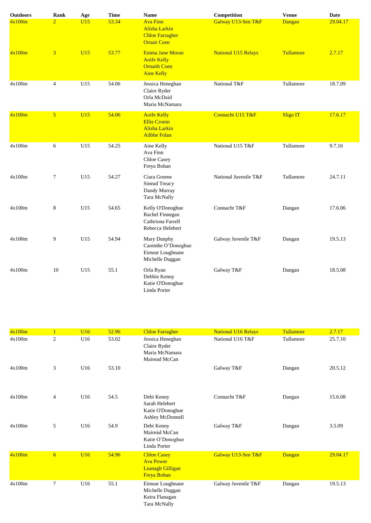| <b>Outdoors</b> | Rank           | Age | <b>Time</b> | <b>Name</b>                                                                              | Competition                | <b>Venue</b>    | <b>Date</b> |
|-----------------|----------------|-----|-------------|------------------------------------------------------------------------------------------|----------------------------|-----------------|-------------|
| 4x100m          | $\overline{2}$ | U15 | 53.34       | <b>Ava Finn</b><br><b>Alisha Larkin</b><br><b>Chloe Farragher</b><br><b>Ornait Coen</b>  | Galway U13-Sen T&F         | Dangan          | 29.04.17    |
| 4x100m          | 3              | UI5 | 53.77       | <b>Emma Jane Moran</b><br><b>Aoife Kelly</b><br><b>Ornaith Coen</b><br><b>Aine Kelly</b> | <b>National U15 Relays</b> | Tullamore       | 2.7.17      |
| 4x100m          | $\overline{4}$ | U15 | 54.06       | Jessica Heneghan<br>Claire Ryder<br>Orla McDaid<br>Maria McNamara                        | National T&F               | Tullamore       | 18.7.09     |
| 4x100m          | 5 <sup>5</sup> | U15 | 54.06       | <b>Aoife Kelly</b><br><b>Ellie Cronin</b><br><b>Alisha Larkin</b><br><b>Ailbhe Folan</b> | Connacht U15 T&F           | <b>Sligo IT</b> | 17.6.17     |
| 4x100m          | 6              | U15 | 54.25       | Aine Kelly<br>Ava Finn<br>Chloe Casey<br>Freya Bohan                                     | National U15 T&F           | Tullamore       | 9.7.16      |
| 4x100m          | 7              | U15 | 54.27       | Ciara Greene<br>Sinead Treacy<br>Dandy Murray<br>Tara McNally                            | National Juvenile T&F      | Tullamore       | 24.7.11     |
| 4x100m          | 8              | U15 | 54.65       | Kelly O'Donoghue<br>Rachel Finnegan<br>Cathriona Farrell<br>Rebecca Helebert             | Connacht T&F               | Dangan          | 17.6.06     |
| 4x100m          | 9              | U15 | 54.94       | Mary Dunphy<br>Caoimhe O'Donoghue<br>Eimear Loughnane<br>Michelle Duggan                 | Galway Juvenile T&F        | Dangan          | 19.5.13     |
| 4x100m          | 10             | U15 | 55.1        | Orla Ryan<br>Debbie Kenny<br>Katie O'Donoghue<br>Linda Porter                            | Galway T&F                 | Dangan          | 18.5.08     |

| 4x100m |                 | U16             | 52.96 | <b>Chloe Farragher</b>                                                           | <b>National U16 Relays</b> | Tullamore     | 2.7.17   |
|--------|-----------------|-----------------|-------|----------------------------------------------------------------------------------|----------------------------|---------------|----------|
| 4x100m | $\sqrt{2}$      | U16             | 53.02 | Jessica Heneghan<br>Claire Ryder<br>Maria McNamara<br>Mairead McCan              | National U16 T&F           | Tullamore     | 25.7.10  |
| 4x100m | 3               | U16             | 53.10 |                                                                                  | Galway T&F                 | Dangan        | 20.5.12  |
| 4x100m | 4               | U16             | 54.5  | Debi Kenny<br>Sarah Helebert<br>Katie O'Donoghue<br>Ashley McDonnell             | Connacht T&F               | Dangan        | 15.6.08  |
| 4x100m | 5               | U16             | 54.9  | Debi Kenny<br>Maireád McCan<br>Katie O'Donoghue<br>Linda Porter                  | Galway T&F                 | Dangan        | 3.5.09   |
| 4x100m | $6 \overline{}$ | U <sub>16</sub> | 54.96 | <b>Chloe Casey</b><br><b>Ava Power</b><br><b>Leanagh Gilligan</b><br>Freya Bohan | Galway U13-Sen T&F         | <b>Dangan</b> | 29.04.17 |
| 4x100m | 7               | U16             | 55.1  | Eimear Loughnane<br>Michelle Duggan<br>Keira Flanagan<br>Tara McNally            | Galway Juvenile T&F        | Dangan        | 19.5.13  |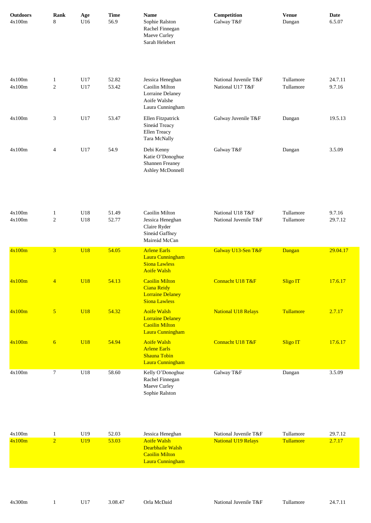| <b>Outdoors</b><br>4x100m | Rank<br>8                  | Age<br>U16      | <b>Time</b><br>56.9 | $\mathbf{Name}$<br>Sophie Ralston<br>Rachel Finnegan<br>Maeve Curley<br>Sarah Helebert     | Competition<br>Galway T&F                 | <b>Venue</b><br>Dangan | <b>Date</b><br>6.5.07 |
|---------------------------|----------------------------|-----------------|---------------------|--------------------------------------------------------------------------------------------|-------------------------------------------|------------------------|-----------------------|
| 4x100m<br>4x100m          | $\mathbf{1}$<br>$\sqrt{2}$ | U17<br>U17      | 52.82<br>53.42      | Jessica Heneghan<br>Caoilin Milton<br>Lorraine Delaney<br>Aoife Walshe<br>Laura Cunningham | National Juvenile T&F<br>National U17 T&F | Tullamore<br>Tullamore | 24.7.11<br>9.7.16     |
| 4x100m                    | 3                          | U17             | 53.47               | Ellen Fitzpatrick<br>Sineád Treacy<br>Ellen Treacy<br>Tara McNally                         | Galway Juvenile T&F                       | Dangan                 | 19.5.13               |
| 4x100m                    | 4                          | U17             | 54.9                | Debi Kenny<br>Katie O'Donoghue<br>Shannen Freaney<br>Ashley McDonnell                      | Galway T&F                                | Dangan                 | 3.5.09                |
| 4x100m<br>4x100m          | $\mathbf{1}$<br>$\sqrt{2}$ | U18<br>U18      | 51.49<br>52.77      | Caoilin Milton<br>Jessica Heneghan<br>Claire Ryder<br>Sineád Gaffney<br>Maireád McCan      | National U18 T&F<br>National Juvenile T&F | Tullamore<br>Tullamore | 9.7.16<br>29.7.12     |
| 4x100m                    | $\overline{3}$             | <b>U18</b>      | 54.05               | <b>Arlene Earls</b><br>Laura Cunningham<br><b>Siona Lawless</b><br><b>Aoife Walsh</b>      | Galway U13-Sen T&F                        | Dangan                 | 29.04.17              |
| 4x100m                    | $\overline{4}$             | <b>U18</b>      | 54.13               | <b>Caoilin Milton</b><br>Ciana Reidy<br><b>Lorraine Delaney</b><br><b>Siona Lawless</b>    | Connacht U18 T&F                          | <b>Sligo IT</b>        | 17.6.17               |
| 4x100m                    | 5 <sup>5</sup>             | <b>U18</b>      | 54.32               | <b>Aoife Walsh</b><br><b>Lorraine Delaney</b><br><b>Caoilin Milton</b><br>Laura Cunningham | <b>National U18 Relays</b>                | Tullamore              | 2.7.17                |
| 4x100m                    | $6 \overline{6}$           | <b>U18</b>      | 54.94               | <b>Aoife Walsh</b><br><b>Arlene Earls</b><br><b>Shauna Tobin</b><br>Laura Cunningham       | Connacht U18 T&F                          | <b>Sligo IT</b>        | 17.6.17               |
| 4x100m                    | $\tau$                     | U18             | 58.60               | Kelly O'Donoghue<br>Rachel Finnegan<br>Maeve Curley<br>Sophie Ralston                      | Galway T&F                                | Dangan                 | 3.5.09                |
| 4x100m                    | $\mathbf{1}$               | U19             | 52.03               | Jessica Heneghan                                                                           | National Juvenile T&F                     | Tullamore              | 29.7.12               |
| 4x100m                    | $\overline{2}$             | U <sub>19</sub> | 53.03               | <b>Aoife Walsh</b><br>Dearbhaile Walsh<br><b>Caoilin Milton</b><br>Laura Cunningham        | <b>National U19 Relays</b>                | Tullamore              | 2.7.17                |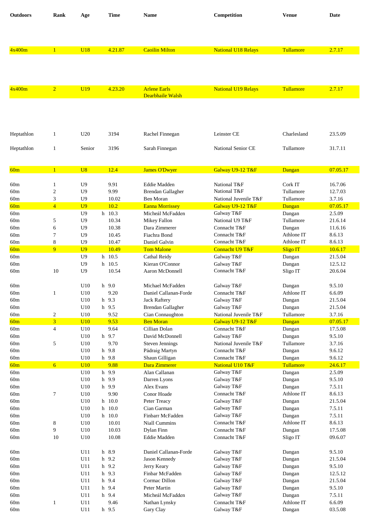| <b>Outdoors</b> | Rank                     | Age                              | Time                | <b>Name</b>                         | Competition                               | <b>Venue</b>        | Date               |
|-----------------|--------------------------|----------------------------------|---------------------|-------------------------------------|-------------------------------------------|---------------------|--------------------|
|                 |                          |                                  |                     |                                     |                                           |                     |                    |
|                 |                          |                                  |                     |                                     |                                           |                     |                    |
|                 |                          |                                  |                     |                                     |                                           |                     |                    |
| 4x400m          | $\mathbf{1}$             | <b>U18</b>                       | 4.21.87             | <b>Caoilin Milton</b>               | <b>National U18 Relays</b>                | Tullamore           | 2.7.17             |
|                 |                          |                                  |                     |                                     |                                           |                     |                    |
|                 |                          |                                  |                     |                                     |                                           |                     |                    |
| 4x400m          | $\overline{2}$           | U19                              | 4.23.20             | <b>Arlene Earls</b>                 | <b>National U19 Relays</b>                | Tullamore           | 2.7.17             |
|                 |                          |                                  |                     | Dearbhaile Walsh                    |                                           |                     |                    |
|                 |                          |                                  |                     |                                     |                                           |                     |                    |
|                 |                          |                                  |                     |                                     |                                           |                     |                    |
|                 |                          |                                  |                     |                                     |                                           |                     |                    |
| Heptathlon      | $\mathbf{1}$             | U <sub>20</sub>                  | 3194                | Rachel Finnegan                     | Leinster CE                               | Charlesland         | 23.5.09            |
| Heptathlon      | $\mathbf{1}$             | Senior                           | 3196                | Sarah Finnegan                      | National Senior CE                        | Tullamore           | 31.7.11            |
|                 |                          |                                  |                     |                                     |                                           |                     |                    |
|                 | $\mathbf{1}$             | U8                               | 12.4                |                                     |                                           |                     |                    |
| 60m             |                          |                                  |                     | <b>James O'Dwyer</b>                | Galway U9-12 T&F                          | Dangan              | 07.05.17           |
| 60m             | 1                        | U <sub>9</sub>                   | 9.91                | Eddie Madden                        | National T&F                              | Cork IT             | 16.7.06            |
| 60m             | $\overline{\mathbf{c}}$  | U <sub>9</sub>                   | 9.99                | <b>Brendan Gallagher</b>            | National T&F                              | Tullamore           | 12.7.03            |
| 60m<br>60m      | 3<br>$\overline{4}$      | U <sub>9</sub><br>U <sub>9</sub> | 10.02<br>10.2       | Ben Moran<br><b>Eanna Morrissey</b> | National Juvenile T&F<br>Galway U9-12 T&F | Tullamore<br>Dangan | 3.7.16<br>07.05.17 |
| 60m             |                          | U <sub>9</sub>                   | h 10.3              | Micheál McFadden                    | Galway T&F                                | Dangan              | 2.5.09             |
| 60m             | 5                        | U <sub>9</sub>                   | 10.34               | Mikey Fallon                        | National U9 T&F                           | Tullamore           | 21.6.14            |
| 60m             | 6                        | U <sub>9</sub>                   | 10.38               | Dara Zimmerer                       | Connacht T&F                              | Dangan              | 11.6.16            |
| 60 <sub>m</sub> | 7                        | U <sub>9</sub>                   | 10.45               | Fiachra Bond                        | Connacht T&F                              | Athlone IT          | 8.6.13             |
| 60 <sub>m</sub> | 8                        | U <sub>9</sub>                   | 10.47               | Daniel Galvin                       | Connacht T&F                              | Athlone IT          | 8.6.13             |
| 60m             | 9                        | U <sub>9</sub>                   | 10.49               | <b>Tom Malone</b>                   | Connacht U9 T&F                           | <b>Sligo IT</b>     | 10.6.17            |
| 60m             |                          | U <sub>9</sub>                   | h 10.5              | Cathal Reidy                        | Galway T&F                                | Dangan              | 21.5.04            |
| 60 <sub>m</sub> |                          | U <sub>9</sub>                   | h 10.5              | Kieran O'Connor                     | Galway T&F                                | Dangan              | 12.5.12            |
| 60m             | 10                       | U9                               | 10.54               | Aaron McDonnell                     | Connacht T&F                              | Sligo IT            | 20.6.04            |
| 60m             |                          | U10                              | $h$ 9.0             | Michael McFadden                    | Galway T&F                                | Dangan              | 9.5.10             |
| 60m             | $\mathbf{1}$             | U10                              | 9.20                | Daniel Callanan-Forde               | Connacht T&F                              | Athlone IT          | 6.6.09             |
| 60m             |                          | U10                              | 9.3<br>h            | <b>Jack Raftery</b>                 | Galway T&F                                | Dangan              | 21.5.04            |
| 60m             |                          | U10                              | h 9.5               | <b>Brendan Gallagher</b>            | Galway T&F                                | Dangan              | 21.5.04            |
| 60m             | $\overline{\mathbf{c}}$  | U10                              | 9.52                | Cian Connaughton                    | National Juvenile T&F                     | Tullamore           | 3.7.16             |
| 60m             | $\overline{3}$           | U10                              | 9.53                | <b>Ben Moran</b>                    | Galway U9-12 T&F                          | Dangan              | 07.05.17           |
| 60m<br>60m      | $\overline{\mathcal{L}}$ | U10<br>U10                       | 9.64<br>h 9.7       | Cillian Dolan<br>David McDonnell    | Connacht T&F<br>Galway T&F                | Dangan<br>Dangan    | 17.5.08<br>9.5.10  |
| 60m             | 5                        | U10                              | 9.70                | <b>Steven Jennings</b>              | National Juvenile T&F                     | Tullamore           | 3.7.16             |
| 60m             |                          | U10                              | h 9.8               | Pádraig Martyn                      | Connacht T&F                              | Dangan              | 9.6.12             |
| 60m             |                          | U10                              | h 9.8               | Shaun Gilligan                      | Connacht T&F                              | Dangan              | 9.6.12             |
| 60m             | $6\overline{6}$          | U10                              | 9.88                | Dara Zimmerer                       | National U10 T&F                          | Tullamore           | 24.6.17            |
| 60m             |                          | U10                              | h 9.9               | Alan Callanan                       | Galway T&F                                | Dangan              | 2.5.09             |
| 60m             |                          | U10                              | 9.9<br>h            | Darren Lyons                        | Galway T&F                                | Dangan              | 9.5.10             |
| 60m             |                          | U10                              | h 9.9               | Alex Evans                          | Galway T&F                                | Dangan              | 7.5.11             |
| $60\mathrm{m}$  | $\tau$                   | U10                              | 9.90                | Conor Hoade                         | Connacht T&F                              | Athlone IT          | 8.6.13             |
| 60m<br>60m      |                          | U10<br>U10                       | h 10.0<br>10.0<br>h | Peter Treacy<br>Cian Garman         | Galway T&F<br>Galway T&F                  | Dangan<br>Dangan    | 21.5.04<br>7.5.11  |
| 60m             |                          | U10                              | $h$ 10.0            | Finbarr McFadden                    | Galway T&F                                | Dangan              | 7.5.11             |
| 60m             | 8                        | U10                              | 10.01               | Niall Cummins                       | Connacht T&F                              | Athlone IT          | 8.6.13             |
| 60m             | 9                        | U10                              | 10.03               | Dylan Finn                          | Connacht T&F                              | Dangan              | 17.5.08            |
| 60m             | 10                       | U10                              | 10.08               | Eddie Madden                        | Connacht T&F                              | Sligo IT            | 09.6.07            |
|                 |                          |                                  |                     |                                     |                                           |                     |                    |
| 60m             |                          | U11                              | h 8.9               | Daniel Callanan-Forde               | Galway T&F                                | Dangan              | 9.5.10             |
| 60m             |                          | U11                              | h 9.2               | Jason Kennedy                       | Galway T&F                                | Dangan              | 21.5.04            |
| 60m<br>60m      |                          | U11<br>U11                       | h 9.2<br>h 9.3      | Jerry Keary<br>Finbar McFadden      | Galway T&F                                | Dangan              | 9.5.10<br>12.5.12  |
| 60m             |                          | U11                              | 9.4<br>h            | Cormac Dillon                       | Galway T&F<br>Galway T&F                  | Dangan<br>Dangan    | 21.5.04            |
| 60m             |                          | U11                              | 9.4<br>h            | Peter Martin                        | Galway T&F                                | Dangan              | 9.5.10             |
| 60m             |                          | U11                              | h 9.4               | Micheál McFadden                    | Galway T&F                                | Dangan              | 7.5.11             |
| 60m             | 1                        | U11                              | 9.46                | Nathan Lynsky                       | Connacht T&F                              | Athlone IT          | 6.6.09             |
| 60m             |                          | U11                              | h 9.5               | Gary Clay                           | Galway T&F                                | Dangan              | 03.5.08            |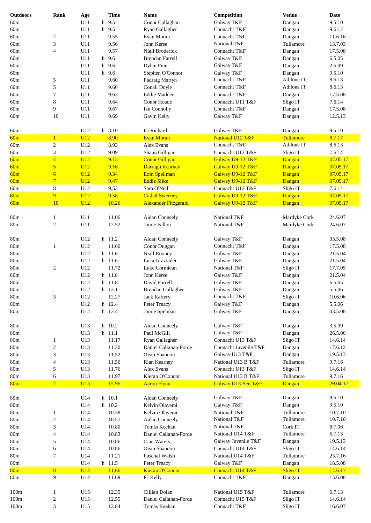| <b>Outdoors</b> | Rank                     | Age        | <b>Time</b>   | <b>Name</b>                                          | Competition                          | <b>Venue</b>     | Date                 |
|-----------------|--------------------------|------------|---------------|------------------------------------------------------|--------------------------------------|------------------|----------------------|
| 60m             |                          | U11<br>h   | 9.5           | Conor Callaghan                                      | Galway T&F                           | Dangan           | 9.5.10               |
| 60m             |                          | U11        | h 9.5         | Ryan Gallagher                                       | Connacht T&F                         | Dangan           | 9.6.12               |
|                 |                          | U11        |               | Evan Moran                                           | Connacht T&F                         |                  |                      |
| 60m             | $\boldsymbol{2}$         |            | 9.55          |                                                      |                                      | Dangan           | 11.6.16              |
| 60m             | $\mathfrak z$            | U11        | 9.56          | John Kerse                                           | National T&F                         | Tullamore        | 13.7.03              |
| 60m             | $\overline{4}$           | U11        | 9.57          | Niall Broderick                                      | Connacht T&F                         | Dangan           | 17.5.08              |
| 60m             |                          | U11        | h 9.6         | <b>Brendan Farrell</b>                               | Galway T&F                           | Dangan           | 6.5.05               |
| 60m             |                          | U11<br>h   | 9.6           | Dylan Finn                                           | Galway T&F                           | Dangan           | 2.5.09               |
| 60m             |                          | U11        | h 9.6         | Stephen O'Connor                                     | Galway T&F                           | Dangan           | 9.5.10               |
| 60m             | 5                        | U11        | 9.60          | Pádraig Martyn                                       | Connacht T&F                         | Athlone IT       | 8.6.13               |
| 60m             | $\sqrt{5}$               | U11        | 9.60          | Conall Doyle                                         | Connacht T&F                         | Athlone IT       | 8.6.13               |
| 60m             | $\tau$                   | U11        | 9.63          | <b>Eddie Madden</b>                                  | Connacht T&F                         | Dangan           | 17.5.08              |
| 60m             | $\,8$                    | U11        | 9.64          | Conor Hoade                                          | Connacht U11 T&F                     | Sligo IT         | 7.6.14               |
| 60m             | 9                        | U11        | 9.67          | Ian Connolly                                         | Connacht T&F                         | Dangan           | 17.5.08              |
| 60m             | 10                       | U11        | 9.69          | Gavin Kelly                                          | Galway T&F                           | Dangan           | 12.5.13              |
|                 |                          |            |               |                                                      |                                      |                  |                      |
| 60m             |                          | U12        | h 8.10        | Isi Richard                                          | Galway T&F                           | Dangan           | 9.5.10               |
| 60m             | $\mathbf{1}$             | U12        | 8.90          | <b>Evan Moran</b>                                    | National U12 T&F                     | Tullamore        | 8.7.17               |
| 60m             | $\sqrt{2}$               | U12        | 8.93          | Alex Evans                                           | Connacht T&F                         | Athlone IT       | 8.6.13               |
| 60m             | $\mathfrak z$            | U12        | 9.09          | Shaun Gilligan                                       | Connacht U12 T&F                     | Sligo IT         | 7.6.14               |
| 60m             | $\overline{4}$           | U12        | 9.13          | <b>Conor Gilligan</b>                                | Galway U9-12 T&F                     | Dangan           | 07.05.17             |
| 60m             | 5                        | U12        | 9.16          | <b>Darragh Kearney</b>                               | Galway U9-12 T&F                     |                  | 07.05.17             |
|                 |                          |            |               |                                                      |                                      | Dangan           |                      |
| 60m             | $\overline{6}$           | U12        | 9.34          | <b>Eoin Spellman</b>                                 | Galway U9-12 T&F                     | Dangan           | 07.05.17             |
| 60m             | $\overline{7}$           | U12        | 9.47          | <b>Eddie Silke</b>                                   | Galway U9-12 T&F                     | Dangan           | 07.05.17             |
| $60\mathrm{m}$  | $\,8$                    | U12        | 9.53          | Sam O'Neill                                          | Connacht U12 T&F                     | Sligo IT         | 7.6.14               |
| 60m<br>60m      | $\overline{9}$<br>10     | U12<br>U12 | 9.58<br>10.26 | <b>Cathal Sweeney</b><br><b>Alexander Fitzgerald</b> | Galway U9-12 T&F<br>Galway U9-12 T&F | Dangan<br>Dangan | 07.05.17<br>07.05.17 |
|                 |                          |            |               |                                                      |                                      |                  |                      |
| 80 <sub>m</sub> | $\mathbf{1}$             | U11        | 11.06         | Aidan Conneely                                       | National T&F                         | Mardyke Cork     | 24.6.07              |
| 80 <sub>m</sub> | $\sqrt{2}$               | U11        | 12.52         | Jamie Fallon                                         | National T&F                         | Mardyke Cork     | 24.6.07              |
|                 |                          |            |               |                                                      |                                      |                  |                      |
| 80 <sub>m</sub> |                          | U12        | h 11.2        | Aidan Conneely                                       | Galway T&F                           | Dangan           | 03.5.08              |
| $80\mathrm{m}$  | $\mathbf{1}$             | U12        | 11.60         | Conor Duggan                                         | Connacht T&F                         | Dangan           | 17.5.08              |
| 80 <sub>m</sub> |                          | U12        | h 11.6        | Niall Rooney                                         | Galway T&F                           | Dangan           | 21.5.04              |
| 80 <sub>m</sub> |                          | U12        | h 11.6        | Luca Graziadei                                       | Galway T&F                           | Dangan           | 21.5.04              |
| 80 <sub>m</sub> | $\sqrt{2}$               | U12        | 11.72         | Luke Cormican                                        | National T&F                         | Sligo IT         | 17.7.05              |
|                 |                          |            |               |                                                      |                                      |                  |                      |
| 80m             |                          | U12        | h 11.8        | John Kerse                                           | Galway T&F                           | Dangan           | 21.5.04              |
| 80 <sub>m</sub> |                          | U12        | h 11.8        | David Farrell                                        | Galway T&F                           | Dangan           | 6.5.05               |
| 80 <sub>m</sub> |                          | U12        | h 12.1        | Brendan Gallagher                                    | Galway T&F                           | Dangan           | 5.5.06               |
| 80m             | $\mathfrak z$            | U12        | 12.27         | <b>Jack Raftery</b>                                  | Connacht T&F                         | Sligo IT         | 10.6.06              |
| 80m             |                          | U12        | h 12.4        | Peter Treacy                                         | Galway T&F                           | Dangan           | 5.5.06               |
| 80m             |                          | U12        | h 12.4        | Jamie Spelman                                        | Galway T&F                           | Dangan           | 03.5.08              |
|                 |                          |            |               |                                                      |                                      |                  |                      |
| $80\mathrm{m}$  |                          | U13        | $h$ 10.2      | Aidan Conneely                                       | Galway T&F                           | Dangan           | 3.5.09               |
| 80m             |                          | U13        | h 11.1        | Paul McGill                                          | Galway T&F                           | Dangan           | 26.5.06              |
| 80m             | $\mathbf{1}$             | U13        | 11.17         | Ryan Gallagher                                       | Connacht U13 T&F                     | Sligo IT         | 14.6.14              |
| 80m             | $\sqrt{2}$               | U13        | 11.30         | Daniel Callanan-Forde                                | Connacht Juvenile T&F                | Dangan           | 17.6.12              |
| 80m             | 3                        | U13        | 11.52         | Oisin Shannon                                        | Galway U13 T&F                       | Dangan           | 19.5.13              |
| 80m             | $\overline{\mathcal{A}}$ | U13        | 11.56         | Rian Kearney                                         | National U13 B T&F                   | Tullamore        | 9.7.16               |
| 80m             | 5                        | U13        | 11.76         | Alex Evans                                           | Connacht U13 T&F                     | Sligo IT         | 14.6.14              |
| 80m             | $\epsilon$               | U13        | 11.97         | Kieran O'Connor                                      | National U13 B T&F                   | Tullamore        | 9.7.16               |
| 80 <sub>m</sub> | $\overline{7}$           | U13        | 15.96         | <b>Aaron Flynn</b>                                   | Galway U13-Sen T&F                   | Dangan           | 29.04.17             |
|                 |                          |            |               |                                                      |                                      |                  |                      |
| 80m             |                          | U14        | h 10.1        | Aidan Conneely                                       | Galway T&F                           | Dangan           | 9.5.10               |
| 80m             |                          | U14        | h 10.2        | Kelvin Olayemi                                       | Galway T&F                           | Dangan           | 9.5.10               |
| 80m             | $\mathbf{1}$             | U14        | 10.38         | Kelvin Olayemi                                       | National T&F                         | Tullamore        | 10.7.10              |
| 80m             | $\overline{c}$           | U14        | 10.51         | Aidan Conneely                                       | National T&F                         | Tullamore        | 10.7.10              |
| 80m             | 3                        | U14        | 10.80         | Tomás Keehan                                         | National T&F                         | Cork IT          | 8.7.06               |
| 80 <sub>m</sub> | $\overline{4}$           | U14        | 10.83         | Daniel Callanan-Forde                                | National U14 T&F                     | Tullamore        | 6.7.13               |
| 80 <sub>m</sub> | $\sqrt{5}$               | U14        | 10.86         | Cian Waters                                          | Galway Juvenile T&F                  | Dangan           | 19.5.13              |
| 80m             | 6                        | U14        | 10.86         | Oisin Shannon                                        | Connacht U14 T&F                     | Sligo IT         | 14.6.14              |
| 80m             | $\overline{7}$           | U14        | 11.21         | Paschal Walsh                                        | National U14 T&F                     | Tullamore        | 23.7.16              |
| 80 <sub>m</sub> |                          | U14        | h 11.5        | Peter Treacy                                         | Galway T&F                           | Dangan           | 18.5.08              |
| 80 <sub>m</sub> | $\overline{8}$           | U14        | 11.66         | Kieran O'Connor                                      | Connacht U14 T&F                     | <b>Sligo IT</b>  | 17.6.17              |
| 80 <sub>m</sub> | 9                        | U14        | 11.69         | PJ Kelly                                             | Connacht T&F                         | Dangan           | 15.6.08              |
|                 |                          |            |               |                                                      |                                      |                  |                      |
| 100m            | $\mathbf{1}$             | U15        | 12.35         | Cillian Dolan                                        | National U15 T&F                     | Tullamore        | 6.7.13               |
| 100m            | $\sqrt{2}$               | U15        | 12.55         | Daniel Callanan-Forde                                | Connacht U15 T&F                     | Sligo IT         | 14.6.14              |
| 100m            | 3                        | U15        | 12.84         | Tomás Keehan                                         | Connacht T&F                         | Sligo IT         | 16.6.07              |
|                 |                          |            |               |                                                      |                                      |                  |                      |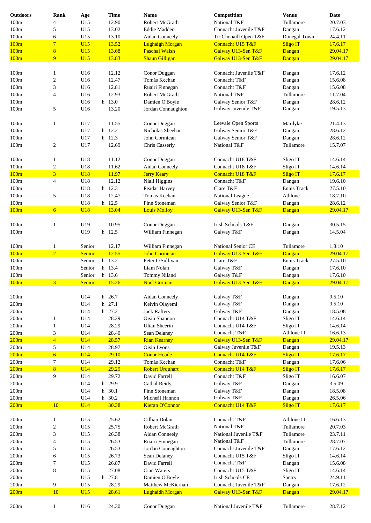| <b>Outdoors</b> | Rank                    | Age        |   | <b>Time</b> | <b>Name</b>            | Competition           | <b>Venue</b>    | Date     |
|-----------------|-------------------------|------------|---|-------------|------------------------|-----------------------|-----------------|----------|
| 100m            | 4                       | U15        |   | 12.90       | Robert McGrath         | National T&F          | Tullamore       | 20.7.03  |
| 100m            | 5                       | U15        |   | 13.02       | Eddie Madden           | Connacht Juvenile T&F | Dangan          | 17.6.12  |
|                 |                         |            |   |             |                        |                       |                 |          |
| 100m            | 6                       | U15        |   | 13.10       | Aidan Conneely         | Tir Chonaill Open T&F | Donegal Town    | 24.4.11  |
| 100m            | $\overline{7}$          | U15        |   | 13.52       | <b>Lughaigh Morgan</b> | Connacht U15 T&F      | Sligo IT        | 17.6.17  |
| 100m            | $\overline{8}$          | U15        |   | 13.68       | <b>Paschal Walsh</b>   | Galway U13-Sen T&F    | Dangan          | 29.04.17 |
| 100m            | 9                       | U15        |   | 13.83       | <b>Shaun Gilligan</b>  | Galway U13-Sen T&F    | Dangan          | 29.04.17 |
|                 |                         |            |   |             |                        |                       |                 |          |
|                 |                         |            |   |             |                        |                       |                 |          |
| 100m            | $\mathbf{1}$            | U16        |   | 12.12       | Conor Duggan           | Connacht Juvenile T&F | Dangan          | 17.6.12  |
| 100m            | 2                       | U16        |   | 12.47       | Tomás Keehan           | Connacht T&F          | Dangan          | 15.6.08  |
| 100m            | 3                       | U16        |   | 12.81       | Ruairi Finnegan        | Connacht T&F          | Dangan          | 15.6.08  |
| 100m            | 4                       | U16        |   | 12.93       | Robert McGrath         | National T&F          | Tullamore       | 11.7.04  |
| 100m            |                         | U16        |   | h 13.0      | Damien O'Boyle         | Galway Senior T&F     | Dangan          | 28.6.12  |
| 100m            | 5                       | U16        |   | 13.20       | Jordan Connaughton     | Galway Juvenile T&F   | Dangan          | 19.5.13  |
|                 |                         |            |   |             |                        |                       |                 |          |
|                 |                         |            |   |             |                        |                       |                 |          |
| 100m            | $\mathbf{1}$            | U17        |   | 11.55       | Conor Duggan           | Leevale Open Sports   | Mardyke         | 21.4.13  |
| 100m            |                         | U17        |   | h 12.2      | Nicholas Sheehan       | Galway Senior T&F     | Dangan          | 28.6.12  |
| 100m            |                         | U17        |   | h 12.3      | John Cormican          | Galway Senior T&F     | Dangan          | 28.6.12  |
| 100m            | $\overline{c}$          | U17        |   | 12.69       | Chris Casserly         | National T&F          | Tullamore       | 15.7.07  |
|                 |                         |            |   |             |                        |                       |                 |          |
|                 |                         |            |   |             |                        |                       |                 |          |
| 100m            | 1                       | U18        |   | 11.12       | Conor Duggan           | Connacht U18 T&F      | Sligo IT        | 14.6.14  |
| 100m            | $\overline{c}$          | U18        |   | 11.62       | Aidan Conneely         | Connacht U18 T&F      | Sligo IT        | 14.6.14  |
| 100m            | $\overline{\mathbf{3}}$ | <b>U18</b> |   | 11.97       | <b>Jerry Keary</b>     | Connacht U18 T&F      | Sligo IT        | 17.6.17  |
| 100m            | 4                       | U18        |   | 12.12       | Niall Higgins          | Connacht T&F          | Dangan          | 19.6.10  |
| 100m            |                         | U18        |   | h 12.3      | Peadar Harvey          | Clare T&F             | Ennis Track     | 27.5.10  |
|                 |                         |            |   |             |                        |                       |                 |          |
| 100m            | 5                       | U18        |   | 12.47       | Tomas Keehan           | National League       | Athlone         | 18.7.10  |
| 100m            |                         | U18        |   | h 12.5      | Finn Stoneman          | Galway Senior T&F     | Dangan          | 28.6.12  |
| 100m            | 6                       | <b>U18</b> |   | 13.04       | <b>Louis Molloy</b>    | Galway U13-Sen T&F    | Dangan          | 29.04.17 |
|                 |                         |            |   |             |                        |                       |                 |          |
| 100m            | 1                       | U19        |   | 10.95       | Conor Duggan           | Irish Schools T&F     | Dangan          | 30.5.15  |
| 100m            |                         | U19        |   | h 12.5      | William Finnegan       | Galway T&F            | Dangan          | 14.5.04  |
|                 |                         |            |   |             |                        |                       |                 |          |
|                 |                         |            |   |             |                        |                       |                 |          |
| 100m            | $\mathbf{1}$            | Senior     |   | 12.17       | William Finnegan       | National Senior CE    | Tullamore       | 1.8.10   |
| 100m            | $\overline{2}$          | Senior     |   | 12.55       | <b>John Cormican</b>   | Galway U13-Sen T&F    | Dangan          | 29.04.17 |
| 100m            |                         | Senior     |   | h 13.2      | Peter O'Sullivan       | Clare T&F             | Ennis Track     | 27.5.10  |
| 100m            |                         | Senior     |   | h 13.4      | Liam Nolan             | Galway T&F            | Dangan          | 17.6.10  |
|                 |                         |            |   | h 13.6      | <b>Tommy Niland</b>    |                       |                 |          |
| 100m            |                         | Senior     |   |             |                        | Galway T&F            | Dangan          | 17.6.10  |
| 100m            | $\overline{3}$          | Senior     |   | 15.26       | <b>Noel Gorman</b>     | Galway U13-Sen T&F    | Dangan          | 29.04.17 |
|                 |                         |            |   |             |                        |                       |                 |          |
| 200m            |                         | U14        |   | h 26.7      | Aidan Conneely         | Galway T&F            | Dangan          | 9.5.10   |
| 200m            |                         | U14        |   | h 27.1      | Kelvin Olayemi         | Galway T&F            | Dangan          | 9.5.10   |
| 200m            |                         | U14        |   | h 27.2      | <b>Jack Raftery</b>    | Galway T&F            | Dangan          | 18.5.08  |
|                 |                         |            |   |             | Oisin Shannon          | Connacht U14 T&F      |                 |          |
| 200m            | 1                       | U14        |   | 28.29       |                        |                       | Sligo IT        | 14.6.14  |
| 200m            | 1                       | U14        |   | 28.29       | Ultan Sheerin          | Connacht U14 T&F      | Sligo IT        | 14.6.14  |
| 200m            | 3                       | U14        |   | 28.40       | Sean Delaney           | Connacht T&F          | Athlone IT      | 16.6.13  |
| 200m            | $\overline{4}$          | <b>U14</b> |   | 28.57       | <b>Rian Kearney</b>    | Galway U13-Sen T&F    | Dangan          | 29.04.17 |
| 200m            | 5                       | U14        |   | 28.97       | Oisin Lyons            | Galway Juvenile T&F   | Dangan          | 19.5.13  |
| 200m            | $6\overline{}$          | <b>U14</b> |   | 29.10       | <b>Conor Hoade</b>     | Connacht U14 T&F      | <b>Sligo IT</b> | 17.6.17  |
|                 | 7                       | U14        |   | 29.12       | Tomás Keehan           | Connacht T&F          |                 | 17.6.06  |
| 200m            |                         |            |   |             |                        |                       | Dangan          |          |
| 200m            | $\overline{8}$          | <b>U14</b> |   | 29.29       | <b>Robert Urquhart</b> | Connacht U14 T&F      | <b>Sligo IT</b> | 17.6.17  |
| 200m            | 9                       | U14        |   | 29.72       | David Farrell          | Connacht T&F          | Sligo IT        | 16.6.07  |
| 200m            |                         | U14        | h | 29.9        | Cathal Reidy           | Galway T&F            | Dangan          | 3.5.09   |
| 200m            |                         | U14        |   | h 30.1      | Finn Stoneman          | Galway T&F            | Dangan          | 18.5.08  |
| 200m            |                         | U14        |   | h 30.2      | Micheál Hannon         | Galway T&F            | Dangan          | 26.5.06  |
| 200m            | 10                      | U14        |   | 30.38       | Kieran O'Connor        | Connacht U14 T&F      | <b>Sligo IT</b> | 17.6.17  |
|                 |                         |            |   |             |                        |                       |                 |          |
|                 |                         |            |   |             |                        |                       |                 |          |
| $200m$          | $\mathbf{1}$            | U15        |   | 25.62       | Cillian Dolan          | Connacht T&F          | Athlone IT      | 16.6.13  |
| 200m            | 2                       | U15        |   | 25.75       | Robert McGrath         | National T&F          | Tullamore       | 20.7.03  |
| 200m            | 3                       | U15        |   | 26.38       | Aidan Conneely         | National Juvenile T&F | Tullamore       | 23.7.11  |
| 200m            | 4                       | U15        |   | 26.53       | Ruairi Finnegan        | National T&F          | Tullamore       | 28.7.07  |
| 200m            | 5                       | U15        |   | 26.53       | Jordan Connaghton      | Connacht Juvenile T&F |                 | 17.6.12  |
|                 |                         |            |   |             |                        |                       | Dangan          |          |
| 200m            | 6                       | U15        |   | 26.73       | Sean Delaney           | Connacht U15 T&F      | Sligo IT        | 14.6.14  |
| 200m            | 7                       | U15        |   | 26.87       | David Farrell          | Connacht T&F          | Dangan          | 15.6.08  |
| 200m            | 8                       | U15        |   | 27.08       | Cian Waters            | Connacht U15 T&F      | Sligo IT        | 14.6.14  |
| $200m$          |                         | U15        |   | h 27.8      | Damien O'Boyle         | Irish Schools CE      | Santry          | 24.9.11  |
| $200m$          | 9                       | U15        |   | 28.29       | Matthew McKiernan      | Connacht Juvenile T&F | Dangan          | 17.6.12  |
|                 |                         |            |   |             |                        |                       |                 |          |
| 200m            | 10                      | U15        |   | 28.61       | <b>Lughaidh Morgan</b> | Galway U13-Sen T&F    | Dangan          | 29.04.17 |
|                 |                         |            |   |             |                        |                       |                 |          |
| 200m            | 1                       | U16        |   | 24.30       | Conor Duggan           | National Juvenile T&F | Tullamore       | 28.7.12  |
|                 |                         |            |   |             |                        |                       |                 |          |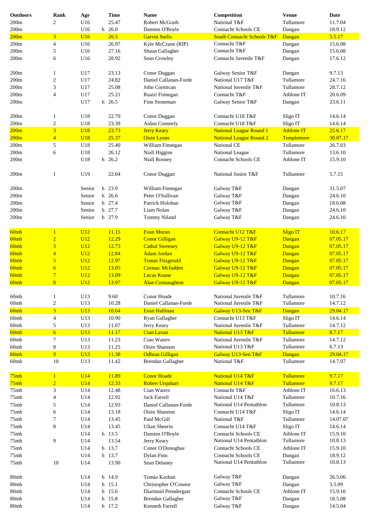| <b>Outdoors</b> | Rank                     | Age        | <b>Time</b> | <b>Name</b>              | Competition                           | <b>Venue</b>      | Date     |
|-----------------|--------------------------|------------|-------------|--------------------------|---------------------------------------|-------------------|----------|
| 200m            | 2                        | U16        | 25.47       | Robert McGrath           | National T&F                          | Tullamore         | 11.7.04  |
|                 |                          |            |             |                          | <b>Connacht Schools CE</b>            |                   |          |
| 200m            |                          | U16        | h 26.0      | Damien O'Boyle           |                                       | Dangan            | 18.9.12  |
| 200m            | 3                        | U16        | 26.5        | <b>Garvin Surlis</b>     | <b>South Connacht Schools T&amp;F</b> | Dangan            | 5.5.17   |
| 200m            | 4                        | U16        | 26.97       | Kyle McCrann (RIP)       | Connacht T&F                          | Dangan            | 15.6.08  |
| 200m            | 5                        | U16        | 27.16       | Shaun Gallagher          | Connacht T&F                          | Dangan            | 15.6.08  |
| 200m            | 6                        | U16        | 28.92       | Sean Crowley             | Connacht Juvenile T&F                 | Dangan            | 17.6.12  |
|                 |                          |            |             |                          |                                       |                   |          |
| 200m            | $\mathbf{1}$             | U17        | 23.13       | Conor Duggan             | Galway Senior T&F                     | Dangan            | 9.7.13   |
|                 |                          | U17        | 24.82       | Daniel Callanan-Forde    | National U17 T&F                      | Tullamore         | 24.7.16  |
| 200m            | $\boldsymbol{2}$         |            |             |                          |                                       |                   |          |
| 200m            | 3                        | U17        | 25.08       | John Cormican            | National Juvenile T&F                 | Tullamore         | 28.7.12  |
| 200m            | 4                        | U17        | 25.21       | Ruairi Finnegan          | Connacht T&F                          | Athlone IT        | 20.6.09  |
| 200m            |                          | U17        | h 26.5      | Finn Stoneman            | Galway Senior T&F                     | Dangan            | 23.6.11  |
|                 |                          |            |             |                          |                                       |                   |          |
| 200m            | 1                        | U18        | 22.70       | Conor Duggan             | Connacht U18 T&F                      | Sligo IT          | 14.6.14  |
|                 |                          |            |             |                          |                                       |                   |          |
| 200m            | $\boldsymbol{2}$         | U18        | 23.39       | Aidan Conneely           | Connacht U18 T&F                      | Sligo IT          | 14.6.14  |
| 200m            | $\overline{\mathbf{3}}$  | <b>U18</b> | 23.73       | <b>Jerry Keary</b>       | <b>National League Round 1</b>        | <b>Athlone IT</b> | 25.6.17  |
| 200m            | $\overline{4}$           | <b>U18</b> | 25.37       | <b>Oisin Lyons</b>       | <b>National League Round 2</b>        | Templemore        | 30.07.17 |
| 200m            | 5                        | U18        | 25.40       | William Finnegan         | National CE                           | Tullamore         | 26.7.03  |
| 200m            | 6                        | U18        | 26.12       | Niall Higgins            | National League                       | Tullamore         | 13.6.10  |
| 200m            |                          | U18        | h 26.2      | Niall Rooney             | Connacht Schools CE                   | Athlone IT        | 15.9.10  |
|                 |                          |            |             |                          |                                       |                   |          |
|                 |                          |            |             |                          |                                       |                   |          |
| 200m            | $\mathbf{1}$             | U19        | 22.04       | Conor Duggan             | National Junior T&F                   | Tullamore         | 5.7.15   |
|                 |                          |            |             |                          |                                       |                   |          |
| 200m            |                          | Senior     | h 23.9      | William Finnegan         | Galway T&F                            | Dangan            | 31.5.07  |
| 200m            |                          | Senior     | h 26.6      | Peter O'Sullivan         | Galway T&F                            | Dangan            | 24.6.10  |
| 200m            |                          | Senior     | h 27.4      | Patrick Holohan          | Galway T&F                            | Dangan            | 18.6.08  |
|                 |                          |            |             |                          |                                       |                   |          |
| 200m            |                          | Senior     | h 27.7      | Liam Nolan               | Galway T&F                            | Dangan            | 24.6.10  |
| 200m            |                          | Senior     | h 27.9      | Tommy Niland             | Galway T&F                            | Dangan            | 24.6.10  |
|                 |                          |            |             |                          |                                       |                   |          |
| 60mh            | $\mathbf{1}$             | U12        | 11.15       | <b>Evan Moran</b>        | Connacht U12 T&F                      | <b>Sligo IT</b>   | 10.6.17  |
| 60mh            | $\overline{2}$           | U12        | 12.29       | <b>Conor Gilligan</b>    | Galway U9-12 T&F                      | Dangan            | 07.05.17 |
| 60mh            | 3                        | U12        | 12.73       | <b>Cathal Sweeney</b>    | Galway U9-12 T&F                      | Dangan            | 07.05.17 |
|                 |                          | U12        | 12.84       | <b>Adam Jordan</b>       |                                       |                   |          |
| 60mh            | $\overline{4}$           |            |             |                          | Galway U9-12 T&F                      | Dangan            | 07.05.17 |
| 60mh            | $\overline{5}$           | U12        | 12.97       | <b>Tomas Fitzgerald</b>  | Galway U9-12 T&F                      | Dangan            | 07.05.17 |
| 60mh            | $\overline{6}$           | U12        | 13.05       | <b>Cormac Mcfadden</b>   | Galway U9-12 T&F                      | Dangan            | 07.05.17 |
| 60mh            | $\overline{7}$           | U12        | 13.09       | <b>Lucas Keane</b>       | Galway U9-12 T&F                      | Dangan            | 07.05.17 |
| 60mh            | 8                        | U12        | 13.97       | <b>Alan Connaughton</b>  | Galway U9-12 T&F                      | Dangan            | 07.05.17 |
|                 |                          |            |             |                          |                                       |                   |          |
| 60mh            | $\mathbf{1}$             | U13        | 9.60        | Conor Hoade              | National Juvenile T&F                 | Tullamore         | 10.7.16  |
| 60mh            | $\mathbf{2}$             | U13        | 10.28       | Daniel Callanan-Forde    | National Juvenile T&F                 | Tullamore         | 14.7.12  |
|                 |                          |            |             |                          |                                       |                   |          |
| 60mh            | $\overline{3}$           | U13        | 10.64       | Evan Hallinan            | Galway U13-Sen T&F                    | Dangan            | 29.04.17 |
| 60mh            | $\overline{\mathcal{A}}$ | U13        | 10.90       | Ryan Gallagher           | Connacht U13 T&F                      | Sligo IT          | 14.6.14  |
| 60mh            | 5                        | U13        | 11.07       | Jerry Keary              | National Juvenile T&F                 | Tullamore         | 14.7.12  |
| 60mh            | $\overline{6}$           | U13        | 11.17       | <b>Cian Lavan</b>        | National U13 T&F                      | Tullamore         | 8.7.17   |
| 60mh            | 7                        | U13        | 11.23       | Cian Waters              | National Juvenile T&F                 | Tullamore         | 14.7.12  |
| 60mh            | 8                        | U13        | 11.25       | Oisin Shannon            | National U13 T&F                      | Tullamore         | 6.7.13   |
|                 |                          |            |             |                          |                                       |                   |          |
| 60mh            | $\overline{9}$           | U13        | 11.38       | <b>Odhran Gilligan</b>   | Galway U13-Sen T&F                    | Dangan            | 29.04.17 |
| 60mh            | 10                       | U13        | 11.42       | <b>Brendan Gallagher</b> | National T&F                          | Tullamore         | 14.7.07  |
|                 |                          |            |             |                          |                                       |                   |          |
| 75mh            | $\mathbf{1}$             | U14        | 11.89       | <b>Conor Hoade</b>       | National U14 T&F                      | Tullamore         | 9.7.17   |
| 75mh            | $\overline{2}$           | U14        | 12.33       | <b>Robert Urquhart</b>   | National U14 T&F                      | Tullamore         | 9.7.17   |
| 75mh            | 3                        | U14        | 12.48       | Cian Waters              | Connacht T&F                          | Athlone IT        | 16.6.13  |
| 75mh            | 4                        | U14        | 12.92       | <b>Jack Farrell</b>      | National U14 T&F                      | Tullamore         | 10.7.16  |
|                 |                          |            |             |                          |                                       |                   |          |
| 75mh            | 5                        | U14        | 12.93       | Daniel Callanan-Forde    | National U14 Pentathlon               | Tullamore         | 10.8.13  |
| 75mh            | 6                        | U14        | 13.18       | Oisin Shannon            | Connacht U14 T&F                      | Sligo IT          | 14.6.14  |
| 75mh            | 7                        | U14        | 13.45       | Paul McGill              | National T&F                          | Tullamore         | 14.07.07 |
| 75mh            | 8                        | U14        | 13.45       | <b>Ultan Sheerin</b>     | Connacht U14 T&F                      | Sligo IT          | 14.6.14  |
| 75mh            |                          | U14        | h 13.5      | Damien O'Boyle           | Connacht Schools CE                   | Athlone IT        | 15.9.10  |
|                 |                          |            |             |                          | National U14 Pentathlon               | Tullamore         | 10.8.13  |
| 75mh            | 9                        | U14        | 13.54       | Jerry Keary              |                                       |                   |          |
| 75mh            |                          | U14        | h 13.7      | Conor O'Donoghue         | Connacht Schools CE                   | Athlone IT        | 15.9.10  |
| 75mh            |                          | U14        | h 13.7      | Dylan Finn               | Connacht Schools CE                   | Dangan            | 18.9.12  |
| 75mh            | 10                       | U14        | 13.90       | Sean Delaney             | National U14 Pentathlon               | Tullamore         | 10.8.13  |
|                 |                          |            |             |                          |                                       |                   |          |
| 80mh            |                          | U14        | h 14.9      | Tomás Keehan             | Galway T&F                            | Dangan            | 26.5.06  |
|                 |                          |            |             |                          |                                       |                   |          |
| 80mh            |                          | U14        | h 15.1      | Christopher O'Connor     | Galway T&F                            | Dangan            | 3.5.09   |
| 80mh            |                          | U14        | h 15.6      | Diarmuid Prendergast     | Connacht Schools CE                   | Athlone IT        | 15.9.10  |
| 80mh            |                          | U14        | h 15.8      | Brendan Gallagher        | Galway T&F                            | Dangan            | 18.5.08  |
| 80mh            |                          | U14        | h 17.2      | Kenneth Farrell          | Galway T&F                            | Dangan            | 14.5.04  |
|                 |                          |            |             |                          |                                       |                   |          |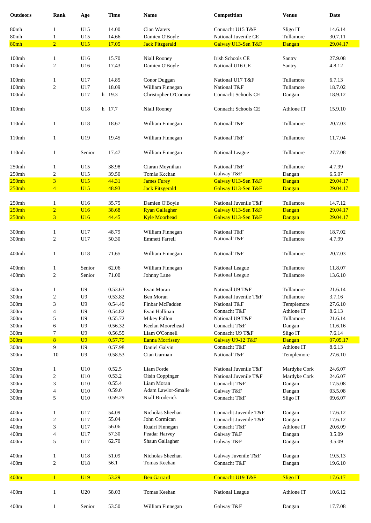| <b>Outdoors</b>   | <b>Rank</b>             | Age             | <b>Time</b> | <b>Name</b>                               | Competition                | <b>Venue</b>    | Date     |
|-------------------|-------------------------|-----------------|-------------|-------------------------------------------|----------------------------|-----------------|----------|
| 80mh              | $\mathbf{1}$            | U15             | 14.00       | Cian Waters                               | Connacht U15 T&F           | Sligo IT        | 14.6.14  |
| 80mh              | $\mathbf{1}$            | U15             | 14.66       | Damien O'Boyle                            | National Juvenile CE       | Tullamore       | 30.7.11  |
| 80mh              | $\overline{2}$          | UI5             | 17.05       | <b>Jack Fitzgerald</b>                    | Galway U13-Sen T&F         | Dangan          | 29.04.17 |
| 100 <sub>mh</sub> | $\mathbf{1}$            | U16             | 15.70       | Niall Rooney                              | Irish Schools CE           | Santry          | 27.9.08  |
| 100 <sub>mh</sub> | $\sqrt{2}$              | U16             | 17.43       | Damien O'Boyle                            | National U16 CE            | Santry          | 4.8.12   |
| 100mh             | $\mathbf{1}$            | U17             | 14.85       | Conor Duggan                              | National U17 T&F           | Tullamore       | 6.7.13   |
| 100mh             | $\sqrt{2}$              | U17             | 18.09       | William Finnegan                          | National T&F               | Tullamore       | 18.7.02  |
| 100mh             |                         | U17             | h 19.3      | Christopher O'Connor                      | <b>Connacht Schools CE</b> | Dangan          | 18.9.12  |
| 100mh             |                         | U18             | h 17.7      | Niall Rooney                              | <b>Connacht Schools CE</b> | Athlone IT      | 15.9.10  |
| 110mh             | $\mathbf{1}$            | U18             | 18.67       | William Finnegan                          | National T&F               | Tullamore       | 20.7.03  |
| 110mh             | $\mathbf{1}$            | U19             | 19.45       | William Finnegan                          | National T&F               | Tullamore       | 11.7.04  |
| 110mh             | $\mathbf{1}$            | Senior          | 17.47       | William Finnegan                          | National League            | Tullamore       | 27.7.08  |
| 250mh             | 1                       | U15             | 38.98       | Ciaran Moynihan                           | National T&F               | Tullamore       | 4.7.99   |
| 250mh             | $\sqrt{2}$              | U15             | 39.50       | Tomás Keehan                              | Galway T&F                 | Dangan          | 6.5.07   |
| 250mh             | $\overline{\mathbf{3}}$ | U15             | 44.31       | <b>James Furey</b>                        | Galway U13-Sen T&F         | Dangan          | 29.04.17 |
| 250mh             | $\overline{4}$          | U15             | 48.93       | <b>Jack Fitzgerald</b>                    | Galway U13-Sen T&F         | Dangan          | 29.04.17 |
| 250mh             | 1                       | U16             | 35.75       | Damien O'Boyle                            | National Juvenile T&F      | Tullamore       | 14.7.12  |
| 250mh             | $\overline{2}$          | U16             | 38.68       | <b>Ryan Gallagher</b>                     | Galway U13-Sen T&F         | Dangan          | 29.04.17 |
| 250mh             | 3                       | U16             | 44.45       | <b>Kyle Moorhead</b>                      | Galway U13-Sen T&F         | Dangan          | 29.04.17 |
| 300mh             | $\mathbf{1}$            | U17             | 48.79       |                                           | National T&F               | Tullamore       | 18.7.02  |
|                   |                         |                 |             | William Finnegan<br><b>Emmett Farrell</b> | National T&F               | Tullamore       |          |
| 300mh             | $\overline{c}$          | U17             | 50.30       |                                           |                            |                 | 4.7.99   |
| 400mh             | $\mathbf{1}$            | U18             | 71.65       | William Finnegan                          | National T&F               | Tullamore       | 20.7.03  |
| 400mh             | $\mathbf{1}$            | Senior          | 62.06       | William Finnegan                          | National League            | Tullamore       | 11.8.07  |
| 400mh             | $\overline{c}$          | Senior          | 71.00       | Johnny Lane                               | National League            | Tullamore       | 13.6.10  |
| 300m              | -1                      | U9              | 0.53.63     | Evan Moran                                | National U9 T&F            | Tullamore       | 21.6.14  |
| 300m              | 2                       | U <sub>9</sub>  | 0.53.82     | Ben Moran                                 | National Juvenile T&F      | Tullamore       | 3.7.16   |
| 300m              | 3                       | U <sub>9</sub>  | 0.54.49     | Finbar McFadden                           | National T&F               | Templemore      | 27.6.10  |
| 300m              | 4                       | U <sub>9</sub>  | 0.54.82     | Evan Hallinan                             | Connacht T&F               | Athlone IT      | 8.6.13   |
| 300m              | 5                       | U <sub>9</sub>  | 0.55.72     | Mikey Fallon                              | National U9 T&F            | Tullamore       | 21.6.14  |
| 300m              | 6                       | U <sub>9</sub>  | 0.56.32     | Keelan Moorehead                          | Connacht T&F               | Dangan          | 11.6.16  |
| 300m              | 7                       | U <sub>9</sub>  | 0.56.55     | Liam O'Connell                            | Connacht U9 T&F            | Sligo IT        | 7.6.14   |
| 300m              | 8                       | U <sub>9</sub>  | 0.57.79     | <b>Eanna Morrissey</b>                    | Galway U9-12 T&F           | Dangan          | 07.05.17 |
| 300m              | 9                       | U <sub>9</sub>  | 0.57.98     | Daniel Galvin                             | Connacht T&F               | Athlone IT      | 8.6.13   |
| 300m              | 10                      | U <sub>9</sub>  | 0.58.53     | Cian Garman                               | National T&F               | Templemore      | 27.6.10  |
| 300m              | $\mathbf{1}$            | U10             | 0.52.5      | Liam Forde                                | National Juvenile T&F      | Mardyke Cork    | 24.6.07  |
| 300m              | $\overline{c}$          | U10             | 0.53.2      | Oisin Coppinger                           | National Juvenile T&F      | Mardyke Cork    | 24.6.07  |
| 300m              | 3                       | U10             | 0.55.4      | Liam Moran                                | Connacht T&F               | Dangan          | 17.5.08  |
| 300m              | 4                       | U10             | 0.59.0      | Adam Lawlor-Smalle                        | Galway T&F                 | Dangan          | 03.5.08  |
| 300m              | 5                       | U10             | 0.59.29     | Niall Broderick                           | Connacht T&F               | Sligo IT        | 09.6.07  |
| 400m              | $\mathbf{1}$            | U17             | 54.09       | Nicholas Sheehan                          | Connacht Juvenile T&F      | Dangan          | 17.6.12  |
| 400m              | $\boldsymbol{2}$        | U17             | 55.04       | John Cormican                             | Connacht Juvenile T&F      | Dangan          | 17.6.12  |
| 400m              | 3                       | U17             | 56.06       | Ruairi Finnegan                           | Connacht T&F               | Athlone IT      | 20.6.09  |
| 400m              | 4                       | U17             | 57.30       | Peadar Harvey                             | Galway T&F                 | Dangan          | 3.5.09   |
| 400m              | 5                       | U17             | 62.70       | Shaun Gallagher                           | Galway T&F                 | Dangan          | 3.5.09   |
| 400m              | 1                       | U18             | 51.09       | Nicholas Sheehan                          | Galway Juvenile T&F        | Dangan          | 19.5.13  |
| 400m              | $\overline{c}$          | U18             | 56.1        | Tomas Keehan                              | Connacht T&F               | Dangan          | 19.6.10  |
| 400m              | $\overline{1}$          | U <sub>19</sub> | 53.29       | <b>Ben Garrard</b>                        | Connacht U19 T&F           | <b>Sligo IT</b> | 17.6.17  |
| 400m              | $\mathbf{1}$            | U20             | 58.03       | Tomas Keehan                              | National League            | Athlone IT      | 10.6.12  |
| 400m              | $\mathbf{1}$            | Senior          | 53.50       | William Finnegan                          | Galway T&F                 | Dangan          | 17.7.08  |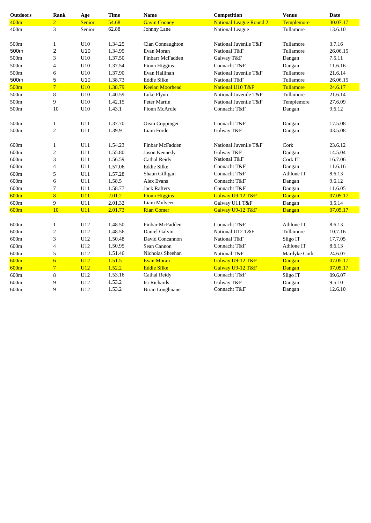| <b>Outdoors</b>  | Rank             | Age             | <b>Time</b> | <b>Name</b>            | Competition                    | <b>Venue</b> | <b>Date</b> |
|------------------|------------------|-----------------|-------------|------------------------|--------------------------------|--------------|-------------|
| 400m             | $\overline{2}$   | Senior          | 54.68       | <b>Gavin Cooney</b>    | <b>National League Round 2</b> | Templemore   | 30.07.17    |
| 400m             | 3                | Senior          | 62.88       | Johnny Lane            | National League                | Tullamore    | 13.6.10     |
|                  |                  |                 |             |                        |                                |              |             |
| 500m             | $\mathbf{1}$     | U10             | 1.34.25     | Cian Connaughton       | National Juvenile T&F          | Tullamore    | 3.7.16      |
| 500m             | $\mathbf 2$      | U <sub>10</sub> | 1.34.95     | Evan Moran             | National T&F                   | Tullamore    | 26.06.15    |
| 500m             | 3                | U10             | 1.37.50     | Finbarr McFadden       | Galway T&F                     | Dangan       | 7.5.11      |
| 500m             | $\overline{4}$   | U10             | 1.37.54     | Fionn Higgins          | Connacht T&F                   | Dangan       | 11.6.16     |
| 500 <sub>m</sub> | 6                | U10             | 1.37.90     | Evan Hallinan          | National Juvenile T&F          | Tullamore    | 21.6.14     |
| 500m             | 5                | U <sub>10</sub> | 1.38.73     | <b>Eddie Silke</b>     | National T&F                   | Tullamore    | 26.06.15    |
| 500m             | $\overline{7}$   | U10             | 1.38.79     | <b>Keelan Moorhead</b> | <b>National U10 T&amp;F</b>    | Tullamore    | 24.6.17     |
| 500m             | 8                | U10             | 1.40.59     | Luke Flynn             | National Juvenile T&F          | Tullamore    | 21.6.14     |
| 500m             | 9                | U10             | 1.42.15     | Peter Martin           | National Juvenile T&F          | Templemore   | 27.6.09     |
| 500 <sub>m</sub> | 10               | U10             | 1.43.1      | Fionn McArdle          | Connacht T&F                   | Dangan       | 9.6.12      |
|                  |                  |                 |             |                        |                                |              |             |
| 500m             | $\mathbf{1}$     | U11             | 1.37.70     | Oisin Coppinger        | Connacht T&F                   | Dangan       | 17.5.08     |
| 500m             | $\overline{c}$   | U11             | 1.39.9      | Liam Forde             | Galway T&F                     | Dangan       | 03.5.08     |
|                  |                  |                 |             |                        |                                |              |             |
| 600m             | $\mathbf{1}$     | U11             | 1.54.23     | Finbar McFadden        | National Juvenile T&F          | Cork         | 23.6.12     |
| 600m             | $\overline{c}$   | U11             | 1.55.80     | Jason Kennedy          | Galway T&F                     | Dangan       | 14.5.04     |
| 600m             | 3                | U11             | 1.56.59     | Cathal Reidy           | National T&F                   | Cork IT      | 16.7.06     |
| 600m             | $\overline{4}$   | U11             | 1.57.06     | <b>Eddie Silke</b>     | Connacht T&F                   | Dangan       | 11.6.16     |
| 600m             | 5                | U11             | 1.57.28     | Shaun Gilligan         | Connacht T&F                   | Athlone IT   | 8.6.13      |
| 600m             | 6                | U11             | 1.58.5      | Alex Evans             | Connacht T&F                   | Dangan       | 9.6.12      |
| 600m             | 7                | U11             | 1.58.77     | <b>Jack Raftery</b>    | Connacht T&F                   | Dangan       | 11.6.05     |
| 600m             | 8                | U11             | 2.01.2      | <b>Fionn Higgins</b>   | Galway U9-12 T&F               | Dangan       | 07.05.17    |
| 600m             | 9                | U11             | 2.01.32     | Liam Mulveen           | Galway U11 T&F                 | Dangan       | 3.5.14      |
| 600m             | 10               | U11             | 2.01.73     | <b>Rian Comer</b>      | Galway U9-12 T&F               | Dangan       | 07.05.17    |
|                  |                  |                 |             |                        |                                |              |             |
| 600m             | 1                | U12             | 1.48.50     | Finbar McFadden        | Connacht T&F                   | Athlone IT   | 8.6.13      |
| 600m             | $\boldsymbol{2}$ | U12             | 1.48.56     | Daniel Galvin          | National U12 T&F               | Tullamore    | 10.7.16     |
| 600m             | 3                | U12             | 1.50.48     | David Concannon        | National T&F                   | Sligo IT     | 17.7.05     |
| 600m             | $\overline{4}$   | U12             | 1.50.95     | Sean Cannon            | Connacht T&F                   | Athlone IT   | 8.6.13      |
| 600m             | 5                | U12             | 1.51.46     | Nicholas Sheehan       | National T&F                   | Mardyke Cork | 24.6.07     |
| 600m             | $\overline{6}$   | U12             | 1.51.5      | <b>Evan Moran</b>      | Galway U9-12 T&F               | Dangan       | 07.05.17    |
| 600m             | $\overline{7}$   | U12             | 1.52.2      | <b>Eddie Silke</b>     | Galway U9-12 T&F               | Dangan       | 07.05.17    |
| 600m             | 8                | U12             | 1.53.16     | Cathal Reidy           | Connacht T&F                   | Sligo IT     | 09.6.07     |
| 600m             | 9                | U12             | 1.53.2      | Isi Richards           | Galway T&F                     | Dangan       | 9.5.10      |
| 600m             | 9                | U12             | 1.53.2      | Brian Loughnane        | Connacht T&F                   | Dangan       | 12.6.10     |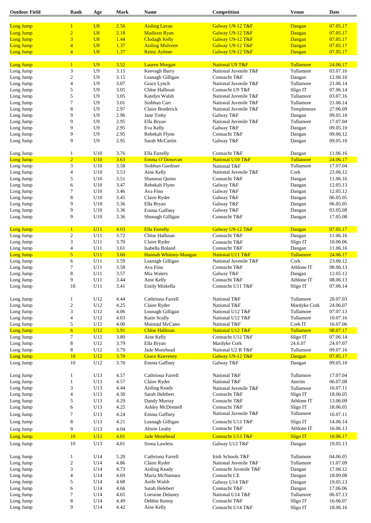| <b>Outdoor Field</b> | Rank                    | Age             | <b>Mark</b> | Name                   | Competition                | <b>Venue</b>     | Date     |
|----------------------|-------------------------|-----------------|-------------|------------------------|----------------------------|------------------|----------|
|                      |                         |                 |             |                        |                            |                  |          |
| Long Jump            | $\mathbf{1}$            | U8              | 2.56        | <b>Aisling Lavan</b>   | Galway U9-12 T&F           | Dangan           | 07.05.17 |
| <b>Long Jump</b>     | $\overline{2}$          | U8              | 2.18        | <b>Madison Ryan</b>    | Galway U9-12 T&F           | Dangan           | 07.05.17 |
| <b>Long Jump</b>     | $\overline{\mathbf{3}}$ | U8              | 1.44        | <b>Clodagh Kelly</b>   | Galway U9-12 T&F           | Dangan           | 07.05.17 |
| <b>Long Jump</b>     | $\overline{\mathbf{4}}$ | U8              | 1.37        | <b>Aisling Mulveen</b> | Galway U9-12 T&F           | Dangan           | 07.05.17 |
| Long Jump            | $\overline{4}$          | U8              | 1.37        | <b>Remy Aylmer</b>     | Galway U9-12 T&F           | Dangan           | 07.05.17 |
|                      |                         |                 |             |                        |                            |                  |          |
| <b>Long Jump</b>     | $\mathbf{1}$            | U <sub>9</sub>  | 3.52        | <b>Lauren Morgan</b>   | <b>National U9 T&amp;F</b> | Tullamore        | 24.06.17 |
| Long Jump            | 3                       | U <sub>9</sub>  | 3.15        | Keevagh Barry          | National Juvenile T&F      | Tullamore        | 03.07.16 |
| Long Jump            | $\overline{c}$          | U <sub>9</sub>  | 3.15        | Leanagh Gilligan       | Connacht T&F               | Dangan           | 12.06.10 |
| Long Jump            | $\overline{\mathbf{4}}$ | U <sub>9</sub>  | 3.07        | Grace Lynch            | National Juvenile T&F      | Tullamore        | 21.06.14 |
| Long Jump            | 5                       | U <sub>9</sub>  | 3.05        | Chloe Hallinan         | Connacht U9 T&F            | Sligo IT         | 07.06.14 |
| Long Jump            | 5                       | U <sub>9</sub>  | 3.05        | Katelyn Walsh          | National Juvenile T&F      | Tullamore        | 03.07.16 |
| Long Jump            | $\tau$                  | U9              | 3.01        | Siobhan Carr           | National Juvenile T&F      | Tullamore        | 21.06.14 |
| Long Jump            | 8                       | U <sub>9</sub>  | 2.97        | Claire Broderick       | National Juvenile T&F      | Templemore       | 27.06.09 |
| Long Jump            | 9                       | U <sub>9</sub>  | 2.96        | Jane Trehy             | Galway T&F                 | Dangan           | 09.05.10 |
| Long Jump            | 9                       | U <sub>9</sub>  | 2.95        | Ella Bryan             | National Juvenile T&F      | Tullamore        | 17.07.04 |
| Long Jump            | 9                       | U <sub>9</sub>  | 2.95        | Eva Kelly              | Galway T&F                 | Dangan           | 09.05.10 |
| Long Jump            | 9                       | U <sub>9</sub>  | 2.95        | Rebekah Flynn          | Connacht T&F               | Dangan           | 09.06.12 |
| Long Jump            | 9                       | U <sub>9</sub>  | 2.95        | Sarah McCartin         | Galway T&F                 | Dangan           | 09.05.10 |
|                      |                         |                 |             |                        |                            |                  |          |
| Long Jump            | 1                       | U10             | 3.76        | Ella Farrelly          | Connacht T&F               | Dangan           | 11.06.16 |
| <b>Long Jump</b>     | $\overline{2}$          | U10             | 3.63        | Emma O'Donovan         | National U10 T&F           | Tullamore        | 24.06.17 |
| Long Jump            | 3                       | U10             | 3.58        | Siobhan Gardiner       | National T&F               | Tullamore        | 17.07.04 |
| Long Jump            | 4                       | U10             | 3.53        | Aine Kelly             | National Juvenile T&F      | Cork             | 23.06.12 |
| Long Jump            | 5                       | U10             | 3.51        | Shannon Quinn          | Connacht T&F               | Dangan           | 11.06.16 |
| Long Jump            | 6                       | U10             | 3.47        | Rebekah Flynn          | Galway T&F                 | Dangan           | 12.05.13 |
| Long Jump            | 7                       | U10             | 3.46        | Ava Finn               | Galway T&F                 | Dangan           | 12.05.12 |
| Long Jump            | 8                       | U10             | 3.45        | Claire Ryder           | Galway T&F                 | Dangan           | 06.05.05 |
| Long Jump            | 9                       | U10             | 3.36        | Ella Bryan             | Galway T&F                 | Dangan           | 06.05.05 |
| Long Jump            | 9                       | U10             | 3.36        | Emma Gaffney           | Galway T&F                 |                  | 03.05.08 |
| Long Jump            | 9                       | U10             | 3.36        | Shonagh Gilligan       | Connacht T&F               | Dangan<br>Dangan | 17.05.08 |
|                      |                         |                 |             |                        |                            |                  |          |
| Long Jump            | $\mathbf{1}$            | U11             | 4.03        | <b>Ella Farrelly</b>   | Galway U9-12 T&F           | Dangan           | 07.05.17 |
| Long Jump            | $\overline{c}$          | U11             | 3.72        | Chloe Hallinan         | Connacht T&F               | Dangan           | 11.06.16 |
| Long Jump            | 3                       | U11             | 3.70        | Claire Ryder           | Connacht T&F               | Sligo IT         | 10.06.06 |
| Long Jump            | $\overline{\mathbf{4}}$ | U11             | 3.61        | Isabella Boland        | Connacht T&F               | Dangan           | 11.06.16 |
| <b>Long Jump</b>     | 5 <sup>5</sup>          | U11             | 3.60        | Hannah Whitney-Mangan  | National U11 T&F           | Tullamore        | 24.06.17 |
| Long Jump            | 6                       | U11             | 3.59        | Leanagh Gilligan       | National Juvenile T&F      | Cork             | 23.06.12 |
| Long Jump            | 7                       | U11             | 3.58        | Ava Finn               | Connacht T&F               | Athlone IT       | 08.06.13 |
| Long Jump            | 8                       | U11             | 3.57        | Mia Waters             | Galway T&F                 | Dangan           | 12.05.12 |
| Long Jump            | 9                       | U11             | 3.44        | Aine Kelly             | Connacht T&F               | Athlone IT       | 08.06.13 |
| Long Jump            | 10                      | U11             | 3.41        | Emily Miskella         | Connacht U11 T&F           | Sligo IT         | 07.06.14 |
|                      |                         |                 |             |                        |                            |                  |          |
| Long Jump            | 1                       | U12             | 4.44        | Cathriona Farrell      | National T&F               | Tullamore        | 20.07.03 |
| Long Jump            | $\mathfrak{2}$          | U12             | 4.25        | Claire Ryder           | National T&F               | Mardyke Cork     | 24.06.07 |
| Long Jump            | 3                       | U12             | 4.06        | Leanagh Gilligan       | National U12 T&F           | Tullamore        | 07.07.13 |
| Long Jump            | $\overline{\mathbf{4}}$ | U12             | 4.03        | Katie Scully           | National U12 T&F           | Tullamore        | 10.07.16 |
| Long Jump            | 5                       | U12             | 4.00        | Maireád McCann         | National T&F               | Cork IT          | 16.07.06 |
| <b>Long Jump</b>     | $\overline{6}$          | U <sub>12</sub> | 3.91        | <b>Chloe Hallinan</b>  | National U12 T&F           | <b>Tullamore</b> | 08.07.17 |
| Long Jump            | $\overline{7}$          | U12             | 3.80        | Aine Kelly             | Connacht U12 T&F           | Sligo IT         | 07.06.14 |
| Long Jump            | 8                       | U12             | 3.79        | Ella Bryan             | Mardyke Cork               | 24.6.07          | 24.07.07 |
| Long Jump            | 8                       | U12             | 3.79        | Jade Moorhead          | National U2 B T&F          | Tullamore        | 09.07.16 |
| <b>Long Jump</b>     | 10                      | U <sub>12</sub> | 3.70        | <b>Grace Keaveney</b>  | Galway U9-12 T&F           | Dangan           | 07.05.17 |
| Long Jump            | 10                      | U12             | 3.70        | Emma Gaffney           | Galway T&F                 | Dangan           | 09.05.10 |
|                      |                         |                 |             |                        |                            |                  |          |
| Long Jump            | 1                       | U13             | 4.57        | Cathriona Farrell      | National T&F               | Tullamore        | 17.07.04 |
| Long Jump            | $\mathbf{1}$            | U13             | 4.57        | Claire Ryder           | National T&F               | Antrim           | 06.07.08 |
| Long Jump            | 3                       | U13             | 4.44        | Aisling Keady          | National Juvenile T&F      | Tullamore        | 16.07.11 |
| Long Jump            | $\overline{\mathbf{4}}$ | U13             | 4.30        | Sarah Helebert         | Connacht T&F               | Sligo IT         | 18.06.05 |
| Long Jump            | 5                       | U13             | 4.29        | Dandy Murray           | Connacht T&F               | Athlone IT       | 13.06.09 |
| Long Jump            | 6                       | U13             | 4.25        | Ashley McDonnell       | Connacht T&F               | Sligo IT         | 18.06.05 |
| Long Jump            | 7                       | U13             | 4.24        | Emma Gaffney           | National Juvenile T&F      | Tullamore        | 16.07.11 |
| Long Jump            | 8                       | U13             | 4.21        | Leanagh Gilligan       | Connacht U13 T&F           | Sligo IT         | 14.06.14 |
| Long Jump            | 9                       | U13             | 4.04        | Alison Leahy           | Connacht T&F               | Athlone IT       | 16.06.13 |
| <b>Long Jump</b>     | 10                      | U13             | 4.01        | <b>Jade Moorhead</b>   | Connacht U13 T&F           | <b>Sligo IT</b>  | 10.06.17 |
|                      |                         |                 |             |                        |                            |                  |          |
| Long Jump            | 10                      | U13             | 4.01        | Siona Lawless          | Galway U13 T&F             | Dangan           | 19.05.13 |
| Long Jump            | 1                       | U14             | 5.20        | Cathriona Farrell      | Irish Schools T&F          | Tullamore        | 04.06.05 |
| Long Jump            | $\boldsymbol{2}$        | U14             | 4.86        | Claire Ryder           | National Juvenile T&F      | Tullamore        | 11.07.09 |
| Long Jump            | 3                       |                 | 4.73        |                        | Connacht Juvenile T&F      |                  |          |
|                      |                         | U14             |             | Aisling Keady          |                            | Dangan           | 17.06.12 |
| Long Jump            | 4                       | U14             | 4.69        | Maria McNamara         | Connacht CE                | Dangan           | 18.09.08 |
| Long Jump            | 5                       | U14             | 4.68        | Aoife Walsh            | Galway U14 T&F             | Dangan           | 19.05.13 |
| Long Jump            | 6                       | U14             | 4.66        | Sarah Helebert         | Connacht T&F               | Dangan           | 17.06.06 |
| Long Jump            | 7                       | U14             | 4.65        | Lorraine Delaney       | National U14 T&F           | Tullamore        | 06.07.13 |
| Long Jump            | 8                       | U14             | 4.49        | Debbie Kenny           | Connacht T&F               | Sligo IT         | 16.06.07 |
| Long Jump            | 9                       | U14             | 4.42        | Aine Kelly             | Connacht U14 T&F           | Sligo IT         | 18.06.16 |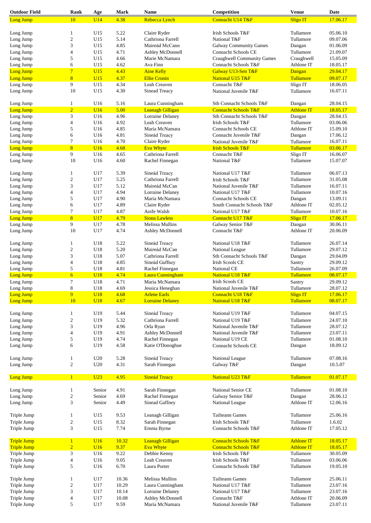| <b>Outdoor Field</b>   | Rank                     | Age                      | <b>Mark</b>  | <b>Name</b>                                    | Competition                          | <b>Venue</b>                 | <b>Date</b>          |
|------------------------|--------------------------|--------------------------|--------------|------------------------------------------------|--------------------------------------|------------------------------|----------------------|
| Long Jump              | 10                       | U14                      | 4.38         | Rebecca Lynch                                  | Connacht U14 T&F                     | <b>Sligo IT</b>              | 17.06.17             |
|                        |                          |                          |              |                                                |                                      |                              |                      |
| Long Jump              | $\mathbf{1}$             | U15                      | 5.22         | Claire Ryder                                   | Irish Schools T&F                    | Tullamore                    | 05.06.10             |
| Long Jump              | $\mathfrak{2}$           | U15                      | 5.14         | Cathriona Farrell                              | National T&F                         | Tullamore                    | 09.07.06             |
| Long Jump              | 3                        | U15                      | 4.85         | Maireád McCann                                 | <b>Galway Community Games</b>        | Dangan                       | 01.06.09             |
| Long Jump              | $\overline{4}$           | U15                      | 4.71         | Ashley McDonnell                               | Connacht Schools CE                  | Tullamore                    | 21.09.07             |
| Long Jump              | 5                        | U15                      | 4.66         | Marie McNamara                                 | Craughwell Community Games           | Craughwell                   | 15.05.09             |
| Long Jump              | 6                        | U15                      | 4.62         | Ava Finn                                       | Connacht Schools T&F                 | Athlone IT                   | 18.05.17             |
| Long Jump              | $7\phantom{.0}$          | U15                      | 4.43         | <b>Aine Kelly</b>                              | Galway U13-Sen T&F                   | Dangan                       | 29.04.17             |
| Long Jump              | $\overline{8}$           | U15                      | 4.37         | <b>Ellie Cronin</b>                            | National U15 T&F                     | Tullamore                    | 09.07.17             |
| Long Jump              | 9                        | U15                      | 4.34         | Leah Creaven                                   | Connacht T&F                         | Sligo IT                     | 18.06.05             |
| Long Jump              | 10                       | U15                      | 4.30         | Sinead Treacy                                  | National Juvenile T&F                | Tullamore                    | 16.07.11             |
| Long Jump              | 1                        | U16                      | 5.16         | Laura Cunningham                               | Sth Connacht Schools T&F             | Dangan                       | 28.04.15             |
| Long Jump              | $\overline{2}$           | U16                      | 5.00         | <b>Leanagh Gilligan</b>                        | <b>Connacht Schools T&amp;F</b>      | <b>Athlone IT</b>            | 18.05.17             |
| Long Jump              | 3                        | U16                      | 4.96         | Lorraine Delaney                               | Sth Connacht Schools T&F             | Dangan                       | 28.04.15             |
| Long Jump              | $\overline{4}$           | U16                      | 4.92         | Leah Creaven                                   | Irish Schools T&F                    | Tullamore                    | 03.06.06             |
| Long Jump              | 5                        | U16                      | 4.85         | Maria McNamara                                 | <b>Connacht Schools CE</b>           | Athlone IT                   | 15.09.10             |
| Long Jump              | 6                        | U16                      | 4.81         | Sineád Treacy                                  | Connacht Juvenile T&F                | Dangan                       | 17.06.12             |
| Long Jump              | 7                        | U16                      | 4.70         | Claire Ryder                                   | National Juvenile T&F                | Tullamore                    | 16.07.11             |
| Long Jump              | 8                        | U16                      | 4.68         | <b>Eva Whyte</b>                               | <b>Irish Schools T&amp;F</b>         | <b>Tullamore</b>             | 03.06.17             |
| Long Jump              | 9                        | U16                      | 4.65         | Cathriona Farrell                              | Connacht T&F                         | Sligo IT                     | 16.06.07             |
| Long Jump              | 10                       | U16                      | 4.60         | Rachel Finnegan                                | National T&F                         | Tullamore                    | 15.07.07             |
|                        |                          |                          |              |                                                |                                      |                              |                      |
| Long Jump              | 1                        | U17                      | 5.39         | Sineád Treacy                                  | National U17 T&F                     | Tullamore                    | 06.07.13             |
| Long Jump              | $\boldsymbol{2}$         | U17                      | 5.25         | Cathriona Farrell                              | Irish Schools T&F                    | Tullamore                    | 31.05.08             |
| Long Jump              | 3                        | U17                      | 5.12         | Maireád McCan                                  | National Juvenile T&F                | Tullamore                    | 16.07.11             |
| Long Jump              | $\overline{4}$           | U17                      | 4.94         | Lorraine Delaney                               | National U17 T&F                     | Tullamore                    | 10.07.16             |
| Long Jump              | 5                        | U17                      | 4.90         | Maria McNamara                                 | <b>Connacht Schools CE</b>           | Dangan                       | 13.09.11             |
| Long Jump              | 6                        | U17                      | 4.89         | Claire Ryder                                   | South Connacht Schools T&F           | Athlone IT                   | 02.05.12             |
| Long Jump              | 7                        | U17                      | 4.87         | Aoife Walsh                                    | National U17 T&F                     | Tullamore                    | 10.07.16             |
| Long Jump              | 8                        | U17                      | 4.79         | <b>Siona Lawless</b>                           | Connacht U17 T&F                     | <b>Sligo</b> IT              | 17.06.17             |
|                        |                          |                          |              |                                                |                                      |                              |                      |
| Long Jump              | 9                        | U17                      | 4.78         | Melissa Mullins                                | Galway Senior T&F                    | Dangan                       | 30.06.11             |
| Long Jump              | 10                       | U17                      | 4.74         | Ashley McDonnell                               | Connacht T&F                         | Athlone IT                   | 20.06.09             |
| Long Jump              | 1                        | U18                      | 5.22         | Sineád Treacy                                  | National U18 T&F                     | Tullamore                    | 26.07.14             |
| Long Jump              | $\boldsymbol{2}$         | U18                      | 5.20         | Maireád McCan                                  | National League                      | Tullamore                    | 29.07.12             |
| Long Jump              | 3                        | U18                      | 5.07         | Cathriona Farrell                              | Sth Connacht Schools T&F             | Dangan                       | 29.04.09             |
| Long Jump              | $\overline{4}$           | U18                      | 4.85         | Sineád Gaffney                                 | <b>Irish Scools CE</b>               | Santry                       | 29.09.12             |
| Long Jump              | 5                        | U18                      | 4.81         | Rachel Finnegan                                | National CE                          | Tullamore                    | 26.07.09             |
| Long Jump              | $\overline{6}$           | <b>U18</b>               | 4.74         | <b>Laura Cunningham</b>                        | National U18 T&F                     | <b>Tullamore</b>             | 08.07.17             |
| Long Jump              | 7                        | U18                      | 4.71         | Maria McNamara                                 | <b>Irish Scools CE</b>               | Santry                       | 29.09.12             |
|                        |                          |                          |              |                                                |                                      |                              |                      |
| Long Jump              | 8<br>9                   | U18                      | 4.69         | Jessica Heneghan                               | National Juvenile T&F                | Tullamore                    | 28.07.12             |
| Long Jump<br>Long Jump | 10                       | <b>U18</b><br><b>U18</b> | 4.68<br>4.67 | <b>Arlene Earls</b><br><b>Lorraine Delaney</b> | Connacht U18 T&F<br>National U18 T&F | <b>Sligo IT</b><br>Tullamore | 17.06.17<br>08.07.17 |
|                        |                          |                          |              |                                                |                                      |                              |                      |
| Long Jump              | 1                        | U19                      | 5.44         | Sineád Treacy                                  | National U19 T&F                     | Tullamore                    | 04.07.15             |
| Long Jump              | $\sqrt{2}$               | U19                      | 5.32         | Cathriona Farrell                              | National U19 T&F                     | Tullamore                    | 24.07.10             |
| Long Jump              | 3                        | U19                      | 4.96         | Orla Ryan                                      | National Juvenile T&F                | Tullamore                    | 28.07.12             |
| Long Jump              | $\overline{4}$           | U19                      | 4.91         | Ashley McDonnell                               | National Juvenile T&F                | Tullamore                    | 23.07.11             |
| Long Jump              | 5                        | U19                      | 4.74         | Rachel Finnegan                                | National U19 CE                      | Tullamore                    | 01.08.10             |
| Long Jump              | 6                        | U19                      | 4.58         | Katie O'Donoghue                               | Connacht Schools CE                  | Dangan                       | 18.09.12             |
| Long Jump              | 1                        | U20                      | 5.28         | Sineád Treacy                                  | National League                      | Tullamore                    | 07.08.16             |
| Long Jump              | $\mathbf{2}$             | U20                      | 4.31         | Sarah Finnegan                                 | Galway T&F                           | Dangan                       | 10.5.07              |
| Long Jump              | $\mathbf{1}$             | U23                      | 4.95         | <b>Sineád Treacy</b>                           | National U23 T&F                     | Tullamore                    | 01.07.17             |
|                        |                          |                          |              |                                                |                                      |                              |                      |
| Long Jump              | 1                        | Senior                   | 4.91         | Sarah Finnegan                                 | National Senior CE                   | Tullamore                    | 01.08.10             |
| Long Jump              | $\overline{c}$           | Senior                   | 4.69         | Rachel Finnegan                                | Galway Senior T&F                    | Dangan                       | 28.06.12             |
| Long Jump              | 3                        | Senior                   | 4.49         | Sinead Gaffney                                 | National League                      | Athlone IT                   | 12.06.16             |
| Triple Jump            | 1                        | U15                      | 9.53         | Leanagh Gilligan                               | <b>Tailteann Games</b>               | Tullamore                    | 25.06.16             |
| Triple Jump            | $\sqrt{2}$               | U15                      | 8.32         | Sarah Finnegan                                 | Irish Schools T&F                    | Tullamore                    | 1.6.02               |
|                        |                          |                          |              |                                                |                                      |                              |                      |
| Triple Jump            | 3                        | U15                      | 7.74         | Emma Byrne                                     | Connacht Schools T&F                 | Athlone IT                   | 17.05.12             |
| <b>Triple Jump</b>     | $\mathbf{1}$             | U16                      | 10.32        | <b>Leanagh Gilligan</b>                        | <b>Connacht Schools T&amp;F</b>      | <b>Athlone IT</b>            | 18.05.17             |
| <b>Triple Jump</b>     | $\overline{2}$           | U <sub>16</sub>          | 9.37         | <b>Eva Whyte</b>                               | <b>Connacht Schools T&amp;F</b>      | <b>Athlone IT</b>            | 18.05.17             |
| Triple Jump            | 3                        | U16                      | 9.22         | Debbie Kenny                                   | Irish Schools T&F                    | Tullamore                    | 30.05.09             |
| Triple Jump            | $\overline{\mathcal{A}}$ | U16                      | 9.05         | Leah Creaven                                   | Irish Schools T&F                    | Tullamore                    | 03.06.06             |
| Triple Jump            | 5                        | U16                      | 6.70         | Laura Porter                                   | Connacht Schools T&F                 | Tullamore                    | 19.05.10             |
| Triple Jump            | 1                        | U17                      | 10.36        | Melissa Mullins                                | <b>Tailteann Games</b>               | Tullamore                    | 25.06.11             |
|                        |                          |                          |              |                                                |                                      |                              |                      |
| Triple Jump            | $\sqrt{2}$               | U17                      | 10.29        | Laura Cunningham                               | National U17 T&F                     | Tullamore                    | 23.07.16             |
| Triple Jump            | 3                        | U17                      | 10.14        | Lorraine Delaney                               | National U17 T&F                     | Tullamore                    | 23.07.16             |
| Triple Jump            | $\overline{4}$           | U17                      | 10.08        | Ashley McDonnell                               | Connacht T&F                         | Athlone IT                   | 20.06.09             |
| Triple Jump            | 5                        | U17                      | 9.59         | Maria McNamara                                 | National Juvenile T&F                | Tullamore                    | 23.07.11             |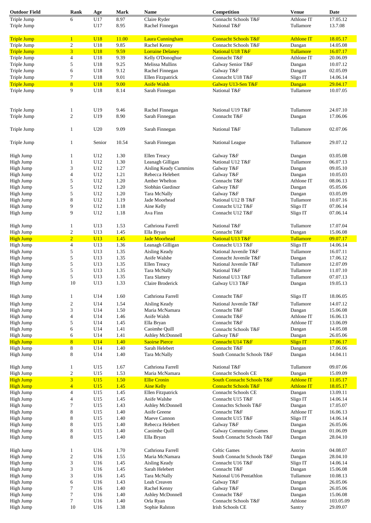| <b>Outdoor Field</b>                 | Rank                             | Age             | Mark         | <b>Name</b>                              | Competition                                                              | <b>Venue</b>                           | Date                 |
|--------------------------------------|----------------------------------|-----------------|--------------|------------------------------------------|--------------------------------------------------------------------------|----------------------------------------|----------------------|
| Triple Jump                          | 6                                | U17             | 8.97         | Claire Ryder                             | Connacht Schools T&F                                                     | Athlone IT                             | 17.05.12             |
| Triple Jump                          |                                  | U17             | 8.95         | Rachel Finnegan                          | National T&F                                                             | Tullamore                              | 13.7.08              |
| <b>Triple Jump</b>                   | $\mathbf{1}$                     | U18             | 11.00        | Laura Cunningham                         | <b>Connacht Schools T&amp;F</b>                                          | <b>Athlone IT</b>                      | 18.05.17             |
| Triple Jump                          | $\boldsymbol{2}$                 | U18             | 9.85         | Rachel Kenny                             | Connacht Schools T&F                                                     | Dangan                                 | 14.05.08             |
| <b>Triple Jump</b>                   | $\overline{3}$                   | U <sub>18</sub> | 9.59         | <b>Lorraine Delaney</b>                  | National U18 T&F                                                         | <b>Tullamore</b>                       | 16.07.17             |
| Triple Jump                          | $\overline{4}$                   | U18             | 9.39         | Kelly O'Donoghue                         | Connacht T&F                                                             | Athlone IT                             | 20.06.09             |
| Triple Jump                          | 5                                | U18             | 9.25         | Melissa Mullins                          | Galway Senior T&F                                                        | Dangan                                 | 10.07.12             |
| Triple Jump                          | 6                                | U18             | 9.12         | Rachel Finnegan                          | Galway T&F                                                               | Dangan                                 | 02.05.09             |
| Triple Jump                          | $\tau$                           | U18             | 9.01         | Ellen Fitzpatrick                        | Connacht U18 T&F                                                         | Sligo IT                               | 14.06.14             |
| <b>Triple Jump</b>                   | 8                                | <b>U18</b>      | 9.00         | <b>Aoife Walsh</b>                       | Galway U13-Sen T&F                                                       | Dangan                                 | 29.04.17             |
| Triple Jump                          | 9                                | U18             | 8.14         | Sarah Finnegan                           | National T&F                                                             | Tullamore                              | 10.07.05             |
|                                      |                                  |                 |              |                                          |                                                                          |                                        |                      |
| Triple Jump                          | 1                                | U19             | 9.46         | Rachel Finnegan                          | National U19 T&F                                                         | Tullamore                              | 24.07.10             |
| Triple Jump                          | $\overline{c}$                   | U19             | 8.90         | Sarah Finnegan                           | Connacht T&F                                                             | Dangan                                 | 17.06.06             |
| Triple Jump                          | 1                                | U20             | 9.09         | Sarah Finnegan                           | National T&F                                                             | Tullamore                              | 02.07.06             |
| Triple Jump                          | 1                                | Senior          | 10.54        | Sarah Finnegan                           | National League                                                          | Tullamore                              | 29.07.12             |
| High Jump                            | 1                                | U12             | 1.30         | Ellen Treacy                             | Galway T&F                                                               | Dangan                                 | 03.05.08             |
| High Jump                            | 1                                | U12             | 1.30         | Leanagh Gilligan                         | National U12 T&F                                                         | Tullamore                              | 06.07.13             |
| High Jump                            | 3                                | U12             | 1.27         | Aisling Keady Cummins                    | Galway T&F                                                               | Dangan                                 | 09.05.10             |
| High Jump                            | 4                                | U12             | 1.21         | Rebecca Helebert                         | Galway T&F                                                               | Dangan                                 | 10.05.03             |
| High Jump                            | 5                                | U12             | 1.20         | Amber Whelton                            | Connacht T&F                                                             | Athlone IT                             | 08.06.13             |
|                                      |                                  |                 |              | Siobhán Gardiner                         |                                                                          |                                        | 05.05.06             |
| High Jump                            | 5                                | U12             | 1.20         |                                          | Galway T&F                                                               | Dangan                                 |                      |
| High Jump                            | 5                                | U12             | 1.20         | Tara McNally                             | Galway T&F                                                               | Dangan                                 | 03.05.09             |
| High Jump                            | 8                                | U12             | 1.19         | Jade Moorhead                            | National U12 B T&F                                                       | Tullamore                              | 10.07.16             |
| High Jump                            | 9                                | U12             | 1.18         | Aine Kelly                               | Connacht U12 T&F                                                         | Sligo IT                               | 07.06.14             |
| High Jump                            | 9                                | U12             | 1.18         | Ava Finn                                 | Connacht U12 T&F                                                         | Sligo IT                               | 07.06.14             |
| High Jump                            | $\mathbf{1}$                     | U13             | 1.53         | Cathriona Farrell                        | National T&F                                                             | Tullamore                              | 17.07.04             |
| High Jump                            | $\overline{c}$                   | U13             | 1.45         | Ella Bryan                               | Connacht T&F                                                             | Dangan                                 | 15.06.08             |
| <b>High Jump</b>                     | $\overline{2}$                   | <b>U13</b>      | 1.45         | <b>Jade Moorhead</b>                     | National U13 T&F                                                         | Tullamore                              | 09.07.17             |
| High Jump                            | $\overline{4}$                   | U13             | 1.36         | Leanagh Gilligan                         | Connacht U13 T&F                                                         | Sligo IT                               | 14.06.14             |
| High Jump                            | 5                                | U13             | 1.35         | Aisling Keady                            | National Juvenile T&F                                                    | Tullamore                              | 16.07.11             |
| High Jump                            | 5                                | U13             | 1.35         | Aoife Walshe                             | Connacht Juvenile T&F                                                    | Dangan                                 | 17.06.12             |
| High Jump                            | 5                                | U13             | 1.35         | <b>Ellen Treacy</b>                      | National Juvenile T&F                                                    | Tullamore                              | 12.07.09             |
| High Jump                            | 5                                | U13             | 1.35         | Tara McNally                             | National T&F                                                             | Tullamore                              | 11.07.10             |
| High Jump                            | 5                                | U13             | 1.35         | <b>Tara Slattery</b>                     | National U13 T&F                                                         | Tullamore                              | 07.07.13             |
| High Jump                            | 10                               | U13             | 1.33         | Claire Broderick                         | Galway U13 T&F                                                           | Dangan                                 | 19.05.13             |
| High Jump                            | 1                                | U14             | 1.60         | Cathriona Farrell                        | Connacht T&F                                                             | Sligo IT                               | 18.06.05             |
| High Jump                            | 2                                | U14             | 1.54         | Aisling Keady                            | National Juvenile T&F                                                    | Tullamore                              | 14.07.12             |
| High Jump                            | 3                                | U14             | 1.50         | Maria McNamara                           | Connacht T&F                                                             | Dangan                                 | 15.06.08             |
| High Jump                            | $\overline{4}$                   | U14             | 1.46         | Aoife Walsh                              | Connacht T&F                                                             | Athlone IT                             | 16.06.13             |
| High Jump                            | 5                                | U14             | 1.45         | Ella Bryan                               | Connacht T&F                                                             | Athlone IT                             | 13.06.09             |
| High Jump                            | 6                                | U14             | 1.41         | Caoimhe Quill                            | Connacht Schools T&F                                                     | Dangan                                 | 14.05.08             |
| High Jump                            | 6                                | U14             | 1.41         | Ashley McDonnell                         | Galway T&F                                                               | Dangan                                 | 26.05.06             |
| <b>High Jump</b>                     | 8                                | <b>U14</b>      | 1.40         | <b>Saoirse Pierce</b>                    | Connacht U14 T&F                                                         | <b>Sligo IT</b>                        | 17.06.17             |
| High Jump                            | 8                                | U14             | 1.40         | Sarah Helebert                           | Connacht T&F                                                             | Dangan                                 | 17.06.06             |
| High Jump                            | 8                                | U14             | 1.40         | Tara McNally                             | South Connacht Schools T&F                                               | Dangan                                 | 14.04.11             |
| High Jump                            | $\mathbf{1}$                     | U15             | 1.67         | Cathriona Farrell                        | National T&F                                                             | Tullamore                              | 09.07.06             |
| High Jump                            | $\mathbf{2}$                     | U15             | 1.53         | Maria McNamara                           | <b>Connacht Schools CE</b>                                               | Dangan                                 | 15.09.09             |
| <b>High Jump</b><br><b>High Jump</b> | $\overline{3}$<br>$\overline{4}$ | U15<br>U15      | 1.50<br>1.45 | <b>Ellie Cronin</b><br><b>Aine Kelly</b> | <b>South Connacht Schools T&amp;F</b><br><b>Connacht Schools T&amp;F</b> | <b>Athlone IT</b><br><b>Athlone IT</b> | 11.05.17<br>18.05.17 |
| High Jump                            | $\overline{4}$                   | U15             | 1.45         | Ellen Fitzpatrick                        | <b>Connacht Schools CE</b>                                               | Dangan                                 | 13.09.11             |
| High Jump                            | $\overline{4}$                   | U15             | 1.45         | Aoife Walshe                             | Connacht U15 T&F                                                         | Sligo IT                               | 14.06.14             |
|                                      |                                  |                 | 1.43         | Ashley McDonnell                         | Connachts Schools T&F                                                    |                                        | 17.05.07             |
| High Jump                            | 7                                | U15             |              |                                          |                                                                          | Dangan                                 |                      |
| High Jump                            | 8                                | U15             | 1.40         | Aoife Greene                             | Connacht T&F                                                             | Athlone IT                             | 16.06.13             |
| High Jump                            | $\,$ 8 $\,$                      | U15             | 1.40         | Maeve Cannon                             | Connacht U15 T&F                                                         | Sligo IT                               | 14.06.14             |
| High Jump                            | $\,$ 8 $\,$                      | U15             | 1.40         | Rebecca Helebert                         | Galway T&F                                                               | Dangan                                 | 26.05.06             |
| High Jump                            | 8                                | U15             | 1.40         | Caoimhe Quill                            | <b>Galway Community Games</b>                                            | Dangan                                 | 01.06.09             |
| High Jump                            | 8                                | U15             | 1.40         | Ella Bryan                               | South Connacht Schools T&F                                               | Dangan                                 | 28.04.10             |
| High Jump                            | 1                                | U16             | 1.70         | Cathriona Farrell                        | <b>Celtic Games</b>                                                      | Antrim                                 | 04.08.07             |
| High Jump                            | $\overline{c}$                   | U16             | 1.55         | Maria McNamara                           | South Connacht Schools T&F                                               | Dangan                                 | 28.04.10             |
| High Jump                            | 3                                | U16             | 1.45         | Aisling Keady                            | Connacht U16 T&F                                                         | Sligo IT                               | 14.06.14             |
| High Jump                            | 3                                | U16             | 1.45         | Sarah Helebert                           | Connacht T&F                                                             | Dangan                                 | 15.06.08             |
| High Jump                            | 3                                | U16             | 1.45         | Tara McNally                             | National U16 Pentathlon                                                  | Tullamore                              | 10.08.13             |
| High Jump                            | 6                                | U16             | 1.43         | Leah Creaven                             | Galway T&F                                                               | Dangan                                 | 26.05.06             |
| High Jump                            | $\tau$                           | U16             | 1.40         | Rachel Kenny                             | Galway T&F                                                               | Dangan                                 | 26.05.06             |
| High Jump                            | $\tau$                           | U16             | 1.40         | Ashley McDonnell                         | Connacht T&F                                                             | Dangan                                 | 15.06.08             |
| High Jump                            | $\tau$                           | U16             | 1.40         | Orla Ryan                                | Connacht Schools T&F                                                     | Athlone                                | 103.05.09            |
| High Jump                            | 10                               | U16             | 1.38         | Sophie Ralston                           | <b>Irish Schools CE</b>                                                  | Santry                                 | 29.09.07             |
|                                      |                                  |                 |              |                                          |                                                                          |                                        |                      |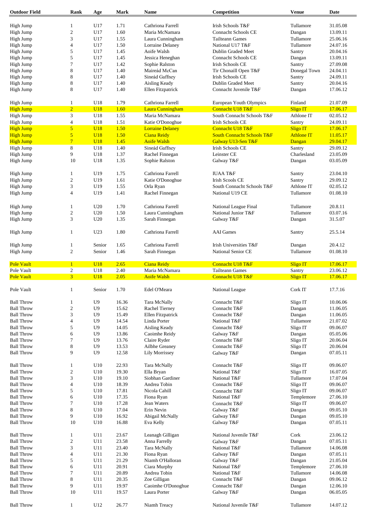| High Jump                                                                                                                                                                                                                                                                                                                                                                                                                                                                                                                                                                                                                                                                             |                         | Age            | Mark  | Name                    | Competition                           | <b>Venue</b>      | Date     |
|---------------------------------------------------------------------------------------------------------------------------------------------------------------------------------------------------------------------------------------------------------------------------------------------------------------------------------------------------------------------------------------------------------------------------------------------------------------------------------------------------------------------------------------------------------------------------------------------------------------------------------------------------------------------------------------|-------------------------|----------------|-------|-------------------------|---------------------------------------|-------------------|----------|
|                                                                                                                                                                                                                                                                                                                                                                                                                                                                                                                                                                                                                                                                                       |                         |                |       |                         |                                       |                   |          |
|                                                                                                                                                                                                                                                                                                                                                                                                                                                                                                                                                                                                                                                                                       | 1                       | U17            | 1.71  | Cathriona Farrell       | Irish Schools T&F                     | Tullamore         | 31.05.08 |
| High Jump                                                                                                                                                                                                                                                                                                                                                                                                                                                                                                                                                                                                                                                                             | $\mathfrak{2}$          | U17            | 1.60  | Maria McNamara          | <b>Connacht Schools CE</b>            | Dangan            | 13.09.11 |
| High Jump                                                                                                                                                                                                                                                                                                                                                                                                                                                                                                                                                                                                                                                                             | 3                       | U17            | 1.55  | Laura Cunningham        | <b>Tailteann Games</b>                | Tullamore         | 25.06.16 |
| High Jump                                                                                                                                                                                                                                                                                                                                                                                                                                                                                                                                                                                                                                                                             | 4                       | U17            | 1.50  | Lorraine Delaney        | National U17 T&F                      | Tullamore         | 24.07.16 |
| High Jump                                                                                                                                                                                                                                                                                                                                                                                                                                                                                                                                                                                                                                                                             | 5                       | U17            | 1.45  | Aoife Walsh             | Dublin Graded Meet                    | Santry            | 20.04.16 |
|                                                                                                                                                                                                                                                                                                                                                                                                                                                                                                                                                                                                                                                                                       |                         |                |       |                         |                                       |                   |          |
| High Jump                                                                                                                                                                                                                                                                                                                                                                                                                                                                                                                                                                                                                                                                             | 5                       | U17            | 1.45  | Jessica Heneghan        | <b>Connacht Schools CE</b>            | Dangan            | 13.09.11 |
| High Jump                                                                                                                                                                                                                                                                                                                                                                                                                                                                                                                                                                                                                                                                             | 7                       | U17            | 1.42  | Sophie Ralston          | Irish Schools CE                      | Santry            | 27.09.08 |
| High Jump                                                                                                                                                                                                                                                                                                                                                                                                                                                                                                                                                                                                                                                                             | 8                       | U17            | 1.40  | Maireád McCan           | Tir Chonaill Open T&F                 | Donegal Town      | 24.04.11 |
| High Jump                                                                                                                                                                                                                                                                                                                                                                                                                                                                                                                                                                                                                                                                             | 8                       | U17            | 1.40  | Sineád Gaffney          | <b>Irish Schools CE</b>               | Santry            | 24.09.11 |
| High Jump                                                                                                                                                                                                                                                                                                                                                                                                                                                                                                                                                                                                                                                                             | 8                       | U17            | 1.40  | Aisling Keady           | Dublin Graded Meet                    | Santry            | 20.04.16 |
| High Jump                                                                                                                                                                                                                                                                                                                                                                                                                                                                                                                                                                                                                                                                             | 8                       | U17            | 1.40  | Ellen Fitzpatrick       | Connacht Juvenile T&F                 | Dangan            | 17.06.12 |
|                                                                                                                                                                                                                                                                                                                                                                                                                                                                                                                                                                                                                                                                                       |                         |                |       |                         |                                       |                   |          |
| High Jump                                                                                                                                                                                                                                                                                                                                                                                                                                                                                                                                                                                                                                                                             | $\mathbf{1}$            | U18            | 1.79  | Cathriona Farrell       | European Youth Olympics               | Finland           | 21.07.09 |
| <b>High Jump</b>                                                                                                                                                                                                                                                                                                                                                                                                                                                                                                                                                                                                                                                                      | $\overline{2}$          | <b>U18</b>     | 1.60  | <b>Laura Cunningham</b> | Connacht U18 T&F                      | <b>Sligo IT</b>   | 17.06.17 |
| High Jump                                                                                                                                                                                                                                                                                                                                                                                                                                                                                                                                                                                                                                                                             | 3                       | U18            | 1.55  | Maria McNamara          | South Connacht Schools T&F            | Athlone IT        | 02.05.12 |
| High Jump                                                                                                                                                                                                                                                                                                                                                                                                                                                                                                                                                                                                                                                                             | $\overline{\mathbf{4}}$ | U18            | 1.51  | Katie O'Donoghue        | <b>Irish Schools CE</b>               | Santry            | 24.09.11 |
| <b>High Jump</b>                                                                                                                                                                                                                                                                                                                                                                                                                                                                                                                                                                                                                                                                      | $\overline{5}$          | U18            | 1.50  | <b>Lorraine Delaney</b> | Connacht U18 T&F                      | <b>Sligo IT</b>   | 17.06.17 |
|                                                                                                                                                                                                                                                                                                                                                                                                                                                                                                                                                                                                                                                                                       |                         |                |       |                         |                                       |                   |          |
| <b>High Jump</b>                                                                                                                                                                                                                                                                                                                                                                                                                                                                                                                                                                                                                                                                      | 5                       | <b>U18</b>     | 1.50  | <b>Ciana Reidy</b>      | <b>South Connacht Schools T&amp;F</b> | <b>Athlone IT</b> | 11.05.17 |
| <b>High Jump</b>                                                                                                                                                                                                                                                                                                                                                                                                                                                                                                                                                                                                                                                                      | $\overline{7}$          | <b>U18</b>     | 1.45  | <b>Aoife Walsh</b>      | Galway U13-Sen T&F                    | Dangan            | 29.04.17 |
| High Jump                                                                                                                                                                                                                                                                                                                                                                                                                                                                                                                                                                                                                                                                             | 8                       | U18            | 1.40  | Sineád Gaffney          | <b>Irish Schools CE</b>               | Santry            | 29.09.12 |
| High Jump                                                                                                                                                                                                                                                                                                                                                                                                                                                                                                                                                                                                                                                                             | 9                       | U18            | 1.37  | Rachel Finnegan         | Leinster CE                           | Charlesland       | 23.05.09 |
| High Jump                                                                                                                                                                                                                                                                                                                                                                                                                                                                                                                                                                                                                                                                             | 10                      | U18            | 1.35  | Sophie Ralston          | Galway T&F                            | Dangan            | 03.05.09 |
|                                                                                                                                                                                                                                                                                                                                                                                                                                                                                                                                                                                                                                                                                       |                         |                |       |                         |                                       |                   |          |
| High Jump                                                                                                                                                                                                                                                                                                                                                                                                                                                                                                                                                                                                                                                                             | 1                       | U19            | 1.75  | Cathriona Farrell       | <b>IUAA T&amp;F</b>                   | Santry            | 23.04.10 |
| High Jump                                                                                                                                                                                                                                                                                                                                                                                                                                                                                                                                                                                                                                                                             | $\mathfrak{2}$          | U19            | 1.61  | Katie O'Donoghue        | Irish Scools CE                       | Santry            | 29.09.12 |
| High Jump                                                                                                                                                                                                                                                                                                                                                                                                                                                                                                                                                                                                                                                                             | 3                       | U19            | 1.55  | Orla Ryan               | South Connacht Schools T&F            | Athlone IT        | 02.05.12 |
|                                                                                                                                                                                                                                                                                                                                                                                                                                                                                                                                                                                                                                                                                       |                         |                |       |                         |                                       |                   |          |
| High Jump                                                                                                                                                                                                                                                                                                                                                                                                                                                                                                                                                                                                                                                                             | $\overline{4}$          | U19            | 1.41  | Rachel Finnegan         | National U19 CE                       | Tullamore         | 01.08.10 |
| High Jump                                                                                                                                                                                                                                                                                                                                                                                                                                                                                                                                                                                                                                                                             | 1                       | U20            | 1.70  | Cathriona Farrell       | National League Final                 | Tullamore         | 20.8.11  |
|                                                                                                                                                                                                                                                                                                                                                                                                                                                                                                                                                                                                                                                                                       |                         |                |       |                         |                                       |                   |          |
| High Jump                                                                                                                                                                                                                                                                                                                                                                                                                                                                                                                                                                                                                                                                             | $\boldsymbol{2}$        | U20            | 1.50  | Laura Cunningham        | National Junior T&F                   | Tullamore         | 03.07.16 |
| High Jump                                                                                                                                                                                                                                                                                                                                                                                                                                                                                                                                                                                                                                                                             | 3                       | U20            | 1.35  | Sarah Finnegan          | Galway T&F                            | Dangan            | 31.5.07  |
| High Jump                                                                                                                                                                                                                                                                                                                                                                                                                                                                                                                                                                                                                                                                             | $\mathbf{1}$            | U23            | 1.80  | Cathriona Farrell       | <b>AAI</b> Games                      | Santry            | 25.5.14  |
|                                                                                                                                                                                                                                                                                                                                                                                                                                                                                                                                                                                                                                                                                       |                         |                |       |                         |                                       |                   |          |
| High Jump                                                                                                                                                                                                                                                                                                                                                                                                                                                                                                                                                                                                                                                                             | 1                       | Senior         | 1.65  | Cathriona Farrell       | Irish Universities T&F                | Dangan            | 20.4.12  |
| High Jump                                                                                                                                                                                                                                                                                                                                                                                                                                                                                                                                                                                                                                                                             | $\boldsymbol{2}$        | Senior         | 1.46  | Sarah Finnegan          | National Senior CE                    | Tullamore         | 01.08.10 |
|                                                                                                                                                                                                                                                                                                                                                                                                                                                                                                                                                                                                                                                                                       |                         |                |       |                         |                                       |                   |          |
| <b>Pole Vault</b>                                                                                                                                                                                                                                                                                                                                                                                                                                                                                                                                                                                                                                                                     | $\mathbf{1}$            | <b>U18</b>     | 2.65  | <b>Ciana Reidy</b>      | Connacht U18 T&F                      | <b>Sligo IT</b>   | 17.06.17 |
| Pole Vault                                                                                                                                                                                                                                                                                                                                                                                                                                                                                                                                                                                                                                                                            | $\boldsymbol{2}$        | U18            | 2.40  | Maria McNamara          | <b>Tailteann Games</b>                | Santry            | 23.06.12 |
|                                                                                                                                                                                                                                                                                                                                                                                                                                                                                                                                                                                                                                                                                       |                         |                |       |                         |                                       |                   |          |
|                                                                                                                                                                                                                                                                                                                                                                                                                                                                                                                                                                                                                                                                                       | $\overline{3}$          | <b>U18</b>     | 2.05  | <b>Aoife Walsh</b>      | Connacht U18 T&F                      | <b>Sligo IT</b>   | 17.06.17 |
|                                                                                                                                                                                                                                                                                                                                                                                                                                                                                                                                                                                                                                                                                       |                         |                |       |                         |                                       |                   |          |
|                                                                                                                                                                                                                                                                                                                                                                                                                                                                                                                                                                                                                                                                                       | $\mathbf{I}$            | Senior         | 1.70  | Edel O'Meara            | National League                       | Cork IT           | 17.7.16  |
|                                                                                                                                                                                                                                                                                                                                                                                                                                                                                                                                                                                                                                                                                       | 1                       | U <sub>9</sub> | 16.36 | Tara McNally            | Connacht T&F                          |                   | 10.06.06 |
|                                                                                                                                                                                                                                                                                                                                                                                                                                                                                                                                                                                                                                                                                       |                         |                |       |                         |                                       | Sligo IT          |          |
|                                                                                                                                                                                                                                                                                                                                                                                                                                                                                                                                                                                                                                                                                       | $\boldsymbol{2}$        | U <sub>9</sub> | 15.62 | Rachel Tierney          | Connacht T&F                          | Dangan            | 11.06.05 |
|                                                                                                                                                                                                                                                                                                                                                                                                                                                                                                                                                                                                                                                                                       | 3                       | U <sub>9</sub> | 15.49 | Ellen Fitzpatrick       | Connacht T&F                          | Dangan            | 11.06.05 |
|                                                                                                                                                                                                                                                                                                                                                                                                                                                                                                                                                                                                                                                                                       | $\overline{\mathbf{4}}$ | U9             | 14.54 | Linda Porter            | National T&F                          | Tullamore         | 21.07.02 |
|                                                                                                                                                                                                                                                                                                                                                                                                                                                                                                                                                                                                                                                                                       | 5                       | U9             | 14.05 | Aisling Keady           | Connacht T&F                          | Sligo IT          | 09.06.07 |
|                                                                                                                                                                                                                                                                                                                                                                                                                                                                                                                                                                                                                                                                                       | 6                       | U9             | 13.86 | Caoimhe Reidy           | Galway T&F                            | Dangan            | 05.05.06 |
|                                                                                                                                                                                                                                                                                                                                                                                                                                                                                                                                                                                                                                                                                       | 7                       | U <sub>9</sub> | 13.76 | Claire Ryder            | Connacht T&F                          | Sligo IT          | 20.06.04 |
|                                                                                                                                                                                                                                                                                                                                                                                                                                                                                                                                                                                                                                                                                       | 8                       | U <sub>9</sub> | 13.53 | Ailbhe Greaney          | Connacht T&F                          | Sligo IT          | 20.06.04 |
|                                                                                                                                                                                                                                                                                                                                                                                                                                                                                                                                                                                                                                                                                       | 9                       | U <sub>9</sub> | 12.58 | <b>Lily Morrissey</b>   |                                       | Dangan            | 07.05.11 |
|                                                                                                                                                                                                                                                                                                                                                                                                                                                                                                                                                                                                                                                                                       |                         |                |       |                         | Galway T&F                            |                   |          |
|                                                                                                                                                                                                                                                                                                                                                                                                                                                                                                                                                                                                                                                                                       | 1                       | U10            | 22.93 | Tara McNally            | Connacht T&F                          | Sligo IT          | 09.06.07 |
|                                                                                                                                                                                                                                                                                                                                                                                                                                                                                                                                                                                                                                                                                       | $\mathfrak{2}$          | U10            | 19.30 | Ella Bryan              | National T&F                          | Sligo IT          | 16.07.05 |
|                                                                                                                                                                                                                                                                                                                                                                                                                                                                                                                                                                                                                                                                                       |                         | U10            |       | Siobhan Gardiner        |                                       | Tullamore         | 17.07.04 |
|                                                                                                                                                                                                                                                                                                                                                                                                                                                                                                                                                                                                                                                                                       | 3                       |                | 19.10 |                         | National T&F                          |                   |          |
|                                                                                                                                                                                                                                                                                                                                                                                                                                                                                                                                                                                                                                                                                       | $\overline{\mathbf{4}}$ | U10            | 18.39 | Andrea Tobin            | Connacht T&F                          | Sligo IT          | 09.06.07 |
|                                                                                                                                                                                                                                                                                                                                                                                                                                                                                                                                                                                                                                                                                       | 5                       | U10            | 17.81 | Nicola Cahill           | Connacht T&F                          | Sligo IT          | 09.06.07 |
|                                                                                                                                                                                                                                                                                                                                                                                                                                                                                                                                                                                                                                                                                       | 6                       | U10            | 17.35 | Fiona Ryan              | National T&F                          | Templemore        | 27.06.10 |
|                                                                                                                                                                                                                                                                                                                                                                                                                                                                                                                                                                                                                                                                                       | 7                       | U10            | 17.28 | Jean Waters             | Connacht T&F                          | Sligo IT          | 09.06.07 |
|                                                                                                                                                                                                                                                                                                                                                                                                                                                                                                                                                                                                                                                                                       | 8                       | U10            | 17.04 | Erin Nevin              | Galway T&F                            | Dangan            | 09.05.10 |
|                                                                                                                                                                                                                                                                                                                                                                                                                                                                                                                                                                                                                                                                                       | 9                       | U10            | 16.92 | Abigail McNally         | Galway T&F                            | Dangan            | 09.05.10 |
|                                                                                                                                                                                                                                                                                                                                                                                                                                                                                                                                                                                                                                                                                       | 10                      | U10            | 16.88 | Eva Kelly               | Galway T&F                            | Dangan            | 07.05.11 |
|                                                                                                                                                                                                                                                                                                                                                                                                                                                                                                                                                                                                                                                                                       |                         |                |       |                         |                                       |                   |          |
|                                                                                                                                                                                                                                                                                                                                                                                                                                                                                                                                                                                                                                                                                       | $\mathbf{1}$            | U11            | 23.67 | Leanagh Gilligan        | National Juvenile T&F                 | Cork              | 23.06.12 |
|                                                                                                                                                                                                                                                                                                                                                                                                                                                                                                                                                                                                                                                                                       | $\boldsymbol{2}$        | U11            | 23.58 | Anna Farrelly           | Galway T&F                            | Dangan            | 07.05.11 |
|                                                                                                                                                                                                                                                                                                                                                                                                                                                                                                                                                                                                                                                                                       | 3                       | U11            | 23.40 | Tara McNally            | National T&F                          | Tullamore         | 14.06.08 |
|                                                                                                                                                                                                                                                                                                                                                                                                                                                                                                                                                                                                                                                                                       | $\overline{\mathbf{4}}$ | U11            | 21.30 | Fiona Ryan              | Galway T&F                            | Dangan            | 07.05.11 |
|                                                                                                                                                                                                                                                                                                                                                                                                                                                                                                                                                                                                                                                                                       | 5                       | U11            | 21.29 | Niamh O'Halloran        | Galway T&F                            | Dangan            | 21.05.04 |
|                                                                                                                                                                                                                                                                                                                                                                                                                                                                                                                                                                                                                                                                                       |                         |                |       |                         |                                       |                   |          |
|                                                                                                                                                                                                                                                                                                                                                                                                                                                                                                                                                                                                                                                                                       | 6                       | U11            | 20.91 | Ciara Murphy            | National T&F                          | Templemore        | 27.06.10 |
|                                                                                                                                                                                                                                                                                                                                                                                                                                                                                                                                                                                                                                                                                       | 7                       | U11            | 20.89 | Andrea Tobin            | National T&F                          | Tullamore         | 14.06.08 |
|                                                                                                                                                                                                                                                                                                                                                                                                                                                                                                                                                                                                                                                                                       | 8                       | U11            | 20.35 | Zoe Gilligan            | Connacht T&F                          | Dangan            | 09.06.12 |
|                                                                                                                                                                                                                                                                                                                                                                                                                                                                                                                                                                                                                                                                                       | 9                       | U11            | 19.97 | Caoimhe O'Donoghue      | Connacht T&F                          | Dangan            | 12.06.10 |
|                                                                                                                                                                                                                                                                                                                                                                                                                                                                                                                                                                                                                                                                                       | 10                      | U11            | 19.57 | Laura Porter            | Galway T&F                            | Dangan            | 06.05.05 |
| <b>Pole Vault</b><br>Pole Vault<br><b>Ball Throw</b><br><b>Ball Throw</b><br><b>Ball Throw</b><br><b>Ball Throw</b><br><b>Ball Throw</b><br><b>Ball Throw</b><br><b>Ball Throw</b><br><b>Ball Throw</b><br><b>Ball Throw</b><br><b>Ball Throw</b><br><b>Ball Throw</b><br><b>Ball Throw</b><br><b>Ball Throw</b><br><b>Ball Throw</b><br><b>Ball Throw</b><br><b>Ball Throw</b><br><b>Ball Throw</b><br><b>Ball Throw</b><br><b>Ball Throw</b><br><b>Ball Throw</b><br><b>Ball Throw</b><br><b>Ball Throw</b><br><b>Ball Throw</b><br><b>Ball Throw</b><br><b>Ball Throw</b><br><b>Ball Throw</b><br><b>Ball Throw</b><br><b>Ball Throw</b><br><b>Ball Throw</b><br><b>Ball Throw</b> | $\mathbf{1}$            | U12            | 26.77 | Niamh Treacy            | National Juvenile T&F                 | Tullamore         | 14.07.12 |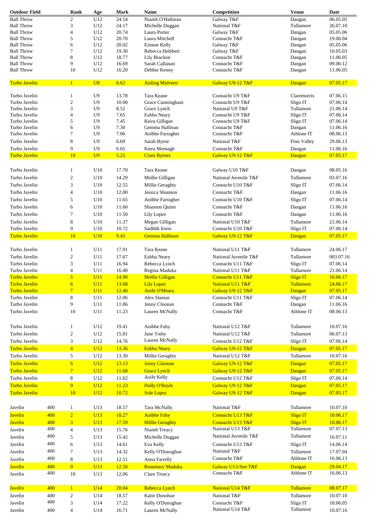| <b>Outdoor Field</b>                  |            | Rank                        | Age               | Mark           | <b>Name</b>                                 | Competition                          | <b>Venue</b>                        | <b>Date</b>          |
|---------------------------------------|------------|-----------------------------|-------------------|----------------|---------------------------------------------|--------------------------------------|-------------------------------------|----------------------|
| <b>Ball Throw</b>                     |            | $\overline{2}$              | U12               | 24.54          | Niamh O'Halloran                            | Galway T&F                           | Dangan                              | 06.05.05             |
| <b>Ball Throw</b>                     |            | 3                           | U12               | 24.17          | Michelle Duggan                             | National T&F                         | Tullamore                           | 26.07.10             |
| <b>Ball Throw</b>                     |            | $\overline{4}$              | U12               | 20.74          | Laura Porter                                | Galway T&F                           | Dangan                              | 05.05.06             |
| <b>Ball Throw</b>                     |            | 5                           | U12               | 20.70          | Laura Mitchell                              | Connacht T&F                         | Dangan                              | 19.06.04             |
| <b>Ball Throw</b>                     |            | 6                           | U12               | 20.02          | Eimear Kelly                                | Galway T&F                           | Dangan                              | 05.05.06             |
| <b>Ball Throw</b>                     |            | 7                           | U12               | 19.30          | Rebecca Helebert                            | Galway T&F                           | Dangan                              | 10.05.03             |
| <b>Ball Throw</b>                     |            | 8                           | U12               | 18.77          | Lily Bracken                                | Connacht T&F                         | Dangan                              | 11.06.05             |
| <b>Ball Throw</b>                     |            | 9                           | U12               | 16.69          | Sarah Callanan                              | Connacht T&F                         | Dangan                              | 09.06.12             |
| <b>Ball Throw</b>                     |            | 10                          | U12               | 16.20          | Debbie Kenny                                | Connacht T&F                         | Dangan                              | 11.06.05             |
| <b>Turbo Javelin</b>                  |            | $\mathbf{1}$                | U8                | 6.62           | <b>Aisling Mulveen</b>                      | Galway U9-12 T&F                     | Dangan                              | 07.05.17             |
| Turbo Javelin                         |            | 1                           | U9                | 13.78          | Tara Keane                                  | Connacht U9 T&F                      | Claremorris                         | 07.06.15             |
| Turbo Javelin                         |            | $\mathfrak{2}$              | U <sub>9</sub>    | 10.00          | Grace Cunningham                            | Connacht U9 T&F                      | Sligo IT                            | 07.06.14             |
| Turbo Javelin                         |            | 3                           | U <sub>9</sub>    | 8.52           | Grace Lynch                                 | National U9 T&F                      | Tullamore                           | 21.06.14             |
| Turbo Javelin                         |            | $\overline{4}$              | U <sub>9</sub>    | 7.65           | Eabha Neary                                 | Connacht U9 T&F                      | Sligo IT                            | 07.06.14             |
| Turbo Javelin                         |            | 5                           | U <sub>9</sub>    | 7.45           | Keira Gilligan                              | Connacht U9 T&F                      | Sligo IT                            | 07.06.14             |
| Turbo Javelin                         |            | 6                           | U <sub>9</sub>    | 7.30           | Gemma Hallinan                              | Connacht T&F                         | Dangan                              | 11.06.16             |
| Turbo Javelin                         |            | 7                           | U <sub>9</sub>    | 7.06           | Aoibhe Farragher                            | Connacht T&F                         | Athlone IT                          | 08.06.13             |
| Turbo Javelin                         |            | 8                           | U <sub>9</sub>    | 6.69           | Sarah Byrne                                 | National T&F                         | Finn Valley                         | 29.06.13             |
| Turbo Javelin                         |            | 9                           | U <sub>9</sub>    | 6.65           | Kiera Mernagh                               | Connacht T&F                         | Dangan                              | 11.06.16             |
| <b>Turbo Javelin</b>                  |            | 10                          | U <sub>9</sub>    | 5.25           | <b>Ciara Byrnes</b>                         | Galway U9-12 T&F                     | Dangan                              | 07.05.17             |
| Turbo Javelin                         |            | 1                           | U10               | 17.70          | Tara Keane                                  | Galway U10 T&F                       | Dangan                              | 08.05.16             |
| Turbo Javelin                         |            | $\overline{c}$              | U10               | 14.29          | Mollie Gilligan                             | National Juvenile T&F                | Tullamore                           | 03.07.16             |
| Turbo Javelin                         |            | 3                           | U10               | 12.55          | Millie Geraghty                             | Connacht U10 T&F                     | Sligo IT                            | 07.06.14             |
|                                       |            |                             |                   |                |                                             |                                      |                                     |                      |
| Turbo Javelin                         |            | $\overline{4}$              | U10               | 12.00          | Jessica Shannon                             | Connacht T&F                         | Dangan                              | 11.06.16             |
| Turbo Javelin                         |            | 5                           | U10               | 11.65          | Aoibhe Farragher                            | Connacht U10 T&F                     | Sligo IT                            | 07.06.14             |
| Turbo Javelin                         |            | 6                           | U10               | 11.60          | Shannon Quinn                               | Connacht T&F                         | Dangan                              | 11.06.16             |
| Turbo Javelin                         |            | 7                           | U10               | 11.50          | Lily Lopez                                  | Connacht T&F                         | Dangan                              | 11.06.16             |
| Turbo Javelin                         |            | $\,8\,$                     | U10               | 11.37          | Megan Gilligan                              | National U10 T&F                     | Tullamore                           | 21.06.14             |
| Turbo Javelin                         |            | 9                           | U10               | 10.72          | Sadhbh Irwin                                | Connacht U10 T&F                     | Sligo IT                            | 07.06.14             |
| <b>Turbo Javelin</b>                  |            | 10                          | <b>U10</b>        | 9.43           | Gemma Hallinan                              | Galway U9-12 T&F                     | Dangan                              | 07.05.17             |
| Turbo Javelin                         |            | $\mathbf{1}$                | U11               | 17.91          | Tara Keane                                  | National U11 T&F                     | Tullamore                           | 24.06.17             |
| Turbo Javelin                         |            | $\boldsymbol{2}$            | U11               | 17.67          | Eabha Neary                                 | National Juvenile T&F                | Tullamore                           | 003.07.16            |
| Turbo Javelin                         |            | 3                           | U11               | 16.94          | Rebecca Lynch                               | Connacht U11 T&F                     | Sligo IT                            | 07.06.14             |
| Turbo Javelin                         |            | $\overline{4}$              | U11               | 16.40          | Regina Maduka                               | National U11 T&F                     | Tullamore                           | 21.06.14             |
| <b>Turbo Javelin</b>                  |            | 5                           | U11               | 14.90          |                                             | Connacht U11 T&F                     |                                     | 10.06.17             |
| <b>Turbo Javelin</b>                  |            |                             | U11               | 13.68          | <b>Mollie Gilligan</b><br><b>Lily Lopez</b> | National U11 T&F                     | <b>Sligo IT</b><br><b>Tullamore</b> | 24.06.17             |
|                                       |            | $6\overline{6}$             |                   |                |                                             | Galway U9-12 T&F                     |                                     |                      |
| Turbo Javelin                         |            | $\overline{7}$              | U11               | 12.46          | <b>Aoife O'Meara</b>                        |                                      | Dangan                              | 07.05.17             |
| Turbo Javelin                         |            | $\,8\,$                     | U11               | 12.06          | Alex Slamas                                 | Connacht U11 T&F                     | Sligo IT                            | 07.06.14             |
| Turbo Javelin                         |            | 9                           | U11               | 11.86          | Jenny Cloonan                               | Connacht T&F                         | Dangan                              | 11.06.16             |
| Turbo Javelin                         |            | 10                          | U11               | 11.23          | Lauren McNally                              | Connacht T&F                         | Athlone IT                          | 08.06.13             |
| Turbo Javelin                         |            | 1                           | U12               | 19.41          | Aoibhe Fahy                                 | National U12 T&F                     | Tullamore                           | 10.07.16             |
| Turbo Javelin                         |            | $\overline{c}$              | U12               | 15.81          | Jane Trehy                                  | National U12 T&F                     | Tullamore                           | 06.07.13             |
| Turbo Javelin                         |            | 3                           | U12               | 14.76          | Lauren McNally                              | Connacht U12 T&F                     | Sligo IT                            | 07.06.14             |
| Turbo Javelin                         |            | $\overline{4}$              | U <sub>12</sub>   | 13.36          | <b>Eabha Neary</b>                          | Galway U9-12 T&F                     | Dangan                              | 07.05.17             |
| Turbo Javelin                         |            | 5                           | U12               | 13.30          | Millie Geraghty                             | National U12 T&F                     | Tullamore                           | 10.07.16             |
| Turbo Javelin                         |            | $\sigma$                    | U <sub>12</sub>   | 13.13          | <b>Jenny Cloonan</b>                        | Galway U9-12 T&F                     | Dangan                              | 07.05.17             |
| <b>Turbo Javelin</b>                  |            | $7\phantom{.0}$             | U12               | 11.68          | <b>Grace Lynch</b>                          | Galway U9-12 T&F                     | Dangan                              | 07.05.17             |
| Turbo Javelin                         |            | 8                           | U12               | 11.62          | Aoife Kelly                                 | Connacht U12 T&F                     | Sligo IT                            | 07.06.14             |
| Turbo Javelin<br><b>Turbo Javelin</b> |            | 9 <sup>°</sup><br><b>10</b> | U12<br><b>U12</b> | 11.23<br>10.72 | <b>Holly O'Boyle</b><br><b>Sole Lopez</b>   | Galway U9-12 T&F<br>Galway U9-12 T&F | Dangan<br>Dangan                    | 07.05.17<br>07.05.17 |
|                                       |            |                             |                   |                |                                             |                                      |                                     |                      |
| Javelin                               | 400        | $\mathbf{1}$                | U13               | 18.57          | Tara McNally                                | National T&F                         | Tullamore                           | 10.07.10             |
| <b>Javelin</b>                        | 400        | $\overline{2}$              | <b>U13</b>        | 18.27          | <b>Aoibhe Fahy</b>                          | Connacht U13 T&F                     | <b>Sligo IT</b>                     | 10.06.17             |
| <b>Javelin</b>                        | 400<br>400 | $\overline{3}$              | <b>U13</b>        | 17.59          | <b>Millie Geraghty</b>                      | Connacht U13 T&F<br>National U13 T&F | <b>Sligo IT</b><br>Tullamore        | 10.06.17<br>07.07.13 |
| Javelin                               |            | $\overline{4}$              | U13               | 15.76          | Niamh Treacy                                |                                      |                                     |                      |
| Javelin                               | 400        | 5                           | U13               | 15.42          | Michelle Duggan                             | National Juvenile T&F                | Tullamore                           | 16.07.11             |
| Javelin                               | 400        | 6                           | U13               | 14.61          | Eva Kelly                                   | Connacht U13 T&F                     | Sligo IT                            | 14.06.14             |
| Javelin                               | 400        | 7                           | U13               | 14.32          | Kelly O'Donoghue                            | National T&F                         | Tullamore                           | 17.07.04             |
| Javelin                               | 400        | 8                           | U13               | 12.51          | Anna Farrelly                               | Connacht T&F                         | Athlone IT                          | 16.06.13             |
| <b>Javelin</b>                        | 400        | 9 <sup>°</sup>              | <b>U13</b>        | 12.50          | <b>Rosemary Maduka</b>                      | Galway U13-Sen T&F                   | Dangan                              | 29.04.17             |
| Javelin                               | 400        | 10                          | U13               | 12.06          | Clare Treacy                                | Connacht T&F                         | Athlone IT                          | 16.06.13             |
|                                       | 400        |                             |                   |                |                                             |                                      |                                     |                      |
| <b>Javelin</b>                        |            | $\mathbf{1}$                | U14               | 20.04          | Rebecca Lynch                               | National U14 T&F                     | Tullamore                           | 08.07.17             |
| Javelin                               | 400        | $\overline{2}$              | U14               | 18.57          | Katie Donohue                               | National T&F                         | Tullamore                           | 10.07.10             |
| Javelin                               | 400        | 3                           | U14               | 17.22          | Kelly O'Donoghue                            | Connacht T&F                         | Sligo IT                            | 18.06.05             |
| Javelin                               | 400        | $\overline{4}$              | U14               | 16.71          | Lauren McNally                              | National U14 T&F                     | Tullamore                           | 10.07.16             |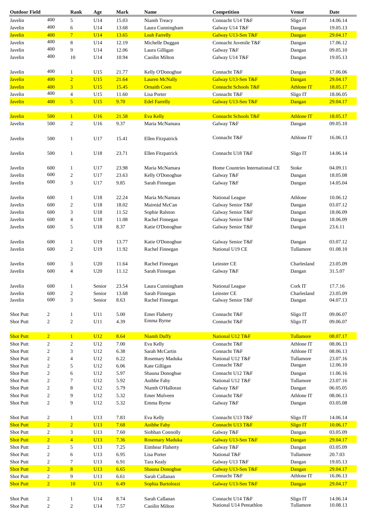| <b>Outdoor Field</b> |                         | Rank             | Age        | Mark  | Name                   | Competition                     | <b>Venue</b>      | Date     |
|----------------------|-------------------------|------------------|------------|-------|------------------------|---------------------------------|-------------------|----------|
| Javelin              | 400                     | 5                | U14        | 15.03 | Niamh Treacy           | Connacht U14 T&F                | Sligo IT          | 14.06.14 |
| Javelin              | 400                     | 6                | U14        | 13.68 | Laura Cunningham       | Galway U14 T&F                  | Dangan            | 19.05.13 |
| <b>Javelin</b>       | 400                     | 7 <sup>1</sup>   | U14        | 13.65 | <b>Leah Farrelly</b>   | Galway U13-Sen T&F              | Dangan            | 29.04.17 |
| Javelin              | 400                     | 8                | U14        | 12.19 | Michelle Duggan        | Connacht Juvenile T&F           | Dangan            | 17.06.12 |
|                      |                         |                  |            |       |                        |                                 |                   |          |
| Javelin              | 400                     | 9                | U14        | 12.06 | Laura Gilligan         | Galway T&F                      | Dangan            | 09.05.10 |
| Javelin              | 400                     | 10               | U14        | 10.94 | Caoilin Milton         | Galway U14 T&F                  | Dangan            | 19.05.13 |
| Javelin              | 400                     | $\mathbf{1}$     | U15        | 21.77 | Kelly O'Donoghue       | Connacht T&F                    | Dangan            | 17.06.06 |
| <b>Javelin</b>       | 400                     | $\overline{2}$   | U15        | 21.64 | <b>Lauren McNally</b>  | Galway U13-Sen T&F              | Dangan            | 29.04.17 |
| <b>Javelin</b>       | 400                     | 3                | U15        | 15.45 | <b>Ornaith Coen</b>    | <b>Connacht Schools T&amp;F</b> | <b>Athlone IT</b> | 18.05.17 |
|                      | 400                     |                  |            |       |                        |                                 |                   |          |
| Javelin              |                         | $\overline{4}$   | U15        | 11.60 | Lisa Porter            | Connacht T&F                    | Sligo IT          | 18.06.05 |
| <b>Javelin</b>       | 400                     | 5 <sup>5</sup>   | U15        | 9.70  | <b>Edel Farrelly</b>   | Galway U13-Sen T&F              | Dangan            | 29.04.17 |
| <b>Javelin</b>       | 500                     | $\mathbf{1}$     | <b>U16</b> | 21.58 | <b>Eva Kelly</b>       | <b>Connacht Schools T&amp;F</b> | <b>Athlone IT</b> | 18.05.17 |
| Javelin              | 500                     | $\overline{c}$   | U16        | 9.37  | Maria McNamara         | Galway T&F                      | Dangan            | 09.05.10 |
| Javelin              | 500                     | $\mathbf{1}$     | U17        | 15.41 | Ellen Fitzpatrick      | Connacht T&F                    | Athlone IT        | 16.06.13 |
|                      |                         |                  |            |       |                        |                                 |                   |          |
| Javelin              | 500                     | $\mathbf{1}$     | U18        | 23.71 | Ellen Fitzpatrick      | Connacht U18 T&F                | Sligo IT          | 14.06.14 |
| Javelin              | 600                     | $\mathbf{1}$     | U17        | 23.98 | Maria McNamara         | Home Countries International CE | Stoke             | 04.09.11 |
| Javelin              | 600                     | $\boldsymbol{2}$ | U17        | 23.63 | Kelly O'Donoghue       | Galway T&F                      | Dangan            | 18.05.08 |
| Javelin              | 600                     | 3                | U17        | 9.85  | Sarah Finnegan         | Galway T&F                      |                   | 14.05.04 |
|                      |                         |                  |            |       |                        |                                 | Dangan            |          |
| Javelin              | 600                     | $\mathbf{1}$     | U18        | 22.24 | Maria McNamara         | National League                 | Athlone           | 10.06.12 |
| Javelin              | 600                     | $\boldsymbol{2}$ | U18        | 18.02 | Maireád McCan          | Galway Senior T&F               | Dangan            | 03.07.12 |
|                      |                         |                  |            |       |                        |                                 |                   |          |
| Javelin              | 600                     | 3                | U18        | 11.52 | Sophie Ralston         | Galway Senior T&F               | Dangan            | 18.06.09 |
| Javelin              | 600                     | 4                | U18        | 11.08 | Rachel Finnegan        | Galway Senior T&F               | Dangan            | 18.06.09 |
| Javelin              | 600                     | 5                | U18        | 8.37  | Katie O'Donoghue       | Galway Senior T&F               | Dangan            | 23.6.11  |
| Javelin              | 600                     | $\mathbf{1}$     | U19        | 13.77 | Katie O'Donoghue       | Galway Senior T&F               | Dangan            | 03.07.12 |
| Javelin              | 600                     | 2                | U19        | 11.92 | Rachel Finnegan        | National U19 CE                 | Tullamore         | 01.08.10 |
|                      |                         |                  |            |       |                        |                                 |                   |          |
| Javelin              | 600                     | 3                | U20        | 11.64 | Rachel Finnegan        | Leinster CE                     | Charlesland       | 23.05.09 |
| Javelin              | 600                     | 4                | U20        | 11.12 | Sarah Finnegan         | Galway T&F                      | Dangan            | 31.5.07  |
| Javelin              | 600                     |                  | Senior     | 23.54 | Laura Cunningham       | National League                 | Cork IT           | 17.7.16  |
| Javelin              | 600                     | 2                | Senior     | 13.68 | Sarah Finnegan         | Leinster CE                     | Charlesland       | 23.05.09 |
| Javelin              | 600                     | 3                | Senior     | 8.63  | Rachel Finnegan        | Galway Senior T&F               | Dangan            | 04.07.13 |
|                      |                         |                  |            |       |                        |                                 |                   |          |
| Shot Putt            | $\overline{c}$          | $\mathbf{1}$     | U11        | 5.00  | <b>Emer Flaherty</b>   | Connacht T&F                    | Sligo IT          | 09.06.07 |
| Shot Putt            | $\mathbf{2}$            | $\overline{c}$   | U11        | 4.39  | Emma Byrne             | Connacht T&F                    | Sligo IT          | 09.06.07 |
| <b>Shot Putt</b>     | $\overline{2}$          | $\mathbf{1}$     | U12        | 8.64  | <b>Niamh Duffy</b>     | National U12 T&F                | Tullamore         | 08.07.17 |
| Shot Putt            | $\sqrt{2}$              | $\boldsymbol{2}$ | U12        | 7.00  | Eva Kelly              | Connacht T&F                    | Athlone IT        | 08.06.13 |
| Shot Putt            | $\sqrt{2}$              | 3                | U12        | 6.38  | Sarah McCartin         | Connacht T&F                    | Athlone IT        | 08.06.13 |
| Shot Putt            | $\sqrt{2}$              | 4                | U12        | 6.22  | Rosemary Maduka        | National U12 T&F                | Tullamore         | 23.07.16 |
|                      |                         |                  |            |       |                        | Connacht T&F                    |                   | 12.06.10 |
| Shot Putt            | $\sqrt{2}$              | 5                | U12        | 6.06  | Kate Gilligan          |                                 | Dangan            |          |
| Shot Putt            | $\boldsymbol{2}$        | 6                | U12        | 5.97  | Shauna Donoghue        | Connacht U12 T&F                | Dangan            | 11.06.16 |
| Shot Putt            | $\sqrt{2}$              | 7                | U12        | 5.92  | Aoibhe Fahy            | National U12 T&F                | Tullamore         | 23.07.16 |
| Shot Putt            | $\sqrt{2}$              | 8                | U12        | 5.79  | Niamh O'Halloran       | Galway T&F                      | Dangan            | 06.05.05 |
| Shot Putt            | $\sqrt{2}$              | 9                | U12        | 5.32  | Emer Mulveen           | Connacht T&F                    | Athlone IT        | 08.06.13 |
| Shot Putt            | $\sqrt{2}$              | 9                | U12        | 5.32  | Emma Byrne             | Galway T&F                      | Dangan            | 03.05.08 |
| Shot Putt            | $\overline{c}$          | $\mathbf{1}$     | U13        | 7.83  | Eva Kelly              | Connacht U13 T&F                | Sligo IT          | 14.06.14 |
| <b>Shot Putt</b>     | $\overline{2}$          | $\overline{2}$   | U13        | 7.68  | <b>Aoibhe Fahy</b>     | Connacht U13 T&F                | <b>Sligo IT</b>   | 10.06.17 |
| Shot Putt            | $\mathbf{2}$            | 3                | U13        | 7.60  | Siobhan Connolly       | Galway T&F                      | Dangan            | 03.05.09 |
| <b>Shot Putt</b>     | $\overline{2}$          | $\overline{4}$   | U13        | 7.36  | <b>Rosemary Maduka</b> | Galway U13-Sen T&F              |                   |          |
|                      |                         |                  |            |       |                        |                                 | Dangan            | 29.04.17 |
| Shot Putt            | $\mathbf{2}$            | 5                | U13        | 7.25  | Eimhear Flaherty       | Galway T&F                      | Dangan            | 03.05.09 |
| Shot Putt            | $\overline{c}$          | 6                | U13        | 6.95  | Lisa Porter            | National T&F                    | Tullamore         | 20.7.03  |
| Shot Putt            | $\sqrt{2}$              | 7                | U13        | 6.91  | Tara Kealy             | Galway U13 T&F                  | Dangan            | 19.05.13 |
| <b>Shot Putt</b>     | $\overline{2}$          | $\overline{8}$   | U13        | 6.65  | <b>Shauna Donoghue</b> | Galway U13-Sen T&F              | Dangan            | 29.04.17 |
| Shot Putt            | $\sqrt{2}$              | 9                | U13        | 6.61  | Sarah Callanan         | Connacht T&F                    | Athlone IT        | 16.06.13 |
| <b>Shot Putt</b>     | $\overline{2}$          | 10               | U13        | 6.49  | Sophia Bartolozzi      | Galway U13-Sen T&F              | Dangan            | 29.04.17 |
|                      |                         |                  |            |       |                        |                                 |                   |          |
| Shot Putt            | $\overline{\mathbf{c}}$ | $\mathbf{1}$     | U14        | 8.74  | Sarah Callanan         | Connacht U14 T&F                | Sligo IT          | 14.06.14 |
| Shot Putt            | $\sqrt{2}$              | 2                | U14        | 7.57  | Caoilin Milton         | National U14 Pentathlon         | Tullamore         | 10.08.13 |
|                      |                         |                  |            |       |                        |                                 |                   |          |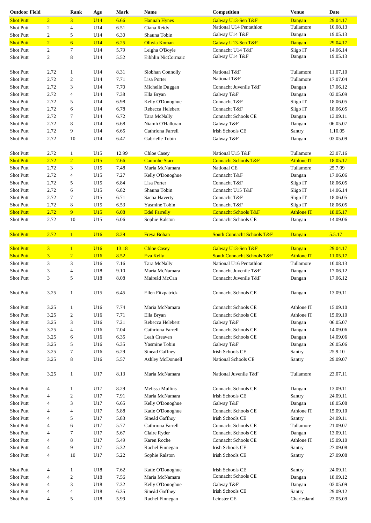| <b>Outdoor Field</b> |                | Rank                     | Age        | Mark  | <b>Name</b>           | Competition                           | <b>Venue</b>      | Date     |
|----------------------|----------------|--------------------------|------------|-------|-----------------------|---------------------------------------|-------------------|----------|
| <b>Shot Putt</b>     | $\overline{2}$ | $\overline{3}$           | U14        | 6.66  | <b>Hannah Hynes</b>   | Galway U13-Sen T&F                    | Dangan            | 29.04.17 |
| Shot Putt            | $\sqrt{2}$     | $\overline{4}$           | U14        | 6.51  | Ciana Reidy           | National U14 Pentathlon               | Tullamore         | 10.08.13 |
| Shot Putt            | $\sqrt{2}$     | 5                        | U14        | 6.30  | Shauna Tobin          | Galway U14 T&F                        | Dangan            | 19.05.13 |
| <b>Shot Putt</b>     | $\overline{2}$ | 6 <sup>1</sup>           | <b>U14</b> | 6.25  | Oliwia Koman          | Galway U13-Sen T&F                    | Dangan            | 29.04.17 |
| Shot Putt            | $\overline{2}$ | 7                        | U14        | 5.79  | Leigha O'Boyle        | Connacht U14 T&F                      | Sligo IT          | 14.06.14 |
|                      |                |                          |            |       |                       | Galway U14 T&F                        | Dangan            | 19.05.13 |
| Shot Putt            | $\overline{2}$ | 8                        | U14        | 5.52  | Eibhlin NicCormaic    |                                       |                   |          |
|                      |                |                          |            |       |                       |                                       |                   |          |
| Shot Putt            | 2.72           | $\mathbf{1}$             | U14        | 8.31  | Siobhan Connolly      | National T&F                          | Tullamore         | 11.07.10 |
| <b>Shot Putt</b>     | 2.72           | $\overline{c}$           | U14        | 7.71  | Lisa Porter           | National T&F                          | Tullamore         | 17.07.04 |
| <b>Shot Putt</b>     | 2.72           | 3                        | U14        | 7.70  | Michelle Duggan       | Connacht Juvenile T&F                 | Dangan            | 17.06.12 |
| <b>Shot Putt</b>     | 2.72           | $\overline{4}$           | U14        | 7.38  | Ella Bryan            | Galway T&F                            | Dangan            | 03.05.09 |
| <b>Shot Putt</b>     | 2.72           | 5                        | U14        | 6.98  | Kelly O'Donoghue      | Connacht T&F                          | Sligo IT          | 18.06.05 |
| <b>Shot Putt</b>     | 2.72           | 6                        | U14        | 6.78  | Rebecca Helebert      | Connacht T&F                          | Sligo IT          | 18.06.05 |
| Shot Putt            | 2.72           | 7                        | U14        | 6.72  | Tara McNally          | Connacht Schools CE                   | Dangan            | 13.09.11 |
| Shot Putt            | 2.72           | 8                        | U14        | 6.68  | Niamh O'Halloran      | Galway T&F                            | Dangan            | 06.05.07 |
| Shot Putt            | 2.72           | 9                        | U14        | 6.65  | Cathriona Farrell     | <b>Irish Schools CE</b>               | Santry            | 1.10.05  |
| Shot Putt            | 2.72           | 10                       | U14        | 6.47  | Gabrielle Tobin       | Galway T&F                            | Dangan            | 03.05.09 |
|                      |                |                          |            |       |                       |                                       |                   |          |
|                      |                |                          |            |       |                       |                                       |                   |          |
| Shot Putt            | 2.72           | $\mathbf{1}$             | U15        | 12.99 | <b>Chloe Casey</b>    | National U15 T&F                      | Tullamore         | 23.07.16 |
| <b>Shot Putt</b>     | 2.72           | $\overline{2}$           | U15        | 7.66  | <b>Caoimhe Starr</b>  | <b>Connacht Schools T&amp;F</b>       | <b>Athlone IT</b> | 18.05.17 |
| Shot Putt            | 2.72           | 3                        | U15        | 7.48  | Maria McNamara        | National CE                           | Tullamore         | 25.7.09  |
| Shot Putt            | 2.72           | 4                        | U15        | 7.27  | Kelly O'Donoghue      | Connacht T&F                          | Dangan            | 17.06.06 |
| <b>Shot Putt</b>     | 2.72           | 5                        | U15        | 6.84  | Lisa Porter           | Connacht T&F                          | Sligo IT          | 18.06.05 |
| <b>Shot Putt</b>     | 2.72           | 6                        | U15        | 6.82  | Shauna Tobin          | Connacht U15 T&F                      | Sligo IT          | 14.06.14 |
| Shot Putt            | 2.72           | 7                        | U15        | 6.71  | Sacha Haverty         | Connacht T&F                          | Sligo IT          | 18.06.05 |
| Shot Putt            | 2.72           | 8                        | U15        | 6.53  | Yasmine Tobin         | Connacht T&F                          | Sligo IT          | 18.06.05 |
| <b>Shot Putt</b>     | 2.72           | 9 <sup>°</sup>           | U15        | 6.08  | <b>Edel Farrelly</b>  | <b>Connacht Schools T&amp;F</b>       | <b>Athlone IT</b> | 18.05.17 |
| Shot Putt            | 2.72           | 10                       | U15        | 6.06  | Sophie Ralston        | Connacht Schools CE                   | Dangan            | 14.09.06 |
|                      |                |                          |            |       |                       |                                       |                   |          |
| <b>Shot Putt</b>     | 2.72           | 1                        | <b>U16</b> | 8.29  | <b>Freya Bohan</b>    | <b>South Connacht Schools T&amp;F</b> | Dangan            | 5.5.17   |
|                      |                |                          |            |       |                       |                                       |                   |          |
| <b>Shot Putt</b>     | $\overline{3}$ | $\mathbf{1}$             | <b>U16</b> | 13.18 | <b>Chloe Casey</b>    | Galway U13-Sen T&F                    | Dangan            | 29.04.17 |
| <b>Shot Putt</b>     | $\overline{3}$ | $\overline{2}$           | U16        | 8.52  | <b>Eva Kelly</b>      | <b>South Connacht Schools T&amp;F</b> | <b>Athlone IT</b> | 11.05.17 |
| Shot Putt            | 3              | 3                        | U16        | 7.16  | Tara McNally          | National U16 Pentathlon               | Tullamore         | 10.08.13 |
| Shot Putt            | 3              | $\overline{4}$           | U18        | 9.10  | Maria McNamara        | Connacht Juvenile T&F                 | Dangan            | 17.06.12 |
| Shot Putt            | 3              | 5                        | U18        | 8.08  | Maireád McCan         | Connacht Juvenile T&F                 | Dangan            | 17.06.12 |
|                      |                |                          |            |       |                       |                                       |                   |          |
| Shot Putt            | 3.25           | $\mathbf{1}$             | U15        | 6.45  |                       | Connacht Schools CE                   |                   | 13.09.11 |
|                      |                |                          |            |       | Ellen Fitzpatrick     |                                       | Dangan            |          |
|                      |                |                          |            |       |                       |                                       |                   |          |
| <b>Shot Putt</b>     | 3.25           | $\mathbf{1}$             | U16        | 7.74  | Maria McNamara        | Connacht Schools CE                   | Athlone IT        | 15.09.10 |
| Shot Putt            | 3.25           | $\boldsymbol{2}$         | U16        | 7.71  | Ella Bryan            | Connacht Schools CE                   | Athlone IT        | 15.09.10 |
| Shot Putt            | 3.25           | 3                        | U16        | 7.21  | Rebecca Helebert      | Galway T&F                            | Dangan            | 06.05.07 |
| Shot Putt            | 3.25           | $\overline{\mathcal{L}}$ | U16        | 7.04  | Cathriona Farrell     | Connacht Schools CE                   | Dangan            | 14.09.06 |
| Shot Putt            | 3.25           | 6                        | U16        | 6.35  | Leah Creaven          | Connacht Schools CE                   | Dangan            | 14.09.06 |
| Shot Putt            | 3.25           | 5                        | U16        | 6.35  | Yasmine Tobin         | Galway T&F                            | Dangan            | 26.05.06 |
| Shot Putt            | 3.25           | 7                        | U16        | 6.29  | <b>Sinead Gaffney</b> | <b>Irish Schools CE</b>               | Santry            | 25.9.10  |
| Shot Putt            | 3.25           | 8                        | U16        | 5.57  | Ashley McDonnell      | <b>National Schools CE</b>            | Santry            | 29.09.07 |
|                      |                |                          |            |       |                       |                                       |                   |          |
| Shot Putt            | 3.25           | $\mathbf{1}$             | U17        | 8.13  | Maria McNamara        | National Juvenile T&F                 | Tullamore         | 23.07.11 |
|                      |                |                          |            |       |                       |                                       |                   |          |
| Shot Putt            | $\overline{4}$ | $\mathbf{1}$             | U17        | 8.29  | Melissa Mullins       | Connacht Schools CE                   |                   | 13.09.11 |
|                      |                |                          |            |       |                       |                                       | Dangan            |          |
| Shot Putt            | 4              | $\mathfrak{2}$           | U17        | 7.91  | Maria McNamara        | <b>Irish Schools CE</b>               | Santry            | 24.09.11 |
| Shot Putt            | 4              | 3                        | U17        | 6.65  | Kelly O'Donoghue      | Galway T&F                            | Dangan            | 18.05.08 |
| Shot Putt            | 4              | 4                        | U17        | 5.88  | Katie O'Donoghue      | Connacht Schools CE                   | Athlone IT        | 15.09.10 |
| Shot Putt            | 4              | 5                        | U17        | 5.83  | Sineád Gaffney        | <b>Irish Schools CE</b>               | Santry            | 24.09.11 |
| Shot Putt            | 4              | 6                        | U17        | 5.77  | Cathriona Farrell     | <b>Connacht Schools CE</b>            | Tullamore         | 21.09.07 |
| Shot Putt            | 4              | 7                        | U17        | 5.67  | Claire Ryder          | Connacht Schools CE                   | Dangan            | 13.09.11 |
| Shot Putt            | 4              | 8                        | U17        | 5.49  | Karen Roche           | Connacht Schools CE                   | Athlone IT        | 15.09.10 |
| Shot Putt            | 4              | 9                        | U17        | 5.32  | Rachel Finnegan       | <b>Irish Schools CE</b>               | Santry            | 27.09.08 |
| Shot Putt            | $\overline{4}$ | 10                       | U17        | 5.22  | Sophie Ralston        | Irish Schools CE                      | Santry            | 27.09.08 |
|                      |                |                          |            |       |                       |                                       |                   |          |
| Shot Putt            | $\overline{4}$ | 1                        | U18        | 7.62  | Katie O'Donoghue      | <b>Irish Schools CE</b>               | Santry            | 24.09.11 |
| Shot Putt            | 4              | $\mathbf{2}$             | U18        | 7.56  | Maria McNamara        | Connacht Schools CE                   | Dangan            | 18.09.12 |
|                      |                |                          |            |       |                       |                                       |                   |          |
| Shot Putt            | $\overline{4}$ | 3                        | U18        | 7.32  | Kelly O'Donoghue      | Galway T&F<br><b>Irish Schools CE</b> | Dangan            | 03.05.09 |
| Shot Putt            | $\overline{4}$ | $\overline{4}$           | U18        | 6.35  | Sineád Gaffney        |                                       | Santry            | 29.09.12 |
| Shot Putt            | 4              | 5                        | U18        | 5.99  | Rachel Finnegan       | Leinster CE                           | Charlesland       | 23.05.09 |
|                      |                |                          |            |       |                       |                                       |                   |          |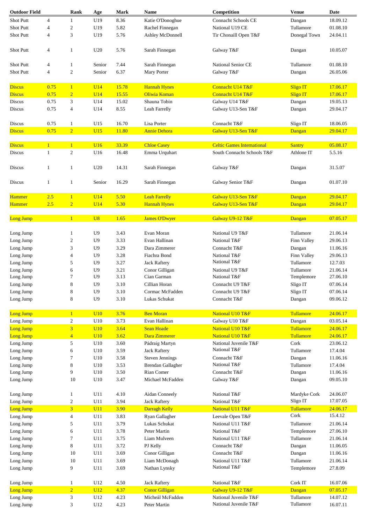| <b>Outdoor Field</b> |                              | Rank                         | Age               | <b>Mark</b>    | <b>Name</b>                       | Competition                                                     | <b>Venue</b>                | <b>Date</b>          |
|----------------------|------------------------------|------------------------------|-------------------|----------------|-----------------------------------|-----------------------------------------------------------------|-----------------------------|----------------------|
| Shot Putt            | $\overline{4}$               | 1                            | U19               | 8.36           | Katie O'Donoghue                  | <b>Connacht Schools CE</b>                                      | Dangan                      | 18.09.12             |
| Shot Putt            | 4                            | $\overline{c}$               | U19               | 5.82           | Rachel Finnegan                   | National U19 CE                                                 | Tullamore                   | 01.08.10             |
| Shot Putt            | $\overline{4}$               | 3                            | U19               | 5.76           | Ashley McDonnell                  | Tir Chonaill Open T&F                                           | Donegal Town                | 24.04.11             |
| Shot Putt            | $\overline{4}$               | 1                            | U20               | 5.76           | Sarah Finnegan                    | Galway T&F                                                      | Dangan                      | 10.05.07             |
| Shot Putt            | $\overline{4}$               | $\mathbf{1}$                 | Senior            | 7.44           | Sarah Finnegan                    | <b>National Senior CE</b>                                       | Tullamore                   | 01.08.10             |
|                      |                              |                              |                   |                |                                   |                                                                 |                             |                      |
| Shot Putt            | $\overline{4}$               | $\mathbf{2}$                 | Senior            | 6.37           | Mary Porter                       | Galway T&F                                                      | Dangan                      | 26.05.06             |
| <b>Discus</b>        | 0.75                         | $\mathbf{1}$                 | U14               | 15.78          | <b>Hannah Hynes</b>               | Connacht U14 T&F                                                | <b>Sligo IT</b>             | 17.06.17             |
| <b>Discus</b>        | 0.75                         | $\overline{2}$               | U14               | 15.55          | Oliwia Koman                      | Connacht U14 T&F                                                | <b>Sligo IT</b>             | 17.06.17             |
| Discus               | 0.75                         | 3                            | U14               | 15.02          | Shauna Tobin                      | Galway U14 T&F                                                  | Dangan                      | 19.05.13             |
| Discus               | 0.75                         | $\overline{4}$               | U14               | 8.55           | Leah Farrelly                     | Galway U13-Sen T&F                                              | Dangan                      | 29.04.17             |
| Discus               | 0.75                         | 1                            | U15               | 16.70          | Lisa Porter                       | Connacht T&F                                                    | Sligo IT                    | 18.06.05             |
| <b>Discus</b>        | 0.75                         | $\overline{2}$               | U15               | 11.80          | <b>Annie Dehora</b>               | Galway U13-Sen T&F                                              | Dangan                      | 29.04.17             |
|                      |                              |                              |                   |                |                                   |                                                                 |                             |                      |
| <b>Discus</b>        | $\mathbf{1}$<br>$\mathbf{1}$ | $\mathbf{1}$<br>$\mathbf{2}$ | <b>U16</b><br>U16 | 33.39<br>16.48 | <b>Chloe Casey</b>                | <b>Celtic Games International</b><br>South Connacht Schools T&F | <b>Santry</b><br>Athlone IT | 05.08.17<br>5.5.16   |
| Discus               |                              |                              |                   |                | Emma Urquhart                     |                                                                 |                             |                      |
| Discus               | $\mathbf{1}$                 | $\mathbf{1}$                 | U20               | 14.31          | Sarah Finnegan                    | Galway T&F                                                      | Dangan                      | 31.5.07              |
| Discus               | $\mathbf{1}$                 | $\mathbf{1}$                 | Senior            | 16.29          | Sarah Finnegan                    | Galway Senior T&F                                               | Dangan                      | 01.07.10             |
| Hammer               | 2.5                          | $\mathbf{1}$                 | U14               | 5.50           | <b>Leah Farrelly</b>              | Galway U13-Sen T&F                                              | Dangan                      | 29.04.17             |
| Hammer               | 2.5                          | $\overline{2}$               | U14               | 5.30           | <b>Hannah Hynes</b>               | Galway U13-Sen T&F                                              | Dangan                      | 29.04.17             |
| Long Jump            |                              | $\mathbf{1}$                 | U8                | 1.65           | <b>James O'Dwyer</b>              | Galway U9-12 T&F                                                | Dangan                      | 07.05.17             |
|                      |                              |                              |                   |                |                                   |                                                                 |                             |                      |
| Long Jump            |                              | 1                            | U9                | 3.43           | Evan Moran                        | National U9 T&F                                                 | Tullamore                   | 21.06.14             |
| Long Jump            |                              | 2                            | U9                | 3.33           | Evan Hallinan                     | National T&F                                                    | Finn Valley                 | 29.06.13             |
| Long Jump            |                              | 3                            | U9                | 3.29           | Dara Zimmerer                     | Connacht T&F                                                    | Dangan                      | 11.06.16             |
| Long Jump            |                              | 4                            | U9                | 3.28           | Fiachra Bond                      | National T&F                                                    | Finn Valley                 | 29.06.13             |
| Long Jump            |                              | 5                            | U9                | 3.27           | <b>Jack Raftery</b>               | National T&F                                                    | Tullamore                   | 12.7.03              |
| Long Jump            |                              | 6                            | U9                | 3.21           | Conor Gilligan                    | National U9 T&F                                                 | Tullamore                   | 21.06.14             |
| Long Jump            |                              | 7                            | U <sub>9</sub>    | 3.13           | Cian Garman                       | National T&F                                                    | Templemore                  | 27.06.10             |
| Long Jump            |                              | 8                            | U <sub>9</sub>    | 3.10           | Cillian Horan                     | Connacht U9 T&F                                                 | Sligo IT                    | 07.06.14             |
| Long Jump            |                              | 8                            | U <sub>9</sub>    | 3.10           | Cormac McFadden                   | Connacht U9 T&F                                                 | Sligo IT                    | 07.06.14             |
| Long Jump            |                              | 8                            | U <sub>9</sub>    | 3.10           | Lukas Schukat                     | Connacht T&F                                                    | Dangan                      | 09.06.12             |
|                      |                              |                              |                   |                |                                   |                                                                 |                             |                      |
| Long Jump            |                              | $\mathbf{1}$                 | <b>U10</b><br>U10 | 3.76<br>3.73   | <b>Ben Moran</b><br>Evan Hallinan | National U10 T&F                                                | Tullamore                   | 24.06.17<br>03.05.14 |
| Long Jump            |                              | $\boldsymbol{2}$             |                   |                |                                   | Galway U10 T&F                                                  | Dangan                      |                      |
| <b>Long Jump</b>     |                              | $\overline{3}$               | U10               | 3.64           | <b>Sean Hoade</b>                 | National U10 T&F                                                | <b>Tullamore</b>            | 24.06.17             |
| <b>Long Jump</b>     |                              | $\overline{4}$               | U10               | 3.62           | Dara Zimmerer                     | National U10 T&F                                                | Tullamore                   | 24.06.17             |
| Long Jump            |                              | 5                            | U10               | 3.60           | Pádraig Martyn                    | National Juvenile T&F                                           | Cork                        | 23.06.12             |
| Long Jump            |                              | 6                            | U10               | 3.59           | <b>Jack Raftery</b>               | National T&F                                                    | Tullamore                   | 17.4.04              |
| Long Jump            |                              | 7                            | U10               | 3.58           | <b>Steven Jennings</b>            | Connacht T&F                                                    | Dangan                      | 11.06.16             |
| Long Jump            |                              | 8                            | U10               | 3.53           | Brendan Gallagher                 | National T&F                                                    | Tullamore                   | 17.4.04              |
| Long Jump            |                              | 9                            | U10               | 3.50           | Rian Comer                        | Connacht T&F                                                    | Dangan                      | 11.06.16             |
| Long Jump            |                              | 10                           | U10               | 3.47           | Michael McFadden                  | Galway T&F                                                      | Dangan                      | 09.05.10             |
| Long Jump            |                              | 1                            | U11               | 4.10           | Aidan Conneely                    | National T&F                                                    | Mardyke Cork                | 24.06.07             |
| Long Jump            |                              | $\overline{\mathbf{c}}$      | U11               | 3.94           | <b>Jack Raftery</b>               | National T&F                                                    | Sligo IT                    | 17.07.05             |
| Long Jump            |                              | $\overline{3}$               | U11               | 3.90           | Darragh Kelly                     | National U11 T&F                                                | Tullamore                   | 24.06.17             |
| Long Jump            |                              | 4                            | U11               | 3.83           | Ryan Gallagher                    | Leevale Open T&F                                                | Cork                        | 15.4.12              |
| Long Jump            |                              | 5                            | U11               | 3.79           | Lukas Schukat                     | National U11 T&F                                                | Tullamore                   | 21.06.14             |
| Long Jump            |                              | 6                            | U11               | 3.78           | Peter Martin                      | National T&F                                                    | Templemore                  | 27.06.10             |
| Long Jump            |                              | 7                            | U11               | 3.75           | Liam Mulveen                      | National U11 T&F                                                | Tullamore                   | 21.06.14             |
| Long Jump            |                              | 8                            | U11               | 3.72           | PJ Kelly                          | Connacht T&F                                                    | Dangan                      | 11.06.05             |
|                      |                              |                              |                   |                |                                   |                                                                 |                             |                      |
| Long Jump            |                              | 10                           | U11               | 3.69           | Conor Gilligan                    | Connacht T&F                                                    | Dangan                      | 11.06.16             |
| Long Jump            |                              | 10                           | U11               | 3.69           | Liam McDonagh                     | National U11 T&F                                                | Tullamore                   | 21.06.14             |
| Long Jump            |                              | 9                            | U11               | 3.69           | Nathan Lynsky                     | National T&F                                                    | Templemore                  | 27.8.09              |
| Long Jump            |                              | $\mathbf{1}$                 | U12               | 4.50           | <b>Jack Raftery</b>               | National T&F                                                    | Cork IT                     | 16.07.06             |
| <b>Long Jump</b>     |                              | $\overline{2}$               | U12               | 4.37           | <b>Conor Gilligan</b>             | Galway U9-12 T&F                                                | Dangan                      | 07.05.17             |
| Long Jump            |                              | 3                            | U12               | 4.23           | Micheál McFadden                  | National Juvenile T&F                                           | Tullamore                   | 14.07.12             |
| Long Jump            |                              | 3                            | U12               | 4.23           | Peter Martin                      | National Juvenile T&F                                           | Tullamore                   | 16.07.11             |
|                      |                              |                              |                   |                |                                   |                                                                 |                             |                      |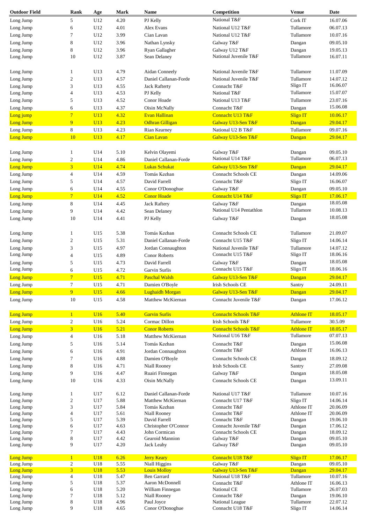| <b>Outdoor Field</b>   | Rank                                      | Age        | <b>Mark</b>  | Name                                      | Competition                                  | <b>Venue</b>        | Date                 |
|------------------------|-------------------------------------------|------------|--------------|-------------------------------------------|----------------------------------------------|---------------------|----------------------|
| Long Jump              | 5                                         | U12        | 4.20         | PJ Kelly                                  | National T&F                                 | Cork IT             | 16.07.06             |
| Long Jump              | 6                                         | U12        | 4.01         | Alex Evans                                | National U12 T&F                             | Tullamore           | 06.07.13             |
| Long Jump              | 7                                         | U12        | 3.99         | Cian Lavan                                | National U12 T&F                             | Tullamore           | 10.07.16             |
| Long Jump              | 8                                         | U12        | 3.96         | Nathan Lynsky                             | Galway T&F                                   | Dangan              | 09.05.10             |
| Long Jump              | 8                                         | U12        | 3.96         | Ryan Gallagher                            | Galway U12 T&F                               | Dangan              | 19.05.13             |
| Long Jump              | 10                                        | U12        | 3.87         | Sean Delaney                              | National Juvenile T&F                        | Tullamore           | 16.07.11             |
|                        |                                           |            |              |                                           |                                              |                     |                      |
| Long Jump              | 1                                         | U13        | 4.79         | Aidan Conneely                            | National Juvenile T&F                        | Tullamore           | 11.07.09             |
| Long Jump              | $\sqrt{2}$                                | U13        | 4.57         | Daniel Callanan-Forde                     | National Juvenile T&F                        | Tullamore           | 14.07.12             |
| Long Jump              | 3                                         | U13        | 4.55         | <b>Jack Rafterty</b>                      | Connacht T&F                                 | Sligo IT            | 16.06.07             |
| Long Jump              | $\overline{4}$                            | U13        | 4.53         | PJ Kelly                                  | National T&F                                 | Tullamore           | 15.07.07             |
| Long Jump              | 5                                         | U13        | 4.52         | Conor Hoade                               | National U13 T&F                             | Tullamore           | 23.07.16             |
| Long Jump              | 6                                         | U13        | 4.37         | Oisin McNally                             | Connacht T&F                                 | Dangan              | 15.06.08             |
| Long jump              | $\overline{7}$                            | U13        | 4.32         | <b>Evan Hallinan</b>                      | Connacht U13 T&F                             | <b>Sligo IT</b>     | 10.06.17             |
| Long Jump              | 9                                         | U13        | 4.23         | <b>Odhran Gilligan</b>                    | Galway U13-Sen T&F                           | Dangan              | 29.04.17             |
| Long Jump              | 8                                         | U13        | 4.23         | Rian Kearney                              | National U2 B T&F                            | Tullamore           | 09.07.16             |
| Long Jump              | 10                                        | <b>U13</b> | 4.17         | <b>Cian Lavan</b>                         | Galway U13-Sen T&F                           | Dangan              | 29.04.17             |
|                        |                                           |            |              |                                           |                                              |                     |                      |
| Long Jump              | 1                                         | U14        | 5.10         | Kelvin Olayemi                            | Galway T&F                                   | Dangan              | 09.05.10             |
| Long Jump              | $\boldsymbol{2}$                          | U14        | 4.86         | Daniel Callanan-Forde                     | National U14 T&F                             | Tullamore           | 06.07.13             |
| <b>Long Jump</b>       | $\overline{3}$                            | <b>U14</b> | 4.74         | <b>Lukas Schukat</b>                      | Galway U13-Sen T&F                           | Dangan              | 29.04.17             |
| Long Jump              | $\overline{4}$                            | U14        | 4.59         | Tomás Keehan                              | Connacht Schools CE                          | Dangan              | 14.09.06             |
| Long Jump              | 5                                         | U14        | 4.57         | David Farrell                             | Connacht T&F                                 | Sligo IT            | 16.06.07             |
| Long Jump              | 6                                         | U14        | 4.55         | Conor O'Donoghue                          | Galway T&F                                   | Dangan              | 09.05.10             |
| <b>Long Jump</b>       | $\overline{7}$                            | U14        | 4.52         | <b>Conor Hoade</b>                        | Connacht U14 T&F                             | <b>Sligo IT</b>     | 17.06.17             |
| Long Jump              | 8                                         | U14        | 4.45         | <b>Jack Raftery</b>                       | Galway T&F                                   | Dangan              | 18.05.08             |
| Long Jump              | 9                                         | U14        | 4.42         | Sean Delaney                              | National U14 Pentathlon                      | Tullamore           | 10.08.13             |
| Long Jump              | 10                                        | U14        | 4.41         | PJ Kelly                                  | Galway T&F                                   | Dangan              | 18.05.08             |
|                        |                                           |            |              |                                           |                                              |                     |                      |
| Long Jump              | 1                                         | U15        | 5.38         | Tomás Keehan                              | Connacht Schools CE                          | Tullamore           | 21.09.07             |
| Long Jump              | $\overline{c}$                            | U15        | 5.31         | Daniel Callanan-Forde                     | Connacht U15 T&F                             | Sligo IT            | 14.06.14             |
| Long Jump              | 3                                         | U15        | 4.97         | Jordan Connaughton                        | National Juvenile T&F                        | Tullamore           | 14.07.12             |
| Long Jump              | $\overline{\mathcal{A}}$                  | U15        | 4.89         | <b>Conor Roberts</b>                      | Connacht U15 T&F                             | Sligo IT            | 18.06.16             |
| Long Jump              | 5                                         | U15        | 4.73         | David Farrell                             | Galway T&F                                   | Dangan              | 18.05.08             |
| Long Jump              | 6                                         | U15        | 4.72         | Garvin Surlis                             | Connacht U15 T&F                             | Sligo IT            | 18.06.16             |
| <b>Long Jump</b>       | $7\overline{ }$                           | U15        | 4.71         | <b>Paschal Walsh</b>                      | Galway U13-Sen T&F                           | Dangan              | 29.04.17             |
|                        | $\tau$                                    | U15        | 4.71         | Damien O'Bovle                            | <b>Irish Schools CE</b>                      | Santry              | 24.09.11             |
| Long Jump<br>Long Jump | 9 <sup>°</sup>                            | <b>U15</b> | 4.66         | <b>Lughaidh Morgan</b>                    | Galway U13-Sen T&F                           | Dangan              | 29.04.17             |
| Long Jump              | 10                                        | U15        | 4.58         | Matthew McKiernan                         | Connacht Juvenile T&F                        | Dangan              | 17.06.12             |
|                        |                                           |            |              |                                           |                                              |                     |                      |
| Long Jump              | $\mathbf{1}$                              | U16        | 5.40         | <b>Garvin Surlis</b>                      | <b>Connacht Schools T&amp;F</b>              | <b>Athlone IT</b>   | 18.05.17             |
| Long Jump              | $\boldsymbol{2}$                          | U16        | 5.24         | Cormac Dillon                             | Irish Schools T&F                            | Tullamore           | 30.5.09              |
| <b>Long Jump</b>       | $\overline{3}$                            | U16        | 5.21         | <b>Conor Roberts</b>                      | <b>Connacht Schools T&amp;F</b>              | <b>Athlone IT</b>   | 18.05.17             |
| Long Jump              | $\overline{4}$                            | U16        | 5.18         | Matthew McKiernan                         | National U16 T&F                             | Tullamore           | 07.07.13             |
| Long Jump              | 5                                         | U16        | 5.14         | Tomás Keehan                              | Connacht T&F                                 | Dangan              | 15.06.08             |
| Long Jump              | 6                                         | U16        | 4.91         | Jordan Connaughton                        | Connacht T&F                                 | Athlone IT          | 16.06.13             |
| Long Jump              | 7                                         | U16        | 4.88         | Damien O'Boyle                            | <b>Connacht Schools CE</b>                   | Dangan              | 18.09.12             |
| Long Jump              | $\,$ 8 $\,$                               | U16        | 4.71         | Niall Rooney                              | <b>Irish Schools CE</b>                      | Santry              | 27.09.08             |
| Long Jump              | 9                                         | U16        | 4.47         | Ruairi Finnegan                           | Galway T&F                                   | Dangan              | 18.05.08             |
| Long Jump              | 10                                        | U16        | 4.33         | Oisin McNally                             | Connacht Schools CE                          | Dangan              | 13.09.11             |
|                        |                                           |            |              |                                           |                                              |                     |                      |
| Long Jump              | $\mathbf{1}$                              | U17        | 6.12         | Daniel Callanan-Forde                     | National U17 T&F                             | Tullamore           | 10.07.16             |
| Long Jump              | $\mathfrak{2}$                            | U17        | 5.88         | Matthew McKiernan                         | Connacht U17 T&F                             | Sligo IT            | 14.06.14             |
| Long Jump              | 3                                         | U17        | 5.84         | Tomás Keehan                              | Connacht T&F                                 | Athlone IT          | 20.06.09             |
| Long Jump              | $\overline{4}$                            | U17        | 5.61         | Niall Rooney                              | Connacht T&F                                 | Athlone IT          | 20.06.09             |
| Long Jump              | 5                                         | U17        | 5.39         | David Farrell                             | Connacht T&F                                 | Dangan              | 19.06.10             |
| Long Jump              | 6<br>$\tau$                               | U17<br>U17 | 4.63<br>4.43 | Christopher O'Connor<br>John Cormican     | Connacht Juvenile T&F<br>Connacht Schools CE | Dangan              | 17.06.12<br>18.09.12 |
| Long Jump<br>Long Jump | 8                                         | U17        | 4.42         | Gearoid Mannion                           | Galway T&F                                   | Dangan<br>Dangan    | 09.05.10             |
| Long Jump              | 9                                         | U17        | 4.20         | Jack Leahy                                | Galway T&F                                   | Dangan              | 09.05.10             |
|                        |                                           |            |              |                                           |                                              |                     |                      |
| <b>Long Jump</b>       | $\mathbf{1}$                              | <b>U18</b> | 6.26         | <b>Jerry Keary</b>                        | Connacht U18 T&F                             | <b>Sligo IT</b>     | 17.06.17             |
| Long Jump              | $\overline{c}$                            | U18        | 5.55         | Niall Higgins                             | Galway T&F                                   | Dangan              | 09.05.10             |
| <b>Long Jump</b>       | $\overline{3}$<br>$\overline{\mathbf{4}}$ | <b>U18</b> | 5.53<br>5.47 | <b>Louis Molloy</b><br><b>Ben Garrard</b> | Galway U13-Sen T&F<br>National U18 T&F       | Dangan<br>Tullamore | 29.04.17<br>10.07.16 |
| Long Jump<br>Long Jump | 5                                         | U18<br>U18 | 5.37         | Aaron McDonnell                           | Connacht T&F                                 | Athlone IT          | 16.06.13             |
| Long Jump              | 6                                         | U18        | 5.20         | William Finnegan                          | National CE                                  | Tullamore           | 26.07.03             |
| Long Jump              | 7                                         | U18        | 5.12         | Niall Rooney                              | Connacht T&F                                 | Dangan              | 19.06.10             |
| Long Jump              | 8                                         | U18        | 4.96         | Paul Joyce                                | National League                              | Tullamore           | 22.07.12             |
| Long Jump              | 9                                         | U18        | 4.65         | Conor O'Donoghue                          | Connacht U18 T&F                             | Sligo IT            | 14.06.14             |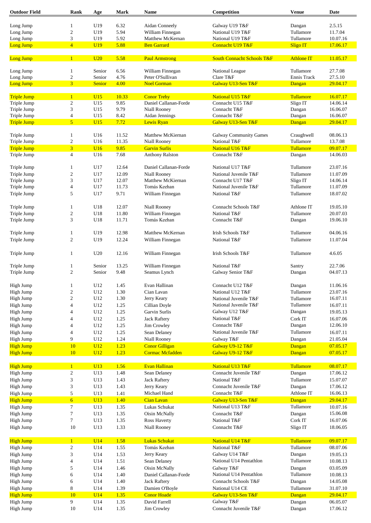| <b>Outdoor Field</b> | Rank                    | Age           | <b>Mark</b> | <b>Name</b>           | Competition                           | <b>Venue</b>      | <b>Date</b> |
|----------------------|-------------------------|---------------|-------------|-----------------------|---------------------------------------|-------------------|-------------|
| Long Jump            |                         | U19           | 6.32        | Aidan Conneely        | Galway U19 T&F                        | Dangan            | 2.5.15      |
|                      | $\mathbf{1}$            |               | 5.94        |                       | National U19 T&F                      | Tullamore         |             |
| Long Jump            | $\boldsymbol{2}$        | U19           |             | William Finnegan      |                                       |                   | 11.7.04     |
| Long Jump            | 3                       | U19           | 5.92        | Matthew McKernan      | National U19 T&F                      | Tullamore         | 10.07.16    |
| Long Jump            | $\overline{4}$          | <b>U19</b>    | 5.88        | <b>Ben Garrard</b>    | Connacht U19 T&F                      | <b>Sligo IT</b>   | 17.06.17    |
| Long Jump            | $\mathbf{1}$            | U20           | 5.58        | <b>Paul Armstrong</b> | <b>South Connacht Schools T&amp;F</b> | <b>Athlone IT</b> | 11.05.17    |
| Long Jump            | 1                       | Senior        | 6.56        | William Finnegan      | National League                       | Tullamore         | 27.7.08     |
| Long Jump            | $\boldsymbol{2}$        | Senior        | 4.76        | Peter O'Sullivan      | Clare T&F                             | Ennis Track       | 27.5.10     |
| <b>Long Jump</b>     | 3 <sup>1</sup>          | <b>Senior</b> | 4.00        | <b>Noel Gorman</b>    | Galway U13-Sen T&F                    | Dangan            | 29.04.17    |
|                      | $\mathbf{1}$            | U15           | 10.33       |                       | National U15 T&F                      | <b>Tullamore</b>  | 16.07.17    |
| <b>Triple Jump</b>   |                         |               |             | <b>Conor Trehy</b>    |                                       |                   |             |
| Triple Jump          | $\overline{c}$          | U15           | 9.85        | Daniel Callanan-Forde | Connacht U15 T&F                      | Sligo IT          | 14.06.14    |
| Triple Jump          | 3                       | U15           | 9.79        | Niall Rooney          | Connacht T&F                          | Dangan            | 16.06.07    |
| Triple Jump          | $\overline{\mathbf{4}}$ | U15           | 8.42        | Aidan Jennings        | Connacht T&F                          | Dangan            | 16.06.07    |
| <b>Triple Jump</b>   | 5 <sup>5</sup>          | U15           | 7.72        | Lewis Ryan            | Galway U13-Sen T&F                    | Dangan            | 29.04.17    |
| Triple Jump          | $\mathbf{1}$            | U16           | 11.52       | Matthew McKiernan     | <b>Galway Community Games</b>         | Craughwell        | 08.06.13    |
| Triple Jump          | $\overline{c}$          | U16           | 11.35       | Niall Rooney          | National T&F                          | Tullamore         | 13.7.08     |
| <b>Triple Jump</b>   | $\overline{3}$          | U16           | 9.85        | <b>Garvin Surlis</b>  | National U16 T&F                      | Tullamore         | 09.07.17    |
| Triple Jump          | $\overline{4}$          | U16           | 7.68        | Anthony Ralston       | Connacht T&F                          | Dangan            | 14.06.03    |
| Triple Jump          | 1                       | U17           | 12.64       | Daniel Callanan-Forde | National U17 T&F                      | Tullamore         | 23.07.16    |
| Triple Jump          | $\mathbf{2}$            | U17           | 12.09       | Niall Rooney          | National Juvenile T&F                 | Tullamore         | 11.07.09    |
| Triple Jump          | 3                       | U17           | 12.07       | Matthew McKiernan     | Connacht U17 T&F                      | Sligo IT          | 14.06.14    |
| Triple Jump          | $\overline{4}$          | U17           | 11.73       | Tomás Keehan          | National Juvenile T&F                 | Tullamore         | 11.07.09    |
| Triple Jump          | 5                       | U17           | 9.71        | William Finnegan      | National T&F                          | Tullamore         | 18.07.02    |
|                      |                         |               |             |                       |                                       |                   |             |
| Triple Jump          | 1                       | U18           | 12.07       | Niall Rooney          | Connacht Schools T&F                  | Athlone IT        | 19.05.10    |
| Triple Jump          | $\boldsymbol{2}$        | U18           | 11.80       | William Finnegan      | National T&F                          | Tullamore         | 20.07.03    |
| Triple Jump          | 3                       | U18           | 11.71       | Tomás Keehan          | Connacht T&F                          | Dangan            | 19.06.10    |
| Triple Jump          | 1                       | U19           | 12.98       | Matthew McKernan      | Irish Schools T&F                     | Tullamore         | 04.06.16    |
| Triple Jump          | $\overline{c}$          | U19           | 12.24       | William Finnegan      | National T&F                          | Tullamore         | 11.07.04    |
|                      |                         |               |             |                       |                                       |                   |             |
| Triple Jump          | 1                       | U20           | 12.16       | William Finnegan      | Irish Schools T&F                     | Tullamore         | 4.6.05      |
| Triple Jump          | $\mathbf{1}$            | Senior        | 13.25       | William Finnegan      | National T&F                          | Santry            | 22.7.06     |
| Triple Jump          | 2                       | Senior        | 9.48        | Seamus Lynch          | Galway Senior T&F                     | Dangan            | 04.07.13    |
| High Jump            | 1                       | U12           | 1.45        | Evan Hallinan         | Connacht U12 T&F                      | Dangan            | 11.06.16    |
|                      |                         | U12           | 1.30        | Cian Lavan            | National U12 T&F                      | Tullamore         | 23.07.16    |
| High Jump            | $\sqrt{2}$              |               |             |                       |                                       |                   | 16.07.11    |
| High Jump            | $\overline{c}$          | U12           | 1.30        | Jerry Keary           | National Juvenile T&F                 | Tullamore         |             |
| High Jump            | 4                       | U12           | 1.25        | Cillian Doyle         | National Juvenile T&F                 | Tullamore         | 16.07.11    |
| High Jump            | 4                       | U12           | 1.25        | Garvin Surlis         | Galway U12 T&F                        | Dangan            | 19.05.13    |
| High Jump            | 4                       | U12           | 1.25        | <b>Jack Raftery</b>   | National T&F                          | Cork IT           | 16.07.06    |
| High Jump            | 4                       | U12           | 1.25        | Jim Crowley           | Connacht T&F                          | Dangan            | 12.06.10    |
| High Jump            | 4                       | U12           | 1.25        | Sean Delaney          | National Juvenile T&F                 | Tullamore         | 16.07.11    |
| High Jump            | 9                       | U12           | 1.24        | Niall Rooney          | Galway T&F                            | Dangan            | 21.05.04    |
| <b>High Jump</b>     | 10                      | U12           | 1.23        | <b>Conor Gilligan</b> | Galway U9-12 T&F                      | Dangan            | 07.05.17    |
| <b>High Jump</b>     | 10                      | U12           | 1.23        | Cormac Mcfadden       | Galway U9-12 T&F                      | Dangan            | 07.05.17    |
| <b>High Jump</b>     | $\mathbf{1}$            | U13           | 1.56        | Evan Hallinan         | National U13 T&F                      | Tullamore         | 08.07.17    |
|                      |                         | U13           | 1.48        |                       | Connacht Juvenile T&F                 |                   | 17.06.12    |
| High Jump            | $\overline{c}$          |               |             | Sean Delaney          |                                       | Dangan            |             |
| High Jump            | 3                       | U13           | 1.43        | <b>Jack Raftery</b>   | National T&F                          | Tullamore         | 15.07.07    |
| High Jump            | 3                       | U13           | 1.43        | Jerry Keary           | Connacht Juvenile T&F                 | Dangan            | 17.06.12    |
| High Jump            | 5                       | U13           | 1.41        | Michael Hand          | Connacht T&F                          | Athlone IT        | 16.06.13    |
| <b>High Jump</b>     | $\overline{6}$          | <b>U13</b>    | 1.40        | <b>Cian Lavan</b>     | Galway U13-Sen T&F                    | Dangan            | 29.04.17    |
| High Jump            | $\tau$                  | U13           | 1.35        | Lukas Schukat         | National U13 T&F                      | Tullamore         | 10.07.16    |
| High Jump            | 7                       | U13           | 1.35        | Oisin McNally         | Connacht T&F                          | Dangan            | 15.06.08    |
| High Jump            | 7                       | U13           | 1.35        | <b>Ross Haverty</b>   | National T&F                          | Cork IT           | 16.07.06    |
| High Jump            | 10                      | U13           | 1.33        | Niall Rooney          | Connacht T&F                          | Sligo IT          | 18.06.05    |
| <b>High Jump</b>     | $\mathbf{1}$            | U14           | 1.58        | <b>Lukas Schukat</b>  | National U14 T&F                      | Tullamore         | 09.07.17    |
| High Jump            | 2                       | U14           | 1.55        | Tomás Keehan          | National T&F                          | Tullamore         | 08.07.06    |
| High Jump            | 3                       | U14           | 1.53        | Jerry Keary           | Galway U14 T&F                        | Dangan            | 19.05.13    |
|                      |                         |               | 1.51        |                       | National U14 Pentathlon               | Tullamore         | 10.08.13    |
| High Jump            | 4                       | U14           |             | Sean Delaney          |                                       |                   |             |
| High Jump            | 5                       | U14           | 1.46        | Oisin McNally         | Galway T&F                            | Dangan            | 03.05.09    |
| High Jump            | 6                       | U14           | 1.40        | Daniel Callanan-Forde | National U14 Pentathlon               | Tullamore         | 10.08.13    |
| High Jump            | 6                       | U14           | 1.40        | <b>Jack Raftery</b>   | Connacht Schools T&F                  | Dangan            | 14.05.08    |
| High Jump            | 8                       | U14           | 1.39        | Damien O'Boyle        | National U14 CE                       | Tullamore         | 31.07.10    |
| <b>High Jump</b>     | 10                      | U14           | 1.35        | <b>Conor Hoade</b>    | Galway U13-Sen T&F                    | Dangan            | 29.04.17    |
| High Jump            | 9                       | U14           | 1.35        | David Farrell         | Galway T&F                            | Dangan            | 06.05.07    |
| High Jump            | $10\,$                  | U14           | 1.35        | Jim Crowley           | Connacht Juvenile T&F                 | Dangan            | 17.06.12    |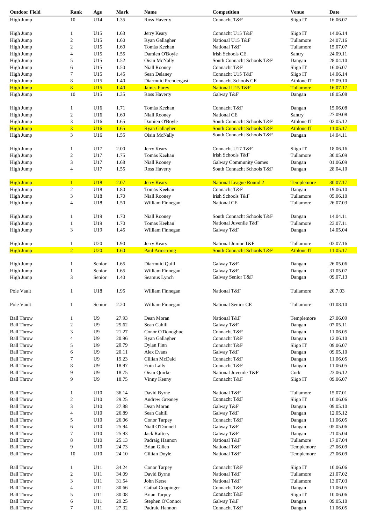| <b>Outdoor Field</b> | Rank             | Age            | <b>Mark</b> | <b>Name</b>           | Competition                           | <b>Venue</b>      | Date     |
|----------------------|------------------|----------------|-------------|-----------------------|---------------------------------------|-------------------|----------|
| High Jump            | 10               | U14            | 1.35        | <b>Ross Haverty</b>   | Connacht T&F                          | Sligo IT          | 16.06.07 |
|                      |                  |                |             |                       |                                       |                   |          |
| High Jump            | 1                | U15            | 1.63        | Jerry Keary           | Connacht U15 T&F                      | Sligo IT          | 14.06.14 |
| High Jump            | $\sqrt{2}$       | U15            | 1.60        | Ryan Gallagher        | National U15 T&F                      | Tullamore         | 24.07.16 |
| High Jump            | $\boldsymbol{2}$ | U15            | 1.60        | Tomás Keehan          | National T&F                          | Tullamore         | 15.07.07 |
| High Jump            | 4                | U15            | 1.55        | Damien O'Boyle        | <b>Irish Schools CE</b>               | Santry            | 24.09.11 |
| High Jump            | 5                | U15            | 1.52        | Oisin McNally         | South Connacht Schools T&F            | Dangan            | 28.04.10 |
|                      | 6                |                | 1.50        | Niall Rooney          | Connacht T&F                          |                   | 16.06.07 |
| High Jump            |                  | U15            |             |                       |                                       | Sligo IT          |          |
| High Jump            | 7                | U15            | 1.45        | Sean Delaney          | Connacht U15 T&F                      | Sligo IT          | 14.06.14 |
| High Jump            | 8                | U15            | 1.40        | Diarmuid Prendergast  | <b>Connacht Schools CE</b>            | Athlone IT        | 15.09.10 |
| <b>High Jump</b>     | 8                | U15            | 1.40        | <b>James Furey</b>    | National U15 T&F                      | Tullamore         | 16.07.17 |
| High Jump            | 10               | U15            | 1.35        | Ross Haverty          | Galway T&F                            | Dangan            | 18.05.08 |
|                      |                  |                |             |                       |                                       |                   |          |
| High Jump            | 1                | U16            | 1.71        | Tomás Keehan          | Connacht T&F                          | Dangan            | 15.06.08 |
| High Jump            | $\sqrt{2}$       | U16            | 1.69        | Niall Rooney          | National CE                           | Santry            | 27.09.08 |
| High Jump            | 3                | U16            | 1.65        | Damien O'Boyle        | South Connacht Schools T&F            | Athlone IT        | 02.05.12 |
| <b>High Jump</b>     | $\overline{3}$   | <b>U16</b>     | 1.65        | <b>Ryan Gallagher</b> | <b>South Connacht Schools T&amp;F</b> | <b>Athlone IT</b> | 11.05.17 |
| High Jump            | 3                | U16            | 1.55        | Oisin McNally         | South Connacht Schools T&F            | Dangan            | 14.04.11 |
|                      |                  |                |             |                       |                                       |                   |          |
| High Jump            | 1                | U17            | 2.00        | Jerry Keary           | Connacht U17 T&F                      | Sligo IT          | 18.06.16 |
| High Jump            | $\boldsymbol{2}$ | U17            | 1.75        | Tomás Keehan          | Irish Schools T&F                     | Tullamore         | 30.05.09 |
| High Jump            | 3                | U17            | 1.68        | <b>Niall Rooney</b>   | <b>Galway Community Games</b>         | Dangan            | 01.06.09 |
| High Jump            | 4                | U17            | 1.55        | <b>Ross Haverty</b>   | South Connacht Schools T&F            | Dangan            | 28.04.10 |
|                      |                  |                |             |                       |                                       |                   |          |
| <b>High Jump</b>     | $\mathbf{1}$     | <b>U18</b>     | 2.07        | <b>Jerry Keary</b>    | <b>National League Round 2</b>        | Templemore        | 30.07.17 |
| High Jump            | $\mathfrak{2}$   | U18            | 1.80        | Tomás Keehan          | Connacht T&F                          | Dangan            | 19.06.10 |
| High Jump            | 3                | U18            | 1.70        | Niall Rooney          | Irish Schools T&F                     | Tullamore         | 05.06.10 |
| High Jump            | 4                | U18            | 1.50        | William Finnegan      | National CE                           | Tullamore         | 26.07.03 |
|                      |                  |                |             |                       |                                       |                   |          |
| High Jump            | 1                | U19            | 1.70        | Niall Rooney          | South Connacht Schools T&F            | Dangan            | 14.04.11 |
| High Jump            | $\mathbf{1}$     | U19            | 1.70        | Tomas Keehan          | National Juvenile T&F                 | Tullamore         | 23.07.11 |
|                      | 3                |                | 1.45        |                       | Galway T&F                            |                   |          |
| High Jump            |                  | U19            |             | William Finnegan      |                                       | Dangan            | 14.05.04 |
| High Jump            | 1                | U20            | 1.90        | Jerry Keary           | National Junior T&F                   | Tullamore         | 03.07.16 |
| <b>High Jump</b>     | $\overline{2}$   | U20            | 1.60        | <b>Paul Armstrong</b> | <b>South Connacht Schools T&amp;F</b> | <b>Athlone IT</b> | 11.05.17 |
|                      |                  |                |             |                       |                                       |                   |          |
| High Jump            | 1                | Senior         | 1.65        | Diarmuid Quill        | Galway T&F                            | Dangan            | 26.05.06 |
| High Jump            | 1                | Senior         | 1.65        | William Finnegan      | Galway T&F                            | Dangan            | 31.05.07 |
| High Jump            | 3                | Senior         | 1.40        | Seamus Lynch          | Galway Senior T&F                     | Dangan            | 09.07.13 |
|                      |                  |                |             |                       |                                       |                   |          |
| Pole Vault           | $\mathbf{1}$     | U18            | 1.95        | William Finnegan      | National T&F                          | Tullamore         | 20.7.03  |
|                      |                  |                |             |                       |                                       |                   |          |
| Pole Vault           | $\mathbf{1}$     | Senior         | 2.20        | William Finnegan      | National Senior CE                    | Tullamore         | 01.08.10 |
|                      |                  |                |             |                       |                                       |                   |          |
| <b>Ball Throw</b>    | 1                | U9             | 27.93       | Dean Moran            | National T&F                          | Templemore        | 27.06.09 |
| <b>Ball Throw</b>    | $\sqrt{2}$       | U <sub>9</sub> | 25.62       | Sean Cahill           | Galway T&F                            | Dangan            | 07.05.11 |
| <b>Ball Throw</b>    | 3                | U <sub>9</sub> | 21.27       | Conor O'Donoghue      | Connacht T&F                          | Dangan            | 11.06.05 |
| <b>Ball Throw</b>    | 4                | U <sub>9</sub> | 20.96       | Ryan Gallagher        | Connacht T&F                          | Dangan            | 12.06.10 |
| <b>Ball Throw</b>    | 5                | U9             | 20.79       | Dylan Finn            | Connacht T&F                          | Sligo IT          | 09.06.07 |
| <b>Ball Throw</b>    | 6                | U9             | 20.11       | Alex Evans            | Galway T&F                            | Dangan            | 09.05.10 |
| <b>Ball Throw</b>    | $\tau$           | U <sub>9</sub> | 19.23       | Cillian McDaid        | Connacht T&F                          | Dangan            | 11.06.05 |
| <b>Ball Throw</b>    | 8                | U <sub>9</sub> | 18.97       | Eoin Lally            | Connacht T&F                          | Dangan            | 11.06.05 |
| <b>Ball Throw</b>    | 9                | U <sub>9</sub> | 18.75       | Oisin Quirke          | National Juvenile T&F                 | Cork              | 23.06.12 |
| <b>Ball Throw</b>    | 9                | U <sub>9</sub> | 18.75       | Vinny Kenny           | Connacht T&F                          | Sligo IT          | 09.06.07 |
|                      |                  |                |             |                       |                                       |                   |          |
| <b>Ball Throw</b>    | 1                | U10            | 36.14       | David Byrne           | National T&F                          | Tullamore         | 15.07.01 |
| <b>Ball Throw</b>    | $\sqrt{2}$       | U10            | 29.25       | Andrew Greaney        | Connacht T&F                          | Sligo IT          | 10.06.06 |
| <b>Ball Throw</b>    | 3                | U10            | 27.88       | Dean Moran            | Galway T&F                            | Dangan            | 09.05.10 |
| <b>Ball Throw</b>    |                  | U10            | 26.89       | Sean Cahill           |                                       |                   | 12.05.12 |
|                      | 4                |                |             |                       | Galway T&F                            | Dangan            |          |
| <b>Ball Throw</b>    | 5                | U10            | 26.06       | Conor Tarpey          | Connacht T&F                          | Dangan            | 11.06.05 |
| <b>Ball Throw</b>    | 6                | U10            | 25.94       | Niall O'Donnell       | Galway T&F                            | Dangan            | 05.05.06 |
| <b>Ball Throw</b>    | $\tau$           | U10            | 25.93       | <b>Jack Raftery</b>   | Galway T&F                            | Dangan            | 21.05.04 |
| <b>Ball Throw</b>    | 8                | U10            | 25.13       | Padraig Hannon        | National T&F                          | Tullamore         | 17.07.04 |
| <b>Ball Throw</b>    | 9                | U10            | 24.73       | <b>Brian Gillen</b>   | National T&F                          | Templemore        | 27.06.09 |
| <b>Ball Throw</b>    | 10               | U10            | 24.10       | Cillian Doyle         | National T&F                          | Templemore        | 27.06.09 |
|                      |                  |                |             |                       |                                       |                   |          |
| <b>Ball Throw</b>    | 1                | U11            | 34.24       | Conor Tarpey          | Connacht T&F                          | Sligo IT          | 10.06.06 |
| <b>Ball Throw</b>    | $\sqrt{2}$       | U11            | 34.09       | David Byrne           | National T&F                          | Tullamore         | 21.07.02 |
| <b>Ball Throw</b>    | 3                | U11            | 31.54       | John Kerse            | National T&F                          | Tullamore         | 13.07.03 |
| <b>Ball Throw</b>    | 4                | U11            | 30.66       | Cathal Coppinger      | Connacht T&F                          | Dangan            | 11.06.05 |
| <b>Ball Throw</b>    | 5                | U11            | 30.08       | <b>Brian Tarpey</b>   | Connacht T&F                          | Sligo IT          | 10.06.06 |
| <b>Ball Throw</b>    | 6                | U11            | 29.25       | Stephen O'Connor      | Galway T&F                            | Dangan            | 09.05.10 |
| <b>Ball Throw</b>    | $\boldsymbol{7}$ | U11            | 27.32       | Padraic Hannon        | Connacht T&F                          | Dangan            | 11.06.05 |
|                      |                  |                |             |                       |                                       |                   |          |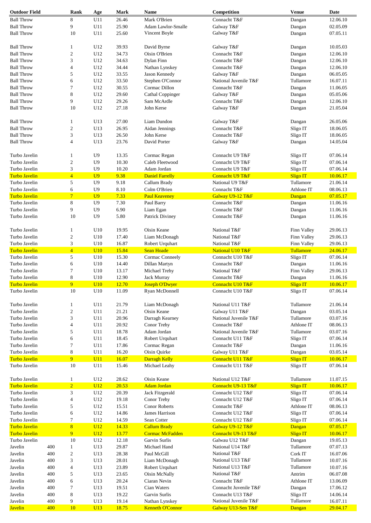| <b>Outdoor Field</b>                  |     | Rank                           | Age            | <b>Mark</b>    | Name                                          | Competition                            | <b>Venue</b>                 | Date                 |
|---------------------------------------|-----|--------------------------------|----------------|----------------|-----------------------------------------------|----------------------------------------|------------------------------|----------------------|
| <b>Ball Throw</b>                     |     | 8                              | U11            | 26.46          | Mark O'Brien                                  | Connacht T&F                           | Dangan                       | 12.06.10             |
| <b>Ball Throw</b>                     |     | 9                              | U11            | 25.90          | Adam Lawlor-Smalle                            | Galway T&F                             | Dangan                       | 02.05.09             |
| <b>Ball Throw</b>                     |     | 10                             | U11            | 25.60          | Vincent Boyle                                 | Galway T&F                             | Dangan                       | 07.05.11             |
|                                       |     |                                |                |                |                                               |                                        |                              |                      |
| <b>Ball Throw</b>                     |     | 1                              | U12            | 39.93          | David Byrne                                   | Galway T&F                             | Dangan                       | 10.05.03             |
| <b>Ball Throw</b>                     |     | $\overline{c}$                 | U12            | 34.73          | Oisin O'Brien                                 | Connacht T&F                           | Dangan                       | 12.06.10             |
| <b>Ball Throw</b>                     |     | 3                              | U12            | 34.63          | Dylan Finn                                    | Connacht T&F                           | Dangan                       | 12.06.10             |
| <b>Ball Throw</b>                     |     | 4                              | U12            | 34.44          | Nathan Lynskey                                | Connacht T&F                           |                              | 12.06.10             |
|                                       |     |                                |                |                | Jason Kennedy                                 |                                        | Dangan                       |                      |
| <b>Ball Throw</b>                     |     | 5                              | U12            | 33.55          |                                               | Galway T&F                             | Dangan                       | 06.05.05             |
| <b>Ball Throw</b>                     |     | 6                              | U12            | 33.50          | Stephen O'Connor                              | National Juvenile T&F                  | Tullamore                    | 16.07.11             |
| <b>Ball Throw</b>                     |     | 7                              | U12            | 30.55          | Cormac Dillon                                 | Connacht T&F                           | Dangan                       | 11.06.05             |
| <b>Ball Throw</b>                     |     | 8                              | U12            | 29.60          | <b>Cathal Coppinger</b>                       | Galway T&F                             | Dangan                       | 05.05.06             |
| <b>Ball Throw</b>                     |     | 9                              | U12            | 29.26          | Sam McArdle                                   | Connacht T&F                           | Dangan                       | 12.06.10             |
| <b>Ball Throw</b>                     |     | 10                             | U12            | 27.18          | John Kerse                                    | Galway T&F                             | Dangan                       | 21.05.04             |
| <b>Ball Throw</b>                     |     | 1                              | U13            | 27.00          | Liam Dundon                                   | Galway T&F                             | Dangan                       | 26.05.06             |
| <b>Ball Throw</b>                     |     | 2                              | U13            | 26.95          | Aidan Jennings                                | Connacht T&F                           | Sligo IT                     | 18.06.05             |
| <b>Ball Throw</b>                     |     | 3                              | U13            | 26.50          | John Kerse                                    | Connacht T&F                           | Sligo IT                     | 18.06.05             |
| <b>Ball Throw</b>                     |     | 4                              | U13            | 23.76          | David Porter                                  | Galway T&F                             | Dangan                       | 14.05.04             |
|                                       |     |                                |                |                |                                               |                                        |                              |                      |
| Turbo Javelin                         |     | $\mathbf{1}$                   | U <sub>9</sub> | 13.35          | Cormac Regan                                  | Connacht U9 T&F                        | Sligo IT                     | 07.06.14             |
| Turbo Javelin                         |     | $\mathfrak{2}$                 | U <sub>9</sub> | 10.30          | Caleb Fleetwood                               | Connacht U9 T&F                        | Sligo IT                     | 07.06.14             |
| Turbo Javelin                         |     | 3                              | U <sub>9</sub> | 10.20          | Adam Jordan                                   | Connacht U9 T&F                        | Sligo IT                     | 07.06.14             |
| <b>Turbo Javelin</b>                  |     | $\overline{4}$                 | U <sub>9</sub> | 9.38           | <b>Daniel Farrelly</b>                        | Connacht U9 T&F                        | <b>Sligo IT</b>              | 10.06.17             |
| Turbo Javelin                         |     | 5                              | U <sub>9</sub> | 9.18           | Callum Brady                                  | National U9 T&F                        | Tullamore                    | 21.06.14             |
| Turbo Javelin                         |     | 6                              | U <sub>9</sub> | 8.10           | Colm O'Brien                                  | Connacht T&F                           | Athlone IT                   | 08.06.13             |
| <b>Turbo Javelin</b>                  |     | $\overline{7}$                 | U <sub>9</sub> | 7.33           | <b>Paul Keaveney</b>                          | Galway U9-12 T&F                       | Dangan                       | 07.05.17             |
| Turbo Javelin                         |     | 8                              | U <sub>9</sub> | 7.30           | Paul Barry                                    | Connacht T&F                           | Dangan                       | 11.06.16             |
| Turbo Javelin                         |     | 9                              | U <sub>9</sub> | 6.90           | Liam Egan                                     | Connacht T&F                           | Dangan                       | 11.06.16             |
| Turbo Javelin                         |     | 10                             | U <sub>9</sub> | 5.80           | Patrick Diviney                               | Connacht T&F                           | Dangan                       | 11.06.16             |
|                                       |     |                                |                |                |                                               |                                        |                              |                      |
| Turbo Javelin                         |     | $\mathbf{1}$                   | U10            | 19.95          | Oisin Keane                                   | National T&F                           | Finn Valley                  | 29.06.13             |
| Turbo Javelin                         |     | $\sqrt{2}$                     | U10            | 17.40          | Liam McDonagh                                 | National T&F                           | Finn Valley                  | 29.06.13             |
| Turbo Javelin                         |     | 3                              | U10            | 16.87          | Robert Urquhart                               | National T&F                           | Finn Valley                  | 29.06.13             |
| <b>Turbo Javelin</b>                  |     | $\overline{4}$                 | U10            | 15.84          | <b>Sean Hoade</b>                             | National U10 T&F                       | Tullamore                    | 24.06.17             |
| Turbo Javelin                         |     | 5                              | U10            | 15.30          | Cormac Conneely                               | Connacht U10 T&F                       | Sligo IT                     | 07.06.14             |
| Turbo Javelin                         |     | 6                              | U10            | 14.40          | Dillan Martyn                                 | Connacht T&F                           | Dangan                       | 11.06.16             |
| Turbo Javelin                         |     | 7                              |                | 13.17          |                                               |                                        |                              | 29.06.13             |
|                                       |     |                                | U10            |                | Michael Trehy                                 | National T&F                           | Finn Valley                  |                      |
| Turbo Javelin                         |     | $\,8\,$                        | U10            | 12.90          | Jack Murray                                   | Connacht T&F                           | Dangan                       | 11.06.16             |
| <b>Turbo Javelin</b>                  |     | 9                              | <b>U10</b>     | 12.70          | <b>Joseph O'Dwyer</b>                         | Connacht U10 T&F                       | <b>Sligo IT</b>              | 10.06.17             |
| Turbo Javelin                         |     | $10\,$                         | U10            | 11.09          | Ryan McDonnell                                | Connacht U10 T&F                       | Sligo IT                     | 07.06.14             |
| Turbo Javelin                         |     | 1                              | U11            | 21.79          | Liam McDonagh                                 | National U11 T&F                       | Tullamore                    | 21.06.14             |
| Turbo Javelin                         |     | $\mathfrak{2}$                 | U11            | 21.21          | Oisin Keane                                   | Galway U11 T&F                         | Dangan                       | 03.05.14             |
| Turbo Javelin                         |     | 3                              | U11            | 20.96          | Darragh Kearney                               | National Juvenile T&F                  | Tullamore                    | 03.07.16             |
| Turbo Javelin                         |     | $\overline{4}$                 | U11            | 20.92          | Conor Trehy                                   | Connacht T&F                           | Athlone IT                   | 08.06.13             |
| Turbo Javelin                         |     | 5                              | U11            | 18.78          | Adam Jordan                                   | National Juvenile T&F                  | Tullamore                    | 03.07.16             |
| Turbo Javelin                         |     | 6                              | U11            | 18.45          | Robert Urquhart                               | Connacht U11 T&F                       | Sligo IT                     | 07.06.14             |
|                                       |     |                                |                |                |                                               | Connacht T&F                           |                              |                      |
| Turbo Javelin                         |     | 7                              | U11            | 17.86          | Cormac Regan                                  |                                        | Dangan                       | 11.06.16             |
| Turbo Javelin                         |     | $\,8\,$                        | U11            | 16.20          | Oisin Quirke                                  | Galway U11 T&F                         | Dangan                       | 03.05.14             |
| <b>Turbo Javelin</b><br>Turbo Javelin |     | 9 <sup>°</sup><br>10           | U11<br>U11     | 16.07<br>15.46 | Darragh Kelly<br>Michael Leahy                | Connacht U11 T&F<br>Connacht U11 T&F   | <b>Sligo IT</b><br>Sligo IT  | 10.06.17<br>07.06.14 |
|                                       |     |                                |                |                |                                               |                                        |                              |                      |
| Turbo Javelin<br><b>Turbo Javelin</b> |     | $\mathbf{1}$<br>$\overline{2}$ | U12<br>U12     | 28.62<br>20.53 | Oisin Keane<br><b>Adam Jordan</b>             | National U12 T&F<br>Connacht U9-13 T&F | Tullamore<br><b>Sligo IT</b> | 11.07.15<br>10.06.17 |
| Turbo Javelin                         |     | 3                              | U12            | 20.39          | Jack Fitzgerald                               | Connacht U12 T&F                       | Sligo IT                     | 07.06.14             |
| Turbo Javelin                         |     | $\overline{4}$                 | U12            | 19.18          | Conor Trehy                                   | Connacht U12 T&F                       | Sligo IT                     | 07.06.14             |
| Turbo Javelin                         |     | 5                              | U12            | 15.51          | <b>Conor Roberts</b>                          | Connacht T&F                           | Athlone IT                   | 08.06.13             |
| Turbo Javelin                         |     | 6                              | U12            | 14.86          | James Harrison                                | Connacht U12 T&F                       | Sligo IT                     | 07.06.14             |
| Turbo Javelin                         |     | 7                              | U12            | 14.59          | Sean Cotter                                   | Connacht U12 T&F                       | Sligo IT                     | 07.06.14             |
| <b>Turbo Javelin</b>                  |     | 8                              | U12            | 14.33          |                                               |                                        |                              | 07.05.17             |
| <b>Turbo Javelin</b>                  |     | 9                              | U12            | 13.77          | <b>Callum Brady</b><br><b>Cormac McFadden</b> | Galway U9-12 T&F<br>Connacht U9-13 T&F | Dangan<br><b>Sligo IT</b>    | 10.06.17             |
| Turbo Javelin                         |     | 10                             | U12            | 12.18          | Garvin Surlis                                 | Galwau U12 T&F                         | Dangan                       | 19.05.13             |
| Javelin                               | 400 |                                | U13            | 29.87          | Michael Hand                                  | National U14 T&F                       | Tullamore                    | 07.07.13             |
|                                       |     | $\mathbf{1}$                   |                |                |                                               |                                        |                              |                      |
| Javelin                               | 400 | $\boldsymbol{2}$               | U13            | 28.38          | Paul McGill                                   | National T&F                           | Cork IT                      | 16.07.06             |
| Javelin                               | 400 | 3                              | U13            | 28.01          | Liam McDonagh                                 | National U13 T&F                       | Tullamore                    | 10.07.16             |
| Javelin                               | 400 | $\overline{\mathcal{L}}$       | U13            | 23.89          | Robert Urquhart                               | National U13 T&F                       | Tullamore                    | 10.07.16             |
| Javelin                               | 400 | 5                              | U13            | 23.65          | Oisin McNally                                 | National T&F                           | Antrim                       | 06.07.08             |
| Javelin                               | 400 | 6                              | U13            | 20.24          | Ciaran Nevin                                  | Connacht T&F                           | Athlone IT                   | 13.06.09             |
| Javelin                               | 400 | 7                              | U13            | 19.51          | Cian Waters                                   | Connacht Juvenile T&F                  | Dangan                       | 17.06.12             |
| Javelin                               | 400 | 8                              | U13            | 19.22          | Garvin Surlis                                 | Connacht U13 T&F                       | Sligo IT                     | 14.06.14             |
| Javelin                               | 400 | 9                              | U13            | 19.14          | Nathan Lynskey                                | National Juvenile T&F                  | Tullamore                    | 16.07.11             |
| <b>Javelin</b>                        | 400 | 10                             | U13            | 18.75          | <b>Kenneth O'Connor</b>                       | Galway U13-Sen T&F                     | Dangan                       | 29.04.17             |
|                                       |     |                                |                |                |                                               |                                        |                              |                      |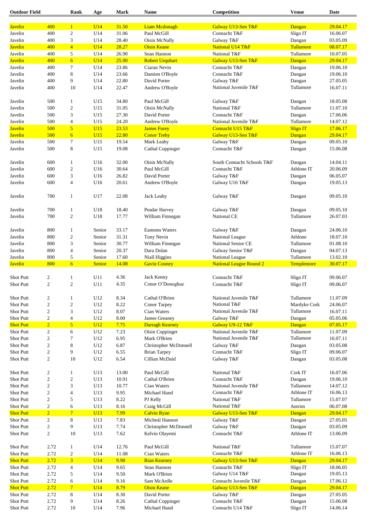| <b>Outdoor Field</b>      |                  | Rank                 | Age              | <b>Mark</b>    | Name                         | Competition                                       | Venue           | Date                 |
|---------------------------|------------------|----------------------|------------------|----------------|------------------------------|---------------------------------------------------|-----------------|----------------------|
|                           | 400              |                      |                  |                |                              |                                                   |                 |                      |
| <b>Javelin</b>            |                  | $\mathbf{1}$         | U14              | 31.50          | <b>Liam Mcdonagh</b>         | Galway U13-Sen T&F                                | Dangan          | 29.04.17             |
| Javelin                   | 400              | $\boldsymbol{2}$     | U14              | 31.06          | Paul McGill                  | Connacht T&F                                      | Sligo IT        | 16.06.07             |
| Javelin                   | 400              | 3                    | U14              | 28.40          | Oisin McNally                | Galway T&F                                        | Dangan          | 03.05.09             |
| <b>Javelin</b>            | 400              | $\overline{4}$       | U14              | 28.27          | <b>Oisin Keane</b>           | National U14 T&F                                  | Tullamore       | 08.07.17             |
| Javelin                   | 400              | 5                    | U14              | 26.90          | Sean Hannon                  | National T&F                                      | Tullamore       | 10.07.05             |
| <b>Javelin</b>            | 400              | $6\overline{6}$      | U14              | 25.90          | <b>Robert Urquhart</b>       | Galway U13-Sen T&F                                | Dangan          | 29.04.17             |
| Javelin                   | 400              | $\tau$               | U14              | 23.86          | Ciaran Nevin                 | Connacht T&F                                      | Dangan          | 19.06.10             |
| Javelin                   | 400              | 8                    | U14              | 23.66          | Damien O'Boyle               | Connacht T&F                                      | Dangan          | 19.06.10             |
| Javelin                   | 400              | 9                    | U14              | 22.80          | David Porter                 | Galway T&F                                        | Dangan          | 27.05.05             |
| Javelin                   | 400              | 10                   | U14              | 22.47          | Andrew O'Boyle               | National Juvenile T&F                             | Tullamore       | 16.07.11             |
|                           |                  |                      |                  |                |                              |                                                   |                 |                      |
| Javelin                   | 500              | 1                    | U15              | 34.80          | Paul McGill                  | Galway T&F                                        | Dangan          | 18.05.08             |
| Javelin                   | 500              | $\overline{c}$       | U15              | 31.05          | Oisin McNally                | National T&F                                      | Tullamore       | 11.07.10             |
| Javelin                   | 500              | 3                    | U15              | 27.30          | David Porter                 | Connacht T&F                                      | Dangan          | 17.06.06             |
| Javelin                   | 500              | $\overline{4}$       | U15              | 24.20          | Andrew O'Boyle               | National Juvenile T&F                             | Tullamore       | 14.07.12             |
| <b>Javelin</b>            | 500              | $\overline{5}$       | U15              | 23.53          | <b>James Furey</b>           | Connacht U15 T&F                                  | <b>Sligo IT</b> | 17.06.17             |
| <b>Javelin</b>            | 500              | 6                    | U15              | 22.80          | <b>Conor Trehy</b>           | Galway U13-Sen T&F                                | Dangan          | 29.04.17             |
| Javelin                   | 500              | $\boldsymbol{7}$     |                  | 19.54          | Mark Leahy                   |                                                   |                 | 09.05.10             |
|                           |                  |                      | U15              |                |                              | Galway T&F                                        | Dangan          |                      |
| Javelin                   | 500              | $\,8\,$              | U15              | 19.08          | <b>Cathal Coppinger</b>      | Connacht T&F                                      | Dangan          | 15.06.08             |
| Javelin                   | 600              | $\mathbf{1}$         | U16              | 32.00          | Oisin McNally                | South Connacht Schools T&F                        | Dangan          | 14.04.11             |
| Javelin                   | 600              | $\boldsymbol{2}$     | U16              | 30.64          | Paul McGill                  | Connacht T&F                                      | Athlone IT      | 20.06.09             |
|                           |                  |                      |                  |                |                              |                                                   |                 |                      |
| Javelin                   | 600              | 3                    | U16              | 26.82          | David Porter                 | Galway T&F                                        | Dangan          | 06.05.07             |
| Javelin                   | 600              | $\overline{4}$       | U16              | 20.61          | Andrew O'Boyle               | Galway U16 T&F                                    | Dangan          | 19.05.13             |
| Javelin                   | 700              | $\mathbf{1}$         | U17              | 22.08          | Jack Leahy                   | Galway T&F                                        | Dangan          | 09.05.10             |
|                           |                  |                      |                  |                |                              |                                                   |                 |                      |
| Javelin                   | 700              | 1                    | U18              | 18.40          | Peadar Harvey                | Galway T&F                                        | Dangan          | 09.05.10             |
| Javelin                   | 700              | $\boldsymbol{2}$     | U18              | 17.77          | William Finnegan             | National CE                                       | Tullamore       | 26.07.03             |
|                           |                  |                      |                  |                |                              |                                                   |                 |                      |
| Javelin                   | 800              | 1                    | Senior           | 33.17          | Eamonn Waters                | Galway T&F                                        | Dangan          | 24.06.10             |
| Javelin                   | 800              | $\boldsymbol{2}$     | Senior           | 31.31          | Tony Nevin                   | National League                                   | Athlone         | 18.07.10             |
| Javelin                   | 800              | 3                    | Senior           | 30.77          | William Finnegan             | National Senior CE                                | Tullamore       | 01.08.10             |
| Javelin                   | 800              | 4                    | Senior           | 20.37          | Dara Dolan                   | Galway Senior T&F                                 |                 | 04.07.13             |
|                           |                  |                      |                  |                |                              |                                                   | Dangan          |                      |
| Javelin<br><b>Javelin</b> | 800<br>800       | 5<br>6               | Senior<br>Senior | 17.60<br>14.08 | Niall Higgins                | National League<br><b>National League Round 2</b> | Tullamore       | 13.02.10<br>30.07.17 |
|                           |                  |                      |                  |                | <b>Gavin Cooney</b>          |                                                   | Templemore      |                      |
| <b>Shot Putt</b>          | 2                | 1                    | U11              | 4.36           | Jack Kenny                   | Connacht T&F                                      | Sligo IT        | 09.06.07             |
| <b>Shot Putt</b>          | $\overline{c}$   | $\overline{c}$       | U11              | 4.35           | Conor O'Donoghue             | Connacht T&F                                      | Sligo IT        | 09.06.07             |
|                           |                  |                      |                  |                |                              |                                                   |                 |                      |
| Shot Putt                 | 2                | 1                    | U12              | 8.34           | Cathal O'Brien               | National Juvenile T&F                             | Tullamore       | 11.07.09             |
| Shot Putt                 | $\sqrt{2}$       | $\sqrt{2}$           | U12              | 8.22           | Conor Tarpey                 | National T&F                                      | Mardyke Cork    | 24.06.07             |
| Shot Putt                 | $\mathfrak{2}$   | 3                    | U12              | 8.07           | Cian Waters                  | National Juvenile T&F                             | Tullamore       | 16.07.11             |
| Shot Putt                 | $\mathbf{2}$     | 4                    | U12              | 8.00           | James Greaney                | Galway T&F                                        | Dangan          | 05.05.06             |
| <b>Shot Putt</b>          |                  | $\overline{5}$       |                  |                |                              |                                                   |                 |                      |
|                           | $\overline{2}$   |                      | U12              | 7.75           | <b>Darragh Kearney</b>       | Galway U9-12 T&F                                  | Dangan          | 07.05.17             |
| Shot Putt                 | $\overline{c}$   | 6                    | U12              | 7.23           | Oisin Coppinger              | National Juvenile T&F                             | Tullamore       | 11.07.09             |
| Shot Putt                 | $\boldsymbol{2}$ | 7                    | U12              | 6.95           | Mark O'Brien                 | National Juvenile T&F                             | Tullamore       | 16.07.11             |
| Shot Putt                 | $\mathbf{2}$     | 8                    | U12              | 6.87           | Christopher McDonnell        | Galway T&F                                        | Dangan          | 03.05.08             |
| Shot Putt                 | $\overline{c}$   | 9                    | U12              | 6.55           | <b>Brian Tarpey</b>          | Connacht T&F                                      | Sligo IT        | 09.06.07             |
| Shot Putt                 | $\mathbf{2}$     | 10                   | U12              | 6.54           | Cillian McDaid               | Galway T&F                                        | Dangan          | 03.05.08             |
|                           |                  |                      |                  |                |                              |                                                   |                 |                      |
| Shot Putt                 | $\overline{c}$   | $\mathbf{1}$         | U13              | 13.00          | Paul McGill                  | National T&F                                      | Cork IT         | 16.07.06             |
| Shot Putt                 | $\sqrt{2}$       | $\sqrt{2}$           | U13              | 10.91          | Cathal O'Brien               | Connacht T&F                                      | Dangan          | 19.06.10             |
| Shot Putt                 | $\mathfrak{2}$   | 3                    | U13              | 10.77          | Cian Waters                  | National Juvenile T&F                             | Tullamore       | 14.07.12             |
| Shot Putt                 | $\mathbf{2}$     | $\overline{4}$       | U13              | 9.95           | Michael Hand                 | Connacht T&F                                      | Athlone IT      | 16.06.13             |
| Shot Putt                 | $\sqrt{2}$       | 5                    | U13              | 8.22           | PJ Kelly                     | National T&F                                      | Tullamore       | 15.07.07             |
| Shot Putt                 | $\boldsymbol{2}$ | 6                    | U13              | 8.16           | Craig McGill                 | National T&F                                      | Antrim          | 06.07.08             |
| <b>Shot Putt</b>          | $\overline{2}$   | $7\phantom{.0}$      | U13              | 7.99           | <b>Calvin Ryan</b>           | Galway U13-Sen T&F                                | Dangan          | 29.04.17             |
| Shot Putt                 | $\overline{c}$   | $\,8\,$              | U13              | 7.83           | Micheál Hannon               | Galway T&F                                        |                 | 27.05.05             |
|                           |                  |                      |                  |                |                              |                                                   | Dangan          |                      |
| Shot Putt                 | $\mathbf{2}$     | 9                    | U13              | 7.74           | <b>Christopher McDonnell</b> | Galway T&F                                        | Dangan          | 03.05.09             |
| Shot Putt                 | $\overline{c}$   | 10                   | U13              | 7.62           | Kelvin Olayemi               | Connacht T&F                                      | Athlone IT      | 13.06.09             |
| Shot Putt                 | 2.72             | $\mathbf{1}$         | U14              | 12.76          | Paul McGill                  | National T&F                                      | Tullamore       | 15.07.07             |
| Shot Putt                 | 2.72             | $\sqrt{2}$           | U14              | 11.08          | Cian Waters                  | Connacht T&F                                      | Athlone IT      | 16.06.13             |
| <b>Shot Putt</b>          | 2.72             | 3 <sup>1</sup>       | U14              | 9.98           | <b>Rian Kearney</b>          | Galway U13-Sen T&F                                | Dangan          | 29.04.17             |
| Shot Putt                 | 2.72             | $\overline{4}$       | U14              | 9.65           | Sean Hannon                  | Connacht T&F                                      | Sligo IT        | 18.06.05             |
| Shot Putt                 | 2.72             | 5                    | U14              | 9.50           | Mark O'Brien                 | Galway U14 T&F                                    | Dangan          | 19.05.13             |
|                           | 2.72             |                      |                  |                |                              | Connacht Juvenile T&F                             |                 |                      |
| Shot Putt                 | 2.72             | 6<br>$7\phantom{.0}$ | U14              | 9.16           | Sam McArdle                  |                                                   | Dangan          | 17.06.12             |
| <b>Shot Putt</b>          |                  |                      | U14              | 8.79           | <b>Oisin Keane</b>           | Galway U13-Sen T&F                                | Dangan          | 29.04.17             |
| Shot Putt                 | 2.72             | 8                    | U14              | 8.30           | David Porter                 | Galway T&F                                        | Dangan          | 27.05.05             |
| Shot Putt                 | 2.72             | 9                    | U14              | 8.26           | Cathal Coppinger             | Connacht T&F                                      | Dangan          | 15.06.08             |
| Shot Putt                 | 2.72             | 10                   | U14              | 7.96           | Michael Hand                 | Connacht U14 T&F                                  | Sligo IT        | 14.06.14             |